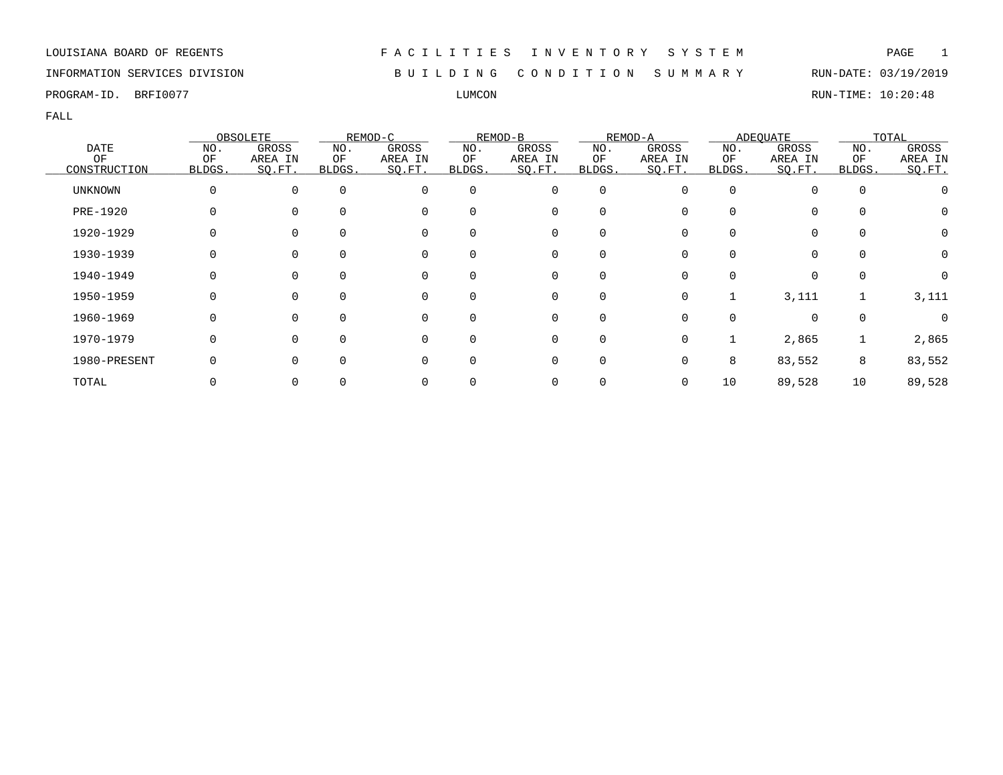INFORMATION SERVICES DIVISION B U I L D I N G C O N D I T I O N S U M M A R Y RUN-DATE: 03/19/2019

PROGRAM-ID. BRFI0077 LUMCON RUN-TIME: 10:20:48

|              |        | OBSOLETE |          | REMOD-C  |          | REMOD-B  |             | REMOD-A  |        | <b>ADEQUATE</b> |          | TOTAL            |
|--------------|--------|----------|----------|----------|----------|----------|-------------|----------|--------|-----------------|----------|------------------|
| <b>DATE</b>  | NO.    | GROSS    | NO.      | GROSS    | NO.      | GROSS    | NO.         | GROSS    | NO.    | GROSS           | NO.      | GROSS            |
| ΟF           | ΟF     | AREA IN  | ΟF       | AREA IN  | ΟF       | AREA IN  | ΟF          | AREA IN  | ΟF     | AREA IN         | ΟF       | AREA IN          |
| CONSTRUCTION | BLDGS. | SQ.FT.   | BLDGS.   | SQ.FT.   | BLDGS.   | SQ.FT.   | BLDGS.      | SQ.FT.   | BLDGS. | SQ.FT.          | BLDGS.   | SQ.FT.           |
| UNKNOWN      |        |          | $\Omega$ | $\Omega$ | $\Omega$ | 0        | $\mathbf 0$ | $\Omega$ |        | 0               | $\Omega$ |                  |
| PRE-1920     |        |          |          |          | $\Omega$ | 0        | 0           |          |        | 0               |          | $\left( \right)$ |
| 1920-1929    |        |          |          |          | $\Omega$ | 0        | 0           |          |        | 0               |          | 0                |
| 1930-1939    |        |          |          |          | 0        | 0        | 0           |          |        | 0               |          |                  |
| 1940-1949    |        |          | $\Omega$ | $\Omega$ | $\Omega$ | 0        | 0           | 0        | 0      | $\Omega$        | $\Omega$ | 0                |
| 1950-1959    |        |          | $\Omega$ | $\Omega$ | $\Omega$ | $\Omega$ | $\mathbf 0$ | $\Omega$ |        | 3,111           |          | 3,111            |
| 1960-1969    |        |          |          | $\Omega$ | $\Omega$ | $\Omega$ | $\Omega$    | ∩        |        | $\Omega$        | $\Omega$ |                  |
| 1970-1979    |        |          |          | $\Omega$ | $\Omega$ | 0        | 0           | 0        |        | 2,865           |          | 2,865            |
| 1980-PRESENT |        |          |          |          | $\Omega$ | 0        | 0           |          | 8      | 83,552          | 8        | 83,552           |
| TOTAL        |        |          |          |          |          | 0        | 0           |          | 10     | 89,528          | 10       | 89,528           |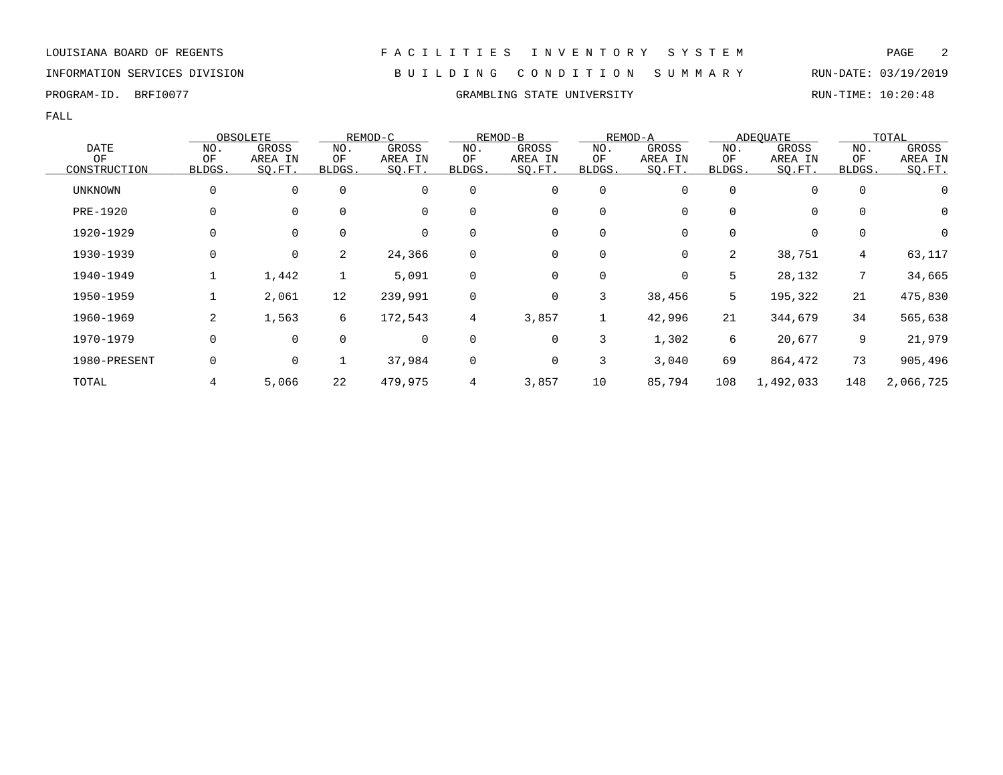### INFORMATION SERVICES DIVISION B U I L D I N G C O N D I T I O N S U M M A R Y RUN-DATE: 03/19/2019

PROGRAM-ID. BRFI0077 CRAMBLING STATE UNIVERSITY RUN-TIME: 10:20:48

|                |        | OBSOLETE    |             | REMOD-C     |                | REMOD-B |             | REMOD-A |          | <b>ADEQUATE</b> |                 | TOTAL     |
|----------------|--------|-------------|-------------|-------------|----------------|---------|-------------|---------|----------|-----------------|-----------------|-----------|
| <b>DATE</b>    | NO.    | GROSS       | NO.         | GROSS       | NO.            | GROSS   | NO.         | GROSS   | NO.      | GROSS           | NO.             | GROSS     |
| OF             | ΟF     | AREA IN     | ΟF          | AREA IN     | ΟF             | AREA IN | ΟF          | AREA IN | ΟF       | AREA IN         | OF              | AREA IN   |
| CONSTRUCTION   | BLDGS. | SO.FT.      | BLDGS.      | SQ.FT.      | BLDGS.         | SO.FT.  | BLDGS.      | SO.FT.  | BLDGS.   | SO.FT.          | BLDGS.          | SO.FT.    |
| <b>UNKNOWN</b> | 0      | $\mathbf 0$ | $\mathbf 0$ | 0           | 0              | 0       | $\mathbf 0$ |         | $\Omega$ | 0               | 0               |           |
| PRE-1920       | 0      | $\mathbf 0$ | $\mathbf 0$ | 0           | $\Omega$       | 0       | $\mathbf 0$ |         | 0        | 0               | $\mathbf 0$     | 0         |
| 1920-1929      | 0      | $\mathbf 0$ | $\mathbf 0$ | 0           | 0              | 0       | 0           | 0       | 0        | 0               | 0               | 0         |
| 1930-1939      | 0      | 0           | 2           | 24,366      | $\mathbf 0$    | 0       | 0           | 0       | 2        | 38,751          | $4\overline{ }$ | 63,117    |
| 1940-1949      |        | 1,442       |             | 5,091       | $\mathbf 0$    | 0       | 0           | 0       | 5        | 28,132          | 7               | 34,665    |
| 1950-1959      |        | 2,061       | 12          | 239,991     | 0              | 0       | 3           | 38,456  | 5        | 195,322         | 21              | 475,830   |
| 1960-1969      | 2      | 1,563       | 6           | 172,543     | $\overline{4}$ | 3,857   | 1           | 42,996  | 21       | 344,679         | 34              | 565,638   |
| 1970-1979      | 0      | $\mathbf 0$ | $\mathbf 0$ | $\mathbf 0$ | $\mathbf 0$    | 0       | 3           | 1,302   | 6        | 20,677          | 9               | 21,979    |
| 1980-PRESENT   | 0      | 0           |             | 37,984      | $\mathbf 0$    | 0       | 3           | 3,040   | 69       | 864,472         | 73              | 905,496   |
| TOTAL          |        | 5,066       | 22          | 479,975     | $\overline{4}$ | 3,857   | 10          | 85,794  | 108      | 1,492,033       | 148             | 2,066,725 |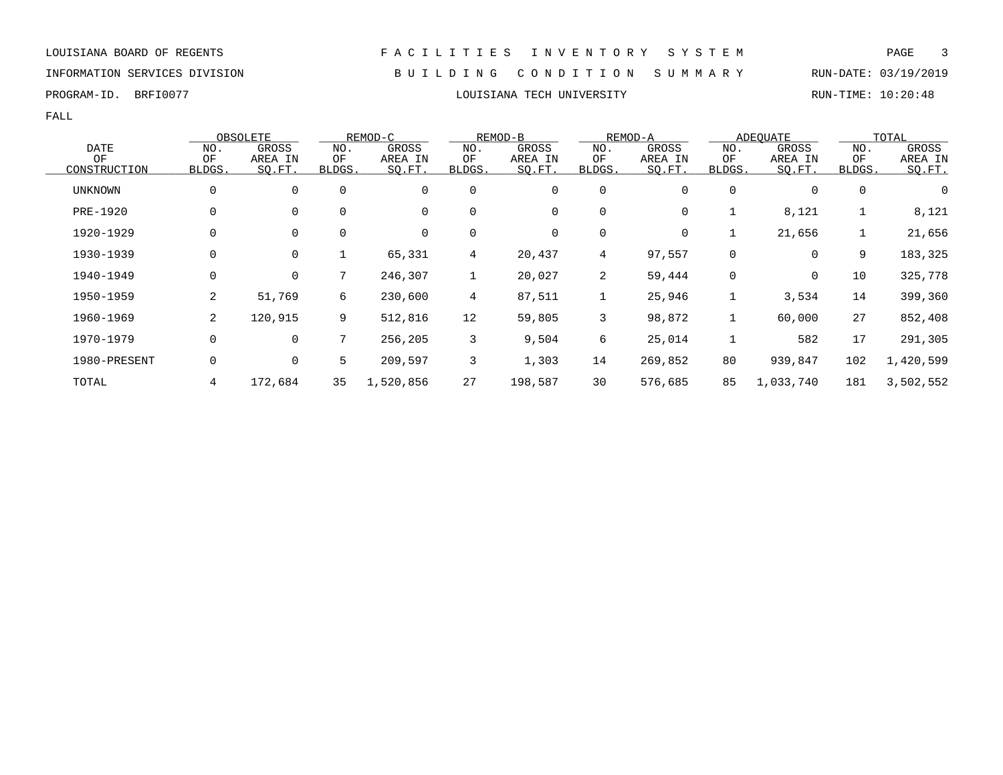### INFORMATION SERVICES DIVISION B U I L D I N G C O N D I T I O N S U M M A R Y RUN-DATE: 03/19/2019

FALL

|                |                | OBSOLETE    |             | REMOD-C     |                | REMOD-B |                | REMOD-A |             | ADEOUATE    |             | TOTAL     |
|----------------|----------------|-------------|-------------|-------------|----------------|---------|----------------|---------|-------------|-------------|-------------|-----------|
| <b>DATE</b>    | NO.            | GROSS       | NO.         | GROSS       | NO.            | GROSS   | NO.            | GROSS   | NO.         | GROSS       | NO.         | GROSS     |
| OF             | ΟF             | AREA IN     | ΟF          | AREA IN     | ΟF             | AREA IN | ΟF             | AREA IN | ΟF          | AREA IN     | ΟF          | AREA IN   |
| CONSTRUCTION   | <b>BLDGS</b>   | SQ.FT.      | BLDGS.      | SQ.FT.      | BLDGS.         | SQ.FT.  | BLDGS.         | SQ.FT.  | BLDGS.      | SQ.FT.      | BLDGS.      | SO.FT.    |
| <b>UNKNOWN</b> | 0              | $\mathbf 0$ | $\mathbf 0$ | 0           | $\mathbf 0$    | 0       | 0              | 0       | 0           | 0           | $\mathbf 0$ | 0         |
| PRE-1920       | 0              | $\mathbf 0$ | $\mathbf 0$ | $\mathbf 0$ | $\mathbf 0$    | 0       | 0              | 0       |             | 8,121       |             | 8,121     |
| 1920-1929      | 0              | $\mathbf 0$ | 0           | 0           | 0              | 0       | 0              | 0       |             | 21,656      | 1           | 21,656    |
| 1930-1939      | 0              | $\mathbf 0$ | $\mathbf 1$ | 65,331      | $\overline{4}$ | 20,437  | $\overline{4}$ | 97,557  | $\mathbf 0$ | 0           | 9           | 183,325   |
| 1940-1949      | 0              | $\mathbf 0$ | 7           | 246,307     | $\mathbf{1}$   | 20,027  | 2              | 59,444  | $\Omega$    | $\mathbf 0$ | 10          | 325,778   |
| 1950-1959      | 2              | 51,769      | 6           | 230,600     | $\overline{4}$ | 87,511  | 1              | 25,946  |             | 3,534       | 14          | 399,360   |
| 1960-1969      | $\overline{2}$ | 120,915     | 9           | 512,816     | 12             | 59,805  | 3              | 98,872  |             | 60,000      | 27          | 852,408   |
| 1970-1979      | 0              | $\mathbf 0$ | 7           | 256,205     | 3              | 9,504   | 6              | 25,014  |             | 582         | 17          | 291,305   |
| 1980-PRESENT   | 0              | $\mathbf 0$ | 5           | 209,597     | 3              | 1,303   | 14             | 269,852 | 80          | 939,847     | 102         | 1,420,599 |
| TOTAL          | 4              | 172,684     | 35          | 1,520,856   | 27             | 198,587 | 30             | 576,685 | 85          | 1,033,740   | 181         | 3,502,552 |

PROGRAM-ID. BRFI0077 **EXAM-ID.** BRFI0077 **RUN-TIME: 10:20:48**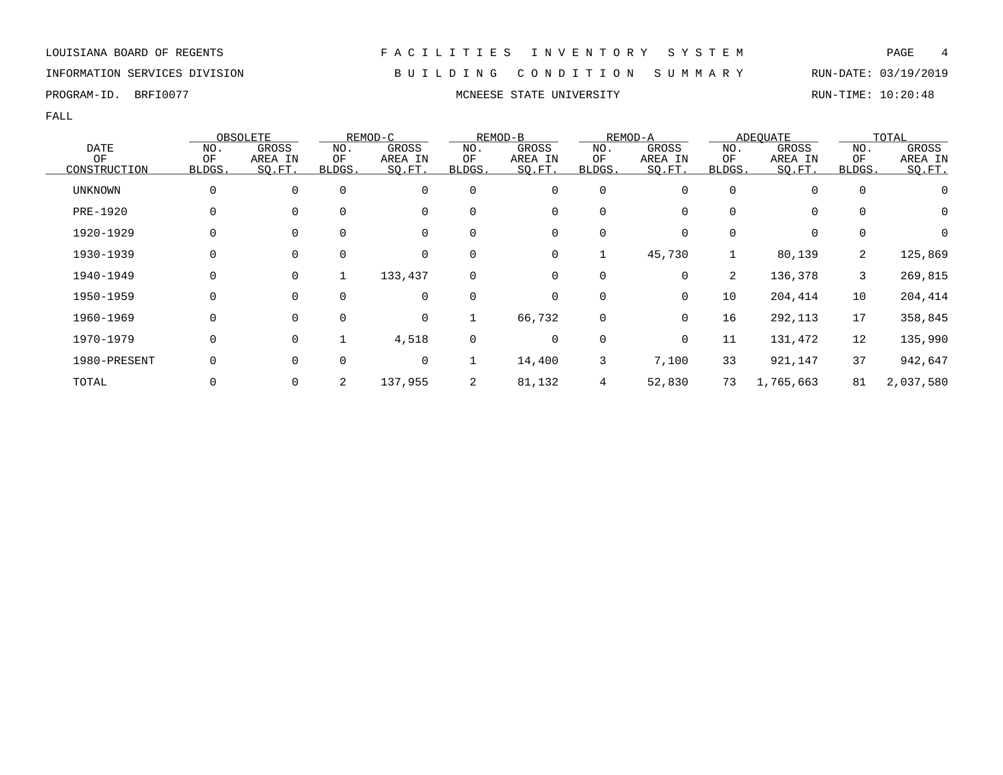INFORMATION SERVICES DIVISION B U I L D I N G C O N D I T I O N S U M M A R Y RUN-DATE: 03/19/2019

PROGRAM-ID. BRFI0077 **MONEESE STATE UNIVERSITY MONEESE STATE UNIVERSITY** RUN-TIME: 10:20:48

|                |          | OBSOLETE    |             | REMOD-C     |             | REMOD-B     |             | REMOD-A |                | ADEOUATE  |              | TOTAL     |
|----------------|----------|-------------|-------------|-------------|-------------|-------------|-------------|---------|----------------|-----------|--------------|-----------|
| <b>DATE</b>    | NO.      | GROSS       | NO.         | GROSS       | NO.         | GROSS       | NO.         | GROSS   | NO.            | GROSS     | NO.          | GROSS     |
| ΟF             | ΟF       | AREA IN     | ΟF          | AREA IN     | ΟF          | AREA IN     | ΟF          | AREA IN | ΟF             | AREA IN   | ΟF           | AREA IN   |
| CONSTRUCTION   | BLDGS.   | SQ.FT.      | BLDGS.      | SQ.FT.      | BLDGS.      | SQ.FT.      | BLDGS.      | SQ.FT.  | BLDGS.         | SQ.FT.    | BLDGS.       | SQ.FT.    |
| <b>UNKNOWN</b> | 0        | 0           | $\mathbf 0$ | 0           | 0           | 0           | 0           |         | $\Omega$       | 0         | 0            | 0         |
| PRE-1920       | 0        | 0           | 0           | 0           | 0           | 0           | $\mathbf 0$ |         | 0              | 0         | 0            | 0         |
| 1920-1929      | 0        | 0           | 0           | 0           | 0           | 0           | 0           | 0       | 0              | 0         | 0            | 0         |
| 1930-1939      | 0        | $\mathbf 0$ | $\mathbf 0$ | 0           | $\mathbf 0$ | 0           | 1           | 45,730  |                | 80,139    | 2            | 125,869   |
| 1940-1949      | $\Omega$ | $\mathbf 0$ | 1           | 133,437     | $\Omega$    | $\mathbf 0$ | $\mathbf 0$ | 0       | $\overline{2}$ | 136,378   | $\mathbf{3}$ | 269,815   |
| 1950-1959      | 0        | $\mathbf 0$ | $\Omega$    | $\mathbf 0$ | 0           | 0           | $\mathbf 0$ | 0       | 10             | 204,414   | 10           | 204,414   |
| 1960-1969      | 0        | $\mathbf 0$ | $\mathbf 0$ | 0           |             | 66,732      | 0           | 0       | 16             | 292,113   | 17           | 358,845   |
| 1970-1979      | 0        | $\mathbf 0$ |             | 4,518       | $\mathbf 0$ | 0           | 0           | 0       | 11             | 131,472   | 12           | 135,990   |
| 1980-PRESENT   |          | $\mathbf 0$ | $\mathbf 0$ | 0           |             | 14,400      | 3           | 7,100   | 33             | 921,147   | 37           | 942,647   |
| TOTAL          |          | 0           | 2           | 137,955     | 2           | 81,132      | 4           | 52,830  | 73             | 1,765,663 | 81           | 2,037,580 |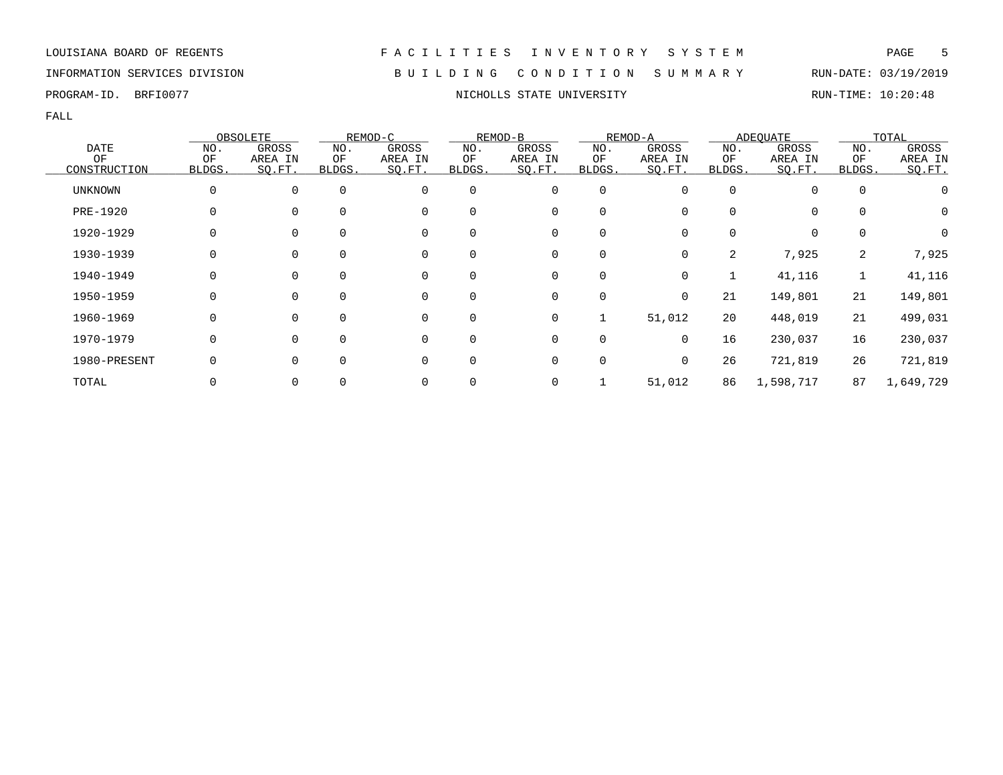### INFORMATION SERVICES DIVISION B U I L D I N G C O N D I T I O N S U M M A R Y RUN-DATE: 03/19/2019

FALL

|                |              | OBSOLETE    |             | REMOD-C |          | REMOD-B |             | REMOD-A  |        | <b>ADEQUATE</b> |             | TOTAL     |
|----------------|--------------|-------------|-------------|---------|----------|---------|-------------|----------|--------|-----------------|-------------|-----------|
| <b>DATE</b>    | NO.          | GROSS       | NO.         | GROSS   | NO.      | GROSS   | NO.         | GROSS    | NO.    | GROSS           | NO.         | GROSS     |
| OF             | OF           | AREA IN     | ΟF          | AREA IN | ΟF       | AREA IN | ΟF          | AREA IN  | ΟF     | AREA IN         | OF          | AREA IN   |
| CONSTRUCTION   | BLDGS.       | SQ.FT.      | BLDGS.      | SO.FT.  | BLDGS.   | SQ.FT.  | BLDGS.      | SQ.FT.   | BLDGS. | SQ.FT.          | BLDGS.      | SO.FT.    |
| <b>UNKNOWN</b> | 0            | 0           | $\Omega$    | 0       | 0        | 0       | $\mathbf 0$ | O        | 0      | 0               | $\mathbf 0$ |           |
| PRE-1920       | 0            | $\Omega$    | $\Omega$    | 0       | $\Omega$ | 0       | 0           | 0        | 0      | 0               | $\Omega$    | 0         |
| 1920-1929      |              | 0           | 0           | 0       | 0        | 0       | 0           | 0        | 0      | 0               | $\Omega$    | 0         |
| 1930-1939      |              | 0           | 0           | 0       | 0        | 0       | 0           | 0        | 2      | 7,925           | 2           | 7,925     |
| 1940-1949      | 0            | $\mathbf 0$ | $\mathbf 0$ | 0       | 0        | 0       | $\mathbf 0$ | 0        |        | 41,116          |             | 41,116    |
| 1950-1959      | <sup>0</sup> | $\Omega$    | $\Omega$    | 0       | $\Omega$ | 0       | 0           | $\Omega$ | 21     | 149,801         | 21          | 149,801   |
| 1960-1969      | 0            | $\Omega$    | $\Omega$    | 0       | 0        | 0       |             | 51,012   | 20     | 448,019         | 21          | 499,031   |
| 1970-1979      | 0            | $\Omega$    | $\mathbf 0$ | 0       | 0        | 0       | 0           | 0        | 16     | 230,037         | 16          | 230,037   |
| 1980-PRESENT   |              | $\Omega$    | $\Omega$    | 0       | 0        | 0       | 0           | 0        | 26     | 721,819         | 26          | 721,819   |
| TOTAL          |              | 0           |             | 0       |          | 0       |             | 51,012   | 86     | 1,598,717       | 87          | 1,649,729 |

PROGRAM-ID. BRFI0077 **NICHOLLS STATE UNIVERSITY NICHOLLS** STATE UNIVERSITY RUN-TIME: 10:20:48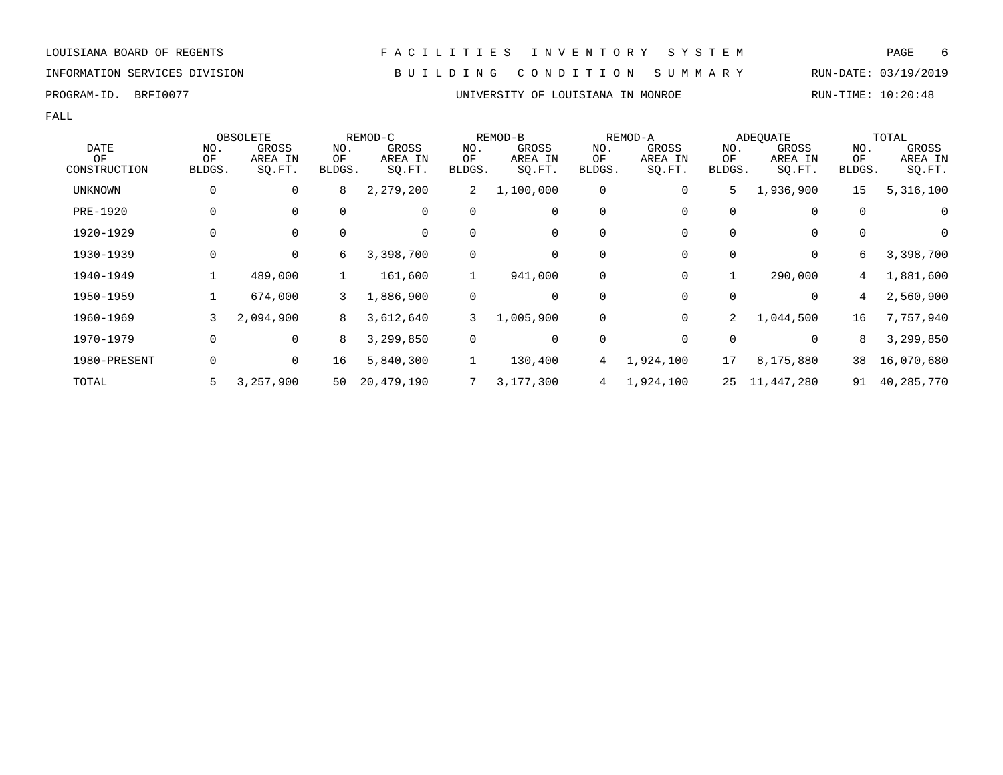INFORMATION SERVICES DIVISION B U I L D I N G C O N D I T I O N S U M M A R Y RUN-DATE: 03/19/2019

FALL

|              |              | OBSOLETE  |        | REMOD-C    |              | REMOD-B   |        | REMOD-A     |              | <b>ADEQUATE</b> |              | TOTAL      |
|--------------|--------------|-----------|--------|------------|--------------|-----------|--------|-------------|--------------|-----------------|--------------|------------|
| <b>DATE</b>  | NO.          | GROSS     | NO.    | GROSS      | NO.          | GROSS     | NO.    | GROSS       | NO.          | GROSS           | NO.          | GROSS      |
| OF           | ΟF           | AREA IN   | ΟF     | AREA IN    | ΟF           | AREA IN   | ΟF     | AREA IN     | ΟF           | AREA IN         | ΟF           | AREA IN    |
| CONSTRUCTION | <b>BLDGS</b> | SO.FT.    | BLDGS. | SO.FT.     | <b>BLDGS</b> | SO.FT.    | BLDGS. | SO.FT.      | <b>BLDGS</b> | SO.FT.          | <b>BLDGS</b> | $SO.FT$ .  |
| UNKNOWN      | 0            | 0         | 8      | 2,279,200  | 2            | 1,100,000 | 0      | 0           | 5            | 1,936,900       | 15           | 5,316,100  |
| PRE-1920     | 0            | 0         | 0      | 0          | $\mathbf 0$  | 0         | 0      | 0           | 0            | 0               | 0            | 0          |
| 1920-1929    | 0            | 0         | 0      | 0          | 0            | 0         | 0      | 0           | 0            | 0               | 0            | 0          |
| 1930-1939    | 0            | 0         | 6      | 3,398,700  | 0            | 0         | 0      | 0           | 0            | 0               | 6            | 3,398,700  |
| 1940-1949    |              | 489,000   | 1      | 161,600    |              | 941,000   | 0      | 0           |              | 290,000         | 4            | 1,881,600  |
| 1950-1959    |              | 674,000   | 3      | 1,886,900  | $\mathbf 0$  | 0         | 0      | $\Omega$    | 0            | 0               | 4            | 2,560,900  |
| 1960-1969    | 3            | 2,094,900 | 8      | 3,612,640  | 3            | 1,005,900 | 0      | $\mathbf 0$ | 2            | 1,044,500       | 16           | 7,757,940  |
| 1970-1979    | 0            | 0         | 8      | 3,299,850  | $\mathsf{O}$ | 0         | 0      | 0           | 0            | 0               | 8            | 3,299,850  |
| 1980-PRESENT | 0            | 0         | 16     | 5,840,300  | $\mathbf{1}$ | 130,400   | 4      | 1,924,100   | 17           | 8,175,880       | 38           | 16,070,680 |
| TOTAL        | 5            | 3,257,900 | 50     | 20,479,190 |              | 3,177,300 | 4      | 1,924,100   | 25           | 11,447,280      | 91           | 40,285,770 |

PROGRAM-ID. BRFI0077 **EXAM-ID.** BRFI0077 **EXAM-ID.** BRFIOULSIANA IN MONROE RUN-TIME: 10:20:48

## LOUISIANA BOARD OF REGENTS F A C I L I T I E S I N V E N T O R Y S Y S T E M PAGE 6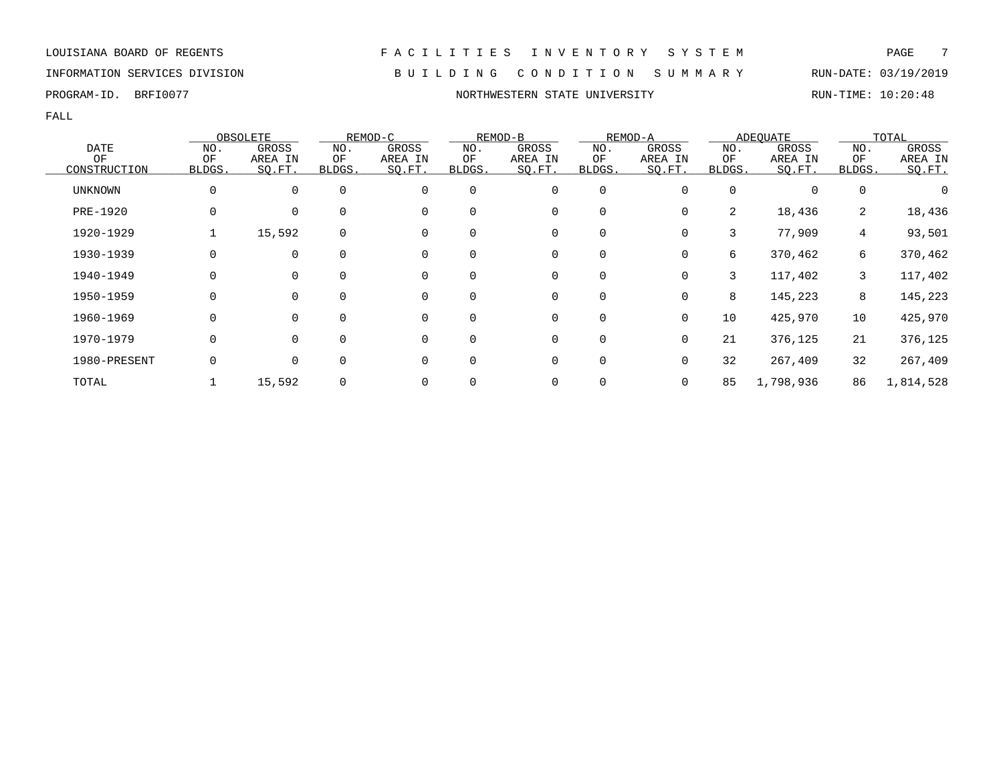### INFORMATION SERVICES DIVISION B U I L D I N G C O N D I T I O N S U M M A R Y RUN-DATE: 03/19/2019

|              |              | OBSOLETE    |             | REMOD-C     |             | REMOD-B |             | REMOD-A  |        | <b>ADEOUATE</b> |                 | TOTAL     |
|--------------|--------------|-------------|-------------|-------------|-------------|---------|-------------|----------|--------|-----------------|-----------------|-----------|
| <b>DATE</b>  | NO.          | GROSS       | NO.         | GROSS       | NO.         | GROSS   | NO.         | GROSS    | NO.    | GROSS           | NO.             | GROSS     |
| ΟF           | ΟF           | AREA IN     | ΟF          | AREA IN     | ΟF          | AREA IN | ΟF          | AREA IN  | ΟF     | AREA IN         | ΟF              | AREA IN   |
| CONSTRUCTION | <b>BLDGS</b> | SQ.FT.      | BLDGS.      | SQ.FT.      | BLDGS.      | SQ.FT.  | BLDGS.      | SQ.FT.   | BLDGS. | SQ.FT.          | BLDGS.          | SQ.FT.    |
| UNKNOWN      | 0            | $\mathbf 0$ | $\mathbf 0$ | $\mathbf 0$ | $\mathbf 0$ | 0       | 0           |          | 0      |                 | 0               |           |
| PRE-1920     | 0            | 0           | $\mathbf 0$ | 0           | $\mathbf 0$ | 0       | 0           |          | 2      | 18,436          | 2               | 18,436    |
| 1920-1929    |              | 15,592      | $\mathbf 0$ | $\Omega$    | $\Omega$    | 0       | $\mathbf 0$ | 0        | 3      | 77,909          | $4\overline{ }$ | 93,501    |
| 1930-1939    | 0            | $\Omega$    | $\Omega$    | $\Omega$    | $\Omega$    | 0       | 0           |          | б.     | 370,462         | 6               | 370,462   |
| 1940-1949    | 0            | 0           | $\mathbf 0$ | 0           | $\mathbf 0$ | 0       | 0           | 0        | 3      | 117,402         | 3               | 117,402   |
| 1950-1959    | 0            | 0           | 0           | 0           | $\mathbf 0$ | 0       | 0           | 0        | 8      | 145,223         | 8               | 145,223   |
| 1960-1969    | 0            | 0           | 0           | 0           | $\mathbf 0$ | 0       | 0           | 0        | 10     | 425,970         | 10              | 425,970   |
| 1970-1979    | 0            | $\mathbf 0$ | $\mathbf 0$ | 0           | 0           | 0       | $\mathbf 0$ | 0        | 21     | 376,125         | 21              | 376,125   |
| 1980-PRESENT | 0            | $\mathbf 0$ | $\mathbf 0$ | $\Omega$    | $\Omega$    | 0       | $\mathbf 0$ | $\Omega$ | 32     | 267,409         | 32              | 267,409   |
| TOTAL        |              | 15,592      | $\mathbf 0$ | 0           |             | 0       | 0           | 0        | 85     | 1,798,936       | 86              | 1,814,528 |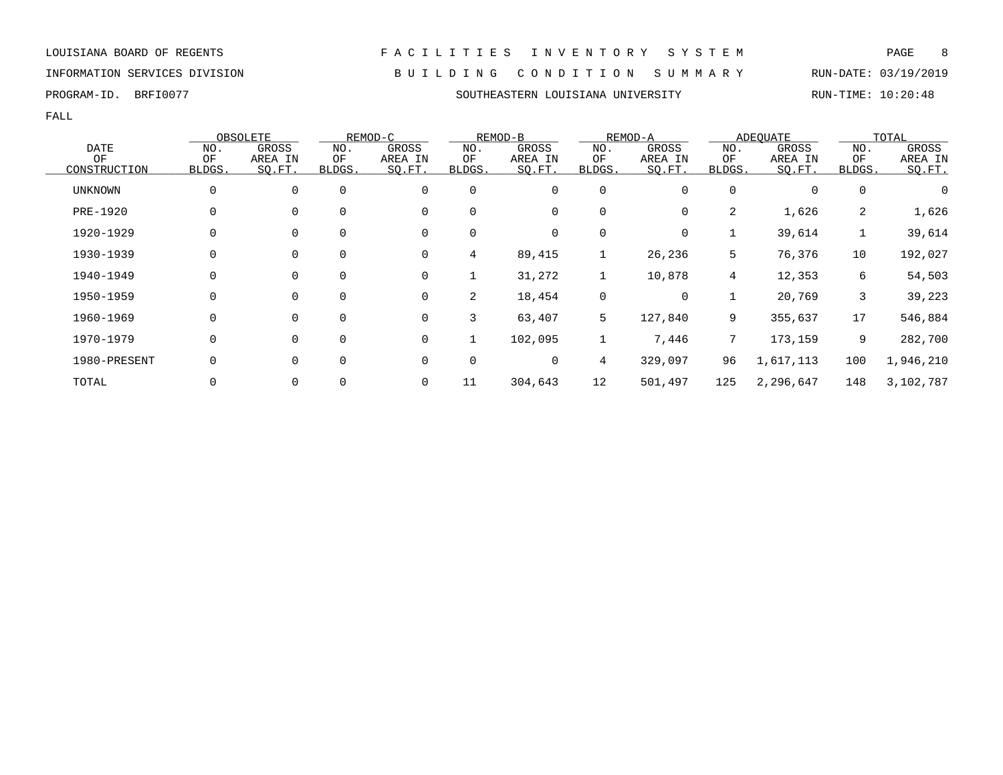INFORMATION SERVICES DIVISION B U I L D I N G C O N D I T I O N S U M M A R Y RUN-DATE: 03/19/2019

### PROGRAM-ID. BRFI0077 SOUTHEASTERN LOUISIANA UNIVERSITY RUN-TIME: 10:20:48

|              |        | OBSOLETE    |               | REMOD-C     |        | REMOD-B |             | REMOD-A |             | <b>ADEOUATE</b> |             | TOTAL     |
|--------------|--------|-------------|---------------|-------------|--------|---------|-------------|---------|-------------|-----------------|-------------|-----------|
| <b>DATE</b>  | NO.    | GROSS       | NO.           | GROSS       | NO.    | GROSS   | NO.         | GROSS   | NO.         | GROSS           | NO.         | GROSS     |
| OF           | OF     | AREA IN     | ΟF            | AREA IN     | ΟF     | AREA IN | OF          | AREA IN | ΟF          | AREA IN         | OF          | AREA IN   |
| CONSTRUCTION | BLDGS. | SO.FT.      | <b>BLDGS.</b> | SO.FT.      | BLDGS. | SQ.FT.  | BLDGS.      | SQ.FT.  | BLDGS.      | SQ.FT.          | BLDGS.      | SQ.FT.    |
| UNKNOWN      | 0      | $\Omega$    | $\mathbf 0$   | $\mathbf 0$ | 0      | 0       | 0           | 0       | 0           | 0               | $\mathbf 0$ | 0         |
| PRE-1920     | 0      | 0           | 0             | 0           | 0      | 0       | 0           | 0       | 2           | 1,626           | 2           | 1,626     |
| 1920-1929    | 0      | 0           | $\mathbf 0$   | 0           | 0      | 0       | 0           | 0       |             | 39,614          |             | 39,614    |
| 1930-1939    | 0      | $\mathbf 0$ | $\mathbf 0$   | $\mathbf 0$ | 4      | 89,415  | $\mathbf 1$ | 26,236  | 5           | 76,376          | 10          | 192,027   |
| 1940-1949    | 0      | 0           | $\mathbf 0$   | 0           |        | 31,272  | 1           | 10,878  | 4           | 12,353          | 6           | 54,503    |
| 1950-1959    | 0      | $\Omega$    | 0             | $\mathbf 0$ | 2      | 18,454  | $\mathbf 0$ | 0       |             | 20,769          | 3           | 39,223    |
| 1960-1969    | 0      | $\Omega$    | $\mathbf 0$   | $\mathbf 0$ | 3      | 63,407  | 5           | 127,840 | 9           | 355,637         | 17          | 546,884   |
| 1970-1979    | 0      | 0           | $\mathbf 0$   | $\mathbf 0$ |        | 102,095 | 1           | 7,446   | $7^{\circ}$ | 173,159         | 9           | 282,700   |
| 1980-PRESENT | 0      | 0           | 0             | 0           | 0      | 0       | 4           | 329,097 | 96          | 1,617,113       | 100         | 1,946,210 |
| TOTAL        |        | 0           | 0             | 0           | 11     | 304,643 | 12          | 501,497 | 125         | 2,296,647       | 148         | 3,102,787 |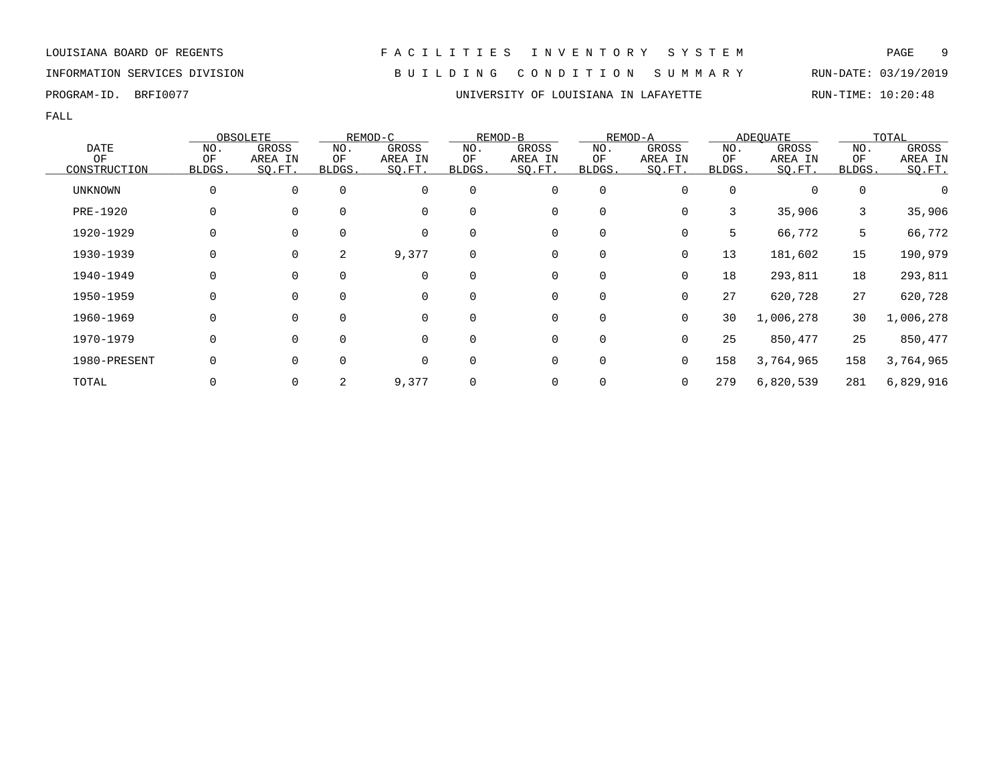FALL

|                |        | OBSOLETE       |          | REMOD-C |          | REMOD-B |             | REMOD-A     |          | ADEOUATE  |             | TOTAL     |
|----------------|--------|----------------|----------|---------|----------|---------|-------------|-------------|----------|-----------|-------------|-----------|
| <b>DATE</b>    | NO.    | GROSS          | NO.      | GROSS   | NO.      | GROSS   | NO.         | GROSS       | NO.      | GROSS     | NO.         | GROSS     |
| ΟF             | ΟF     | AREA IN        | ΟF       | AREA IN | ΟF       | AREA IN | ΟF          | AREA IN     | ΟF       | AREA IN   | ΟF          | AREA IN   |
| CONSTRUCTION   | BLDGS. | SQ.FT.         | BLDGS.   | SQ.FT.  | BLDGS.   | SQ.FT.  | BLDGS.      | SQ.FT.      | BLDGS.   | SO.FT.    | BLDGS.      | SO.FT.    |
| <b>UNKNOWN</b> | 0      | $\mathbf{0}$   | $\Omega$ | 0       | $\Omega$ | 0       | $\mathbf 0$ | 0           | $\Omega$ | $\Omega$  | $\mathbf 0$ |           |
| PRE-1920       | 0      | $\mathbf 0$    | $\Omega$ | 0       | $\Omega$ | 0       | 0           | 0           | 3        | 35,906    | 3           | 35,906    |
| 1920-1929      |        | 0              | $\Omega$ | 0       | $\Omega$ | 0       | $\mathbf 0$ | 0           | 5        | 66,772    | 5           | 66,772    |
| 1930-1939      | 0      | 0              | 2        | 9,377   | 0        | 0       | 0           | 0           | 13       | 181,602   | 15          | 190,979   |
| 1940-1949      |        | $\overline{0}$ | $\Omega$ | 0       | 0        | 0       | 0           | 0           | 18       | 293,811   | 18          | 293,811   |
| 1950-1959      |        | $\mathbf{0}$   | $\Omega$ | 0       | $\Omega$ | 0       | 0           | 0           | 27       | 620,728   | 27          | 620,728   |
| 1960-1969      |        | $\mathbf{0}$   | $\Omega$ | 0       | $\Omega$ | 0       | 0           | 0           | 30       | 1,006,278 | 30          | 1,006,278 |
| 1970-1979      | 0      | $\mathbf{0}$   | $\Omega$ | 0       | $\Omega$ | 0       | $\mathbf 0$ | $\Omega$    | 25       | 850,477   | 25          | 850,477   |
| 1980-PRESENT   | O      | $\mathbf{0}$   | $\Omega$ | 0       | $\Omega$ | 0       | $\mathbf 0$ | $\mathbf 0$ | 158      | 3,764,965 | 158         | 3,764,965 |
| TOTAL          |        | 0              | 2        | 9,377   | 0        | 0       | 0           | 0           | 279      | 6,820,539 | 281         | 6,829,916 |

INFORMATION SERVICES DIVISION B U I L D I N G C O N D I T I O N S U M M A R Y RUN-DATE: 03/19/2019 PROGRAM-ID. BRFI0077 **EXAM-ID.** BRFI0077 **EXAM-ID.** BRFING THE RUN-TIME: 10:20:48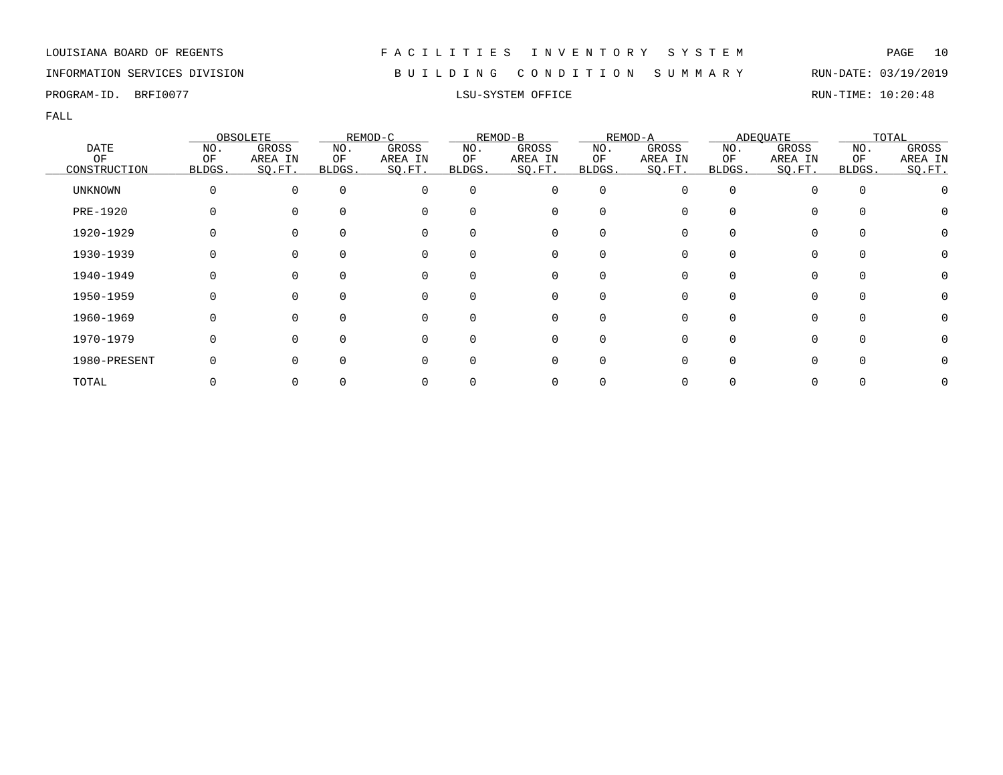### INFORMATION SERVICES DIVISION B U I L D I N G C O N D I T I O N S U M M A R Y RUN-DATE: 03/19/2019

PROGRAM-ID. BRFI0077 **EXELL**SU-SYSTEM OFFICE **RUN-TIME: 10:20:48** 

|              |          | OBSOLETE |             | REMOD-C  |             | REMOD-B  |             | REMOD-A |              | <b>ADEQUATE</b> |             | TOTAL   |
|--------------|----------|----------|-------------|----------|-------------|----------|-------------|---------|--------------|-----------------|-------------|---------|
| <b>DATE</b>  | NO.      | GROSS    | NO.         | GROSS    | NO.         | GROSS    | NO.         | GROSS   | NO.          | GROSS           | NO.         | GROSS   |
| ΟF           | OF       | AREA IN  | ΟF          | AREA IN  | ΟF          | AREA IN  | ΟF          | AREA IN | ΟF           | AREA IN         | ΟF          | AREA IN |
| CONSTRUCTION | BLDGS.   | SO.FT.   | BLDGS.      | SQ.FT.   | BLDGS.      | SQ.FT.   | BLDGS.      | SQ.FT.  | <b>BLDGS</b> | SQ.FT.          | BLDGS.      | SQ.FT.  |
| UNKNOWN      | 0        | $\Omega$ | $\mathbf 0$ | 0        | $\mathbf 0$ | 0        | 0           |         | $\Omega$     | $\Omega$        | $\mathbf 0$ |         |
| PRE-1920     |          | $\Omega$ | $\Omega$    | 0        | 0           | 0        | 0           |         |              | 0               | $\Omega$    |         |
| 1920-1929    |          | $\Omega$ | $\mathbf 0$ | 0        | 0           | 0        | 0           |         |              | 0               | 0           | 0       |
| 1930-1939    |          | $\Omega$ | 0           | 0        | 0           | 0        | 0           |         |              | $\Omega$        | 0           |         |
| 1940-1949    |          | $\Omega$ | $\Omega$    | 0        | $\Omega$    | 0        | $\Omega$    |         | 0            | $\Omega$        | $\Omega$    | 0       |
| 1950-1959    | $\Omega$ | $\Omega$ | $\Omega$    | $\Omega$ | $\Omega$    | $\Omega$ | $\Omega$    |         | 0            | $\Omega$        | $\Omega$    |         |
| 1960-1969    |          | $\Omega$ | $\Omega$    | $\Omega$ | $\Omega$    | $\Omega$ | $\Omega$    |         |              | $\Omega$        | $\Omega$    |         |
| 1970-1979    |          | $\Omega$ | $\Omega$    | 0        | $\Omega$    | 0        | 0           |         |              | $\Omega$        | $\Omega$    |         |
| 1980-PRESENT |          | $\Omega$ | $\Omega$    | 0        | $\Omega$    | 0        | $\mathbf 0$ |         |              | $\Omega$        | $\mathbf 0$ |         |
| TOTAL        |          |          |             | 0        |             | 0        |             |         |              |                 |             |         |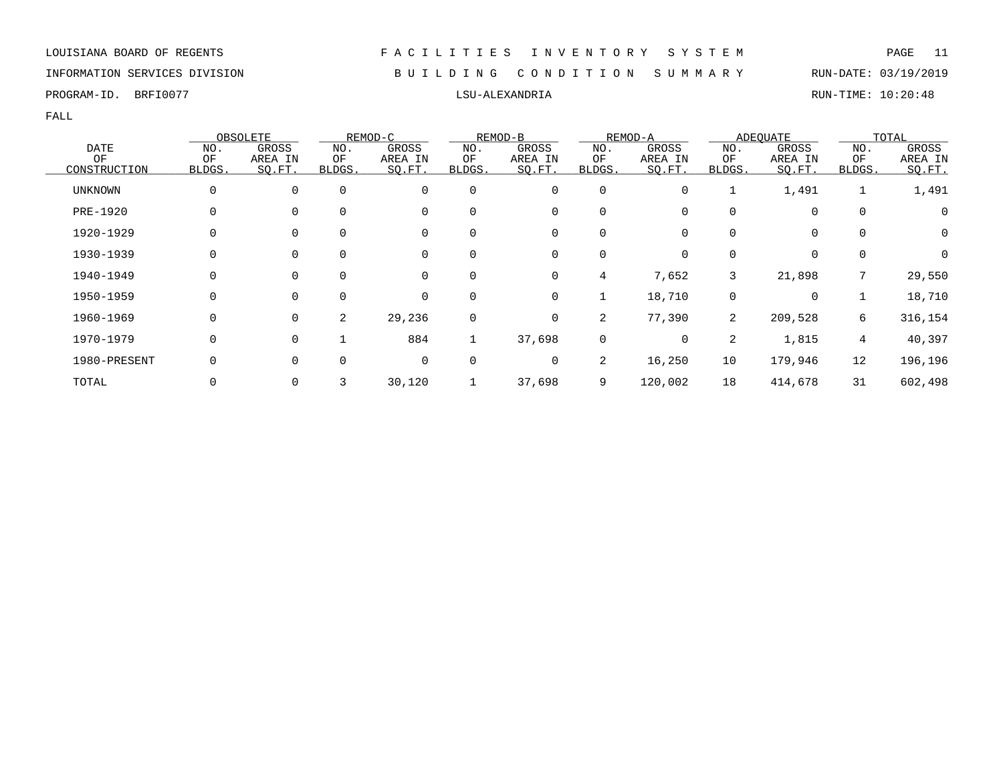### INFORMATION SERVICES DIVISION B U I L D I N G C O N D I T I O N S U M M A R Y RUN-DATE: 03/19/2019

|                |        | OBSOLETE    |             | REMOD-C |             | REMOD-B |                | REMOD-A |                | <b>ADEOUATE</b> |                | TOTAL   |
|----------------|--------|-------------|-------------|---------|-------------|---------|----------------|---------|----------------|-----------------|----------------|---------|
| <b>DATE</b>    | NO.    | GROSS       | NO.         | GROSS   | NO.         | GROSS   | NO.            | GROSS   | NO.            | GROSS           | NO.            | GROSS   |
| OF             | OF     | AREA IN     | ΟF          | AREA IN | ΟF          | AREA IN | OF             | AREA IN | ΟF             | AREA IN         | OF             | AREA IN |
| CONSTRUCTION   | BLDGS. | SQ.FT.      | BLDGS.      | SQ.FT.  | BLDGS.      | SQ.FT.  | BLDGS.         | SQ.FT.  | BLDGS.         | SQ.FT.          | BLDGS.         | SQ.FT.  |
| <b>UNKNOWN</b> | 0      | $\mathbf 0$ | $\mathbf 0$ | 0       | 0           | 0       | 0              | 0       |                | 1,491           | $\mathbf 1$    | 1,491   |
| PRE-1920       | 0      | 0           | 0           | 0       | 0           | 0       | 0              |         | 0              | 0               | 0              | 0       |
| 1920-1929      | 0      | 0           | $\mathbf 0$ | 0       | 0           | 0       | 0              | 0       | $\Omega$       | 0               | 0              | 0       |
| 1930-1939      | 0      | $\mathbf 0$ | $\Omega$    | 0       | $\Omega$    | 0       | 0              | 0       |                | 0               | 0              | 0       |
| 1940-1949      | 0      | $\mathbf 0$ | $\Omega$    | 0       | $\Omega$    | 0       | 4              | 7,652   | 3              | 21,898          | 7              | 29,550  |
| 1950-1959      | 0      | $\mathbf 0$ | $\Omega$    | 0       | $\Omega$    | 0       |                | 18,710  | 0              | 0               |                | 18,710  |
| 1960-1969      | 0      | $\mathbf 0$ | 2           | 29,236  | $\mathbf 0$ | 0       | 2              | 77,390  | $\overline{2}$ | 209,528         | 6              | 316,154 |
| 1970-1979      | 0      | $\mathbf 0$ |             | 884     |             | 37,698  | 0              | 0       | 2              | 1,815           | $\overline{4}$ | 40,397  |
| 1980-PRESENT   | 0      | 0           | $\mathbf 0$ | 0       | 0           | 0       | $\overline{2}$ | 16,250  | 10             | 179,946         | 12             | 196,196 |
| TOTAL          | 0      | 0           | 3           | 30,120  |             | 37,698  | 9              | 120,002 | 18             | 414,678         | 31             | 602,498 |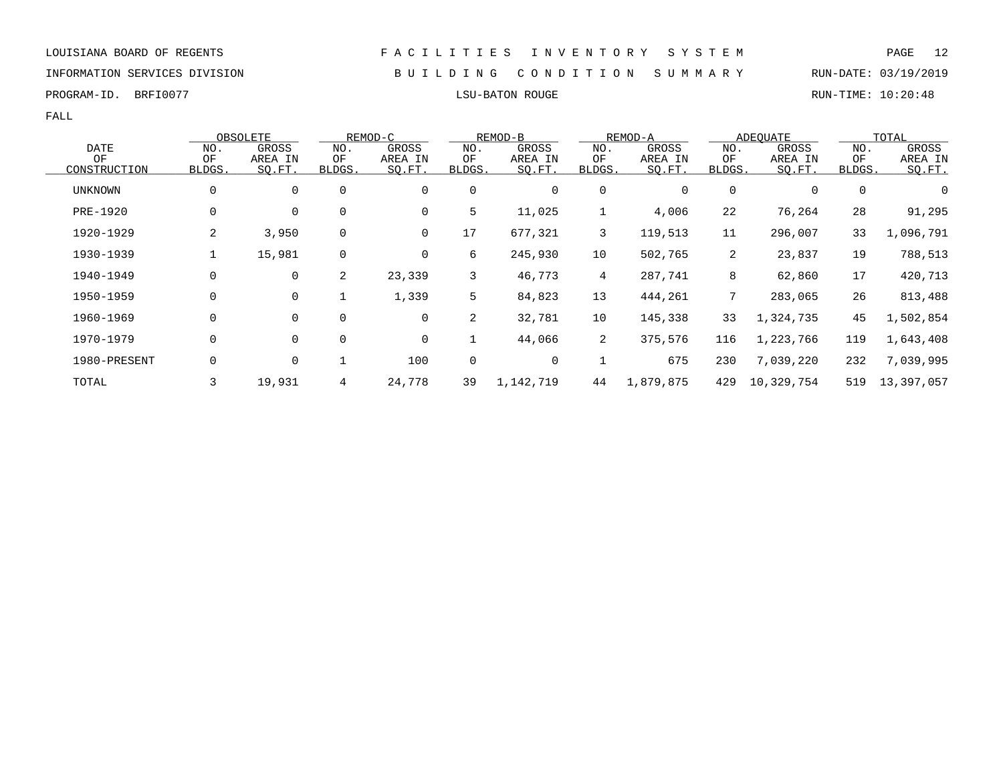INFORMATION SERVICES DIVISION B U I L D I N G C O N D I T I O N S U M M A R Y RUN-DATE: 03/19/2019

PROGRAM-ID. BRFI0077 **EXELLENT SEE A SECULIARY SECULIARY SECULIARY SECULIARY SECULIARY SECULIARY SECULIARY SECULIARY SECULIARY SECULIARY SECULIARY SECULIARY SECULIARY SECULIARY SECULIARY SECULIARY SECULIARY SECULIARY SECUL** 

|                    |              | OBSOLETE          |                | REMOD-C           |              | REMOD-B           |                 | REMOD-A           |                | ADEQUATE          |              | TOTAL             |
|--------------------|--------------|-------------------|----------------|-------------------|--------------|-------------------|-----------------|-------------------|----------------|-------------------|--------------|-------------------|
| <b>DATE</b>        | NO.          | GROSS             | NO.            | GROSS             | NO.          | GROSS             | NO.             | GROSS             | NO.            | GROSS             | NO.          | GROSS             |
| OF<br>CONSTRUCTION | ΟF<br>BLDGS. | AREA IN<br>SO.FT. | OF<br>BLDGS.   | AREA IN<br>SQ.FT. | ΟF<br>BLDGS. | AREA IN<br>SQ.FT. | OF<br>BLDGS.    | AREA IN<br>SQ.FT. | ΟF<br>BLDGS.   | AREA IN<br>SQ.FT. | ΟF<br>BLDGS. | AREA IN<br>SO.FT. |
| UNKNOWN            | 0            | 0                 | 0              | 0                 | 0            | 0                 | 0               | 0                 | 0              | 0                 | 0            | 0                 |
| <b>PRE-1920</b>    | 0            | $\mathbf 0$       | $\mathbf 0$    | $\mathbf 0$       | 5            | 11,025            | $\mathbf 1$     | 4,006             | 22             | 76,264            | 28           | 91,295            |
| 1920-1929          | 2            | 3,950             | 0              | 0                 | 17           | 677,321           | 3               | 119,513           | 11             | 296,007           | 33           | 1,096,791         |
| 1930-1939          |              | 15,981            | 0              | 0                 | 6            | 245,930           | 10              | 502,765           | $\overline{2}$ | 23,837            | 19           | 788,513           |
| 1940-1949          | 0            | 0                 | $\overline{2}$ | 23,339            | 3            | 46,773            | $4\overline{ }$ | 287,741           | 8              | 62,860            | 17           | 420,713           |
| 1950-1959          | 0            | $\mathbf 0$       |                | 1,339             | 5            | 84,823            | 13              | 444,261           |                | 283,065           | 26           | 813,488           |
| 1960-1969          | 0            | 0                 | $\mathbf 0$    | 0                 | 2            | 32,781            | 10              | 145,338           | 33             | 1,324,735         | 45           | 1,502,854         |
| 1970-1979          | 0            | $\mathbf 0$       | $\mathbf 0$    | 0                 |              | 44,066            | $\overline{2}$  | 375,576           | 116            | 1,223,766         | 119          | 1,643,408         |
| 1980-PRESENT       | 0            | 0                 |                | 100               | 0            | 0                 | 1               | 675               | 230            | 7,039,220         | 232          | 7,039,995         |
| TOTAL              | 3            | 19,931            | 4              | 24,778            | 39           | 1,142,719         | 44              | 1,879,875         | 429            | 10,329,754        | 519          | 13,397,057        |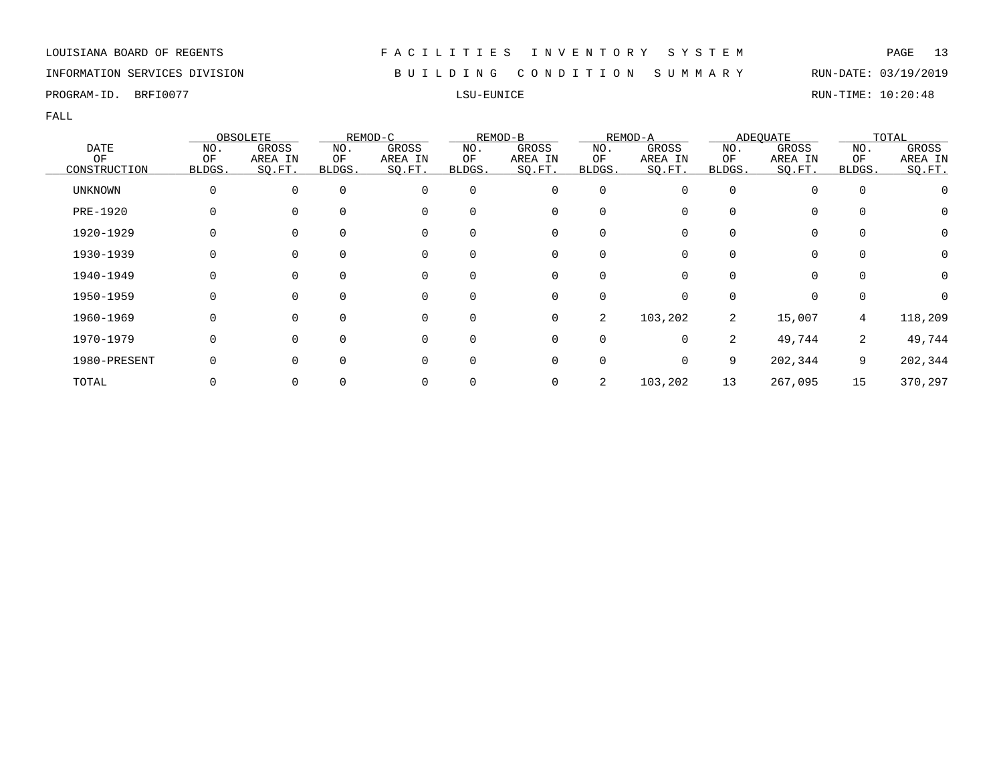### INFORMATION SERVICES DIVISION B U I L D I N G C O N D I T I O N S U M M A R Y RUN-DATE: 03/19/2019

PROGRAM-ID. BRFI0077 LSU-EUNICE RUN-TIME: 10:20:48

|                 |        | OBSOLETE |          | REMOD-C  |          | REMOD-B     |                | REMOD-A |        | <b>ADEQUATE</b> |             | TOTAL   |
|-----------------|--------|----------|----------|----------|----------|-------------|----------------|---------|--------|-----------------|-------------|---------|
| <b>DATE</b>     | NO.    | GROSS    | NO.      | GROSS    | NO.      | GROSS       | NO.            | GROSS   | NO.    | GROSS           | NO.         | GROSS   |
| OF              | ΟF     | AREA IN  | ΟF       | AREA IN  | ΟF       | AREA IN     | ΟF             | AREA IN | ΟF     | AREA IN         | ΟF          | AREA IN |
| CONSTRUCTION    | BLDGS. | SO.FT.   | BLDGS.   | SQ.FT.   | BLDGS.   | SO.FT.      | BLDGS.         | SQ.FT.  | BLDGS. | SQ.FT.          | BLDGS.      | SO.FT.  |
| <b>UNKNOWN</b>  | 0      | $\Omega$ | $\Omega$ | 0        | $\Omega$ | 0           | $\mathbf 0$    |         |        |                 | $\mathbf 0$ |         |
| <b>PRE-1920</b> | 0      | $\Omega$ | $\Omega$ | 0        | 0        | 0           | 0              |         |        | $\Omega$        | 0           | 0       |
| 1920-1929       |        | $\Omega$ |          | 0        | 0        | 0           | $\Omega$       |         |        | 0               | 0           | 0       |
| 1930-1939       |        | $\Omega$ |          | 0        | 0        | 0           |                |         |        |                 | 0           | 0       |
| 1940-1949       |        | $\Omega$ | $\Omega$ | 0        | $\Omega$ | 0           | $\Omega$       |         |        | $\Omega$        | 0           | 0       |
| 1950-1959       | 0      | $\Omega$ | $\Omega$ | 0        | $\Omega$ | $\mathbf 0$ | $\Omega$       | 0       |        | $\Omega$        | $\Omega$    | 0       |
| 1960-1969       | O      | $\Omega$ |          | $\Omega$ | $\Omega$ | 0           | 2              | 103,202 | 2      | 15,007          | 4           | 118,209 |
| 1970-1979       | 0      | $\Omega$ | $\Omega$ | 0        | $\Omega$ | 0           | 0              | 0       | 2      | 49,744          | 2           | 49,744  |
| 1980-PRESENT    |        | $\Omega$ | $\Omega$ | 0        | 0        | 0           | $\mathbf 0$    | 0       | 9      | 202,344         | 9           | 202,344 |
| TOTAL           |        |          |          | 0        |          | 0           | $\overline{2}$ | 103,202 | 13     | 267,095         | 15          | 370,297 |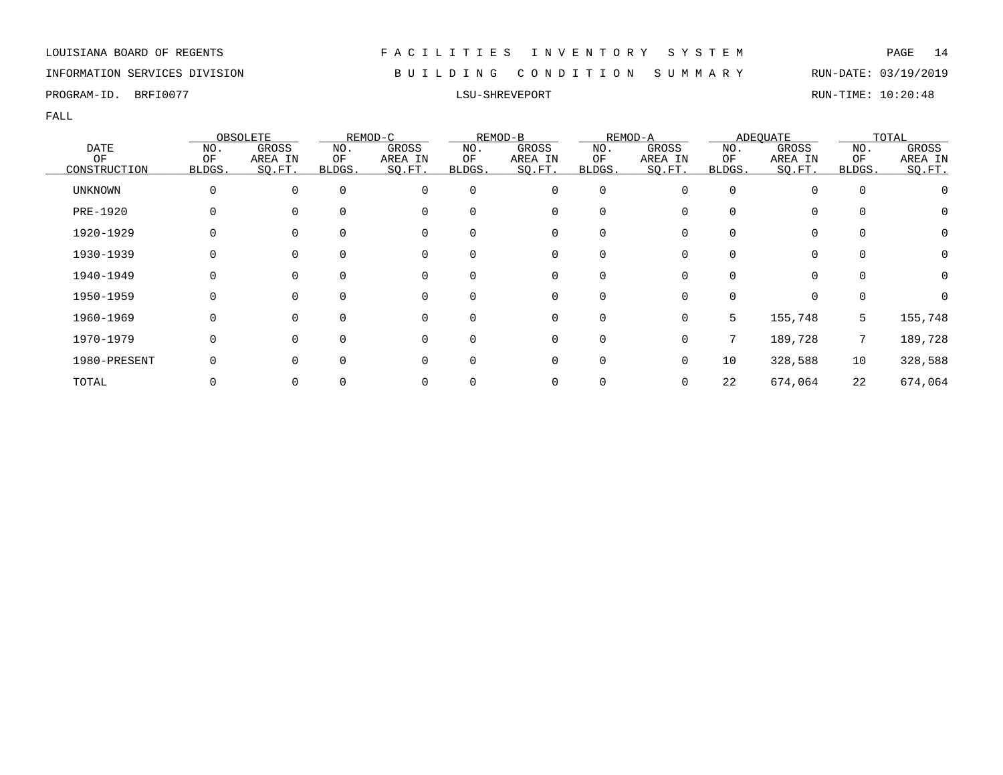### INFORMATION SERVICES DIVISION B U I L D I N G C O N D I T I O N S U M M A R Y RUN-DATE: 03/19/2019

PROGRAM-ID. BRFI0077 LSU-SHREVEPORT RUN-TIME: 10:20:48

|                 |        | OBSOLETE |          | REMOD-C  |          | REMOD-B     |             | REMOD-A |          | <b>ADEQUATE</b> |             | TOTAL   |
|-----------------|--------|----------|----------|----------|----------|-------------|-------------|---------|----------|-----------------|-------------|---------|
| <b>DATE</b>     | NO.    | GROSS    | NO.      | GROSS    | NO.      | GROSS       | NO.         | GROSS   | NO.      | GROSS           | NO.         | GROSS   |
| OF              | ΟF     | AREA IN  | ОF       | AREA IN  | ΟF       | AREA IN     | ΟF          | AREA IN | ΟF       | AREA IN         | ΟF          | AREA IN |
| CONSTRUCTION    | BLDGS. | SO.FT.   | BLDGS.   | SQ.FT.   | BLDGS.   | SO.FT.      | BLDGS.      | SQ.FT.  | BLDGS.   | SQ.FT.          | BLDGS.      | SO.FT.  |
| <b>UNKNOWN</b>  | 0      | $\Omega$ | $\Omega$ | 0        | $\Omega$ | 0           | $\mathbf 0$ | O       | $\Omega$ |                 | $\mathbf 0$ |         |
| <b>PRE-1920</b> | 0      | $\Omega$ | $\Omega$ | 0        | 0        | 0           | 0           |         |          | $\Omega$        | 0           | Ü       |
| 1920-1929       | N      | $\Omega$ |          | 0        | 0        | 0           | $\Omega$    |         |          | 0               | 0           | 0       |
| 1930-1939       |        | 0        |          | 0        | 0        | 0           |             |         |          |                 | 0           | 0       |
| 1940-1949       | O      | $\Omega$ | $\Omega$ | 0        | $\Omega$ | 0           | $\Omega$    |         |          | $\Omega$        | 0           | 0       |
| 1950-1959       | 0      | $\Omega$ | $\Omega$ | 0        | $\Omega$ | $\mathbf 0$ | $\Omega$    | 0       | $\Omega$ | $\Omega$        | 0           |         |
| 1960-1969       | O      | $\Omega$ | 0        | $\Omega$ | $\Omega$ | $\Omega$    | $\Omega$    | 0       | 5        | 155,748         | 5           | 155,748 |
| 1970-1979       | 0      | $\Omega$ | $\Omega$ | 0        | 0        | 0           | $\mathbf 0$ | 0       | 7        | 189,728         | 7           | 189,728 |
| 1980-PRESENT    |        | $\Omega$ | $\Omega$ | 0        | 0        | 0           | $\mathbf 0$ | U       | 10       | 328,588         | 10          | 328,588 |
| TOTAL           |        |          |          | 0        |          | 0           |             |         | 22       | 674,064         | 22          | 674,064 |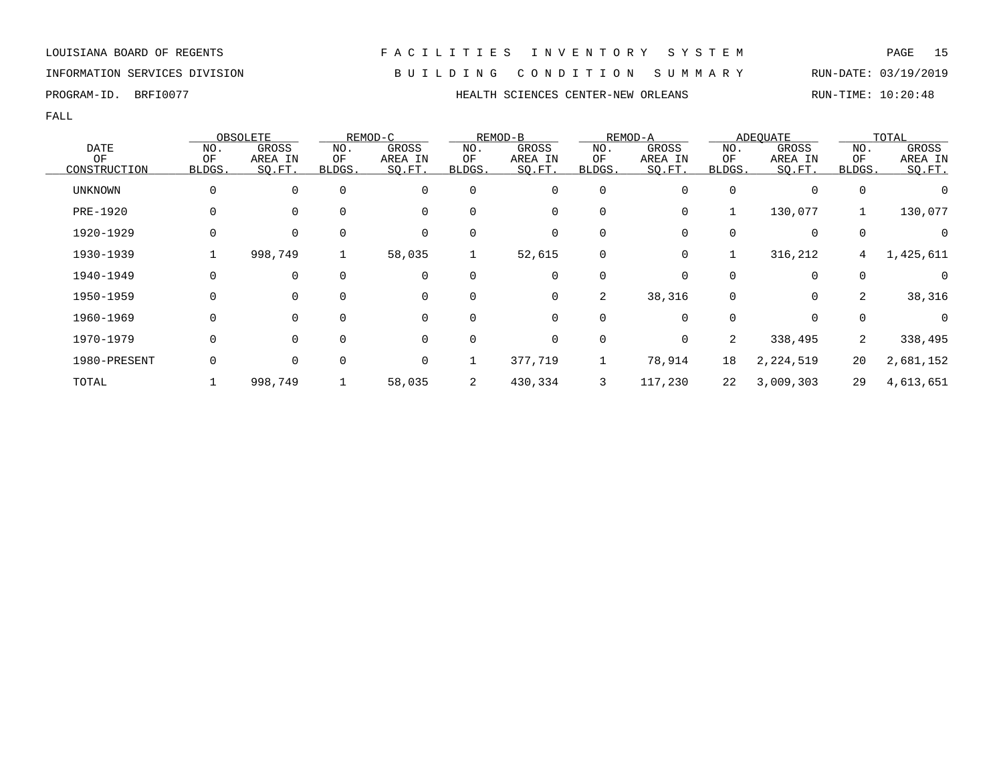LOUISIANA BOARD OF REGENTS F A C I L I T I E S I N V E N T O R Y S Y S T E M PAGE 15 INFORMATION SERVICES DIVISION B U I L D I N G C O N D I T I O N S U M M A R Y RUN-DATE: 03/19/2019

PROGRAM-ID. BRFI0077 **HEALTH SCIENCES CENTER-NEW ORLEANS** RUN-TIME: 10:20:48

|                |          | OBSOLETE     |             | REMOD-C     |          | REMOD-B |          | REMOD-A |        | ADEOUATE    |             | TOTAL     |
|----------------|----------|--------------|-------------|-------------|----------|---------|----------|---------|--------|-------------|-------------|-----------|
| <b>DATE</b>    | NO.      | <b>GROSS</b> | NO.         | GROSS       | NO.      | GROSS   | NO.      | GROSS   | NO.    | GROSS       | NO.         | GROSS     |
| OF             | OF       | AREA IN      | OF          | AREA IN     | OF       | AREA IN | OF       | AREA IN | OF     | AREA IN     | OF          | AREA IN   |
| CONSTRUCTION   | BLDGS.   | SQ.FT.       | BLDGS.      | SQ.FT.      | BLDGS.   | SQ.FT.  | BLDGS.   | SQ.FT.  | BLDGS. | SQ.FT.      | BLDGS.      | SO.FT.    |
| <b>UNKNOWN</b> | $\Omega$ | 0            | $\mathbf 0$ | $\mathbf 0$ | $\Omega$ | 0       | 0        | 0       |        | $\mathbf 0$ | 0           |           |
| PRE-1920       |          | 0            | $\mathbf 0$ | $\mathbf 0$ | $\Omega$ | 0       | 0        | 0       |        | 130,077     |             | 130,077   |
| 1920-1929      | $\Omega$ | 0            | $\mathbf 0$ | $\Omega$    |          | 0       | $\Omega$ |         |        | 0           | $\mathbf 0$ |           |
| 1930-1939      |          | 998,749      |             | 58,035      |          | 52,615  | 0        | 0       |        | 316,212     | 4           | 1,425,611 |
| 1940-1949      |          | $\mathbf 0$  | $\Omega$    | 0           |          | 0       |          |         |        | $\mathbf 0$ | $\Omega$    |           |
| 1950-1959      |          | 0            | $\Omega$    | 0           | 0        | 0       | 2        | 38,316  | 0      | 0           | 2           | 38,316    |
| 1960-1969      |          | 0            | $\Omega$    | 0           |          | 0       |          |         |        | 0           | $\Omega$    | $\Omega$  |
| 1970-1979      | $\Omega$ | $\mathbf 0$  | 0           | $\mathbf 0$ | $\Omega$ | 0       | 0        | 0       | 2      | 338,495     | 2           | 338,495   |
| 1980-PRESENT   |          | $\mathbf 0$  | $\mathbf 0$ | $\mathbf 0$ |          | 377,719 |          | 78,914  | 18     | 2,224,519   | 20          | 2,681,152 |
| TOTAL          |          | 998,749      |             | 58,035      | 2        | 430,334 | 3        | 117,230 | 22     | 3,009,303   | 29          | 4,613,651 |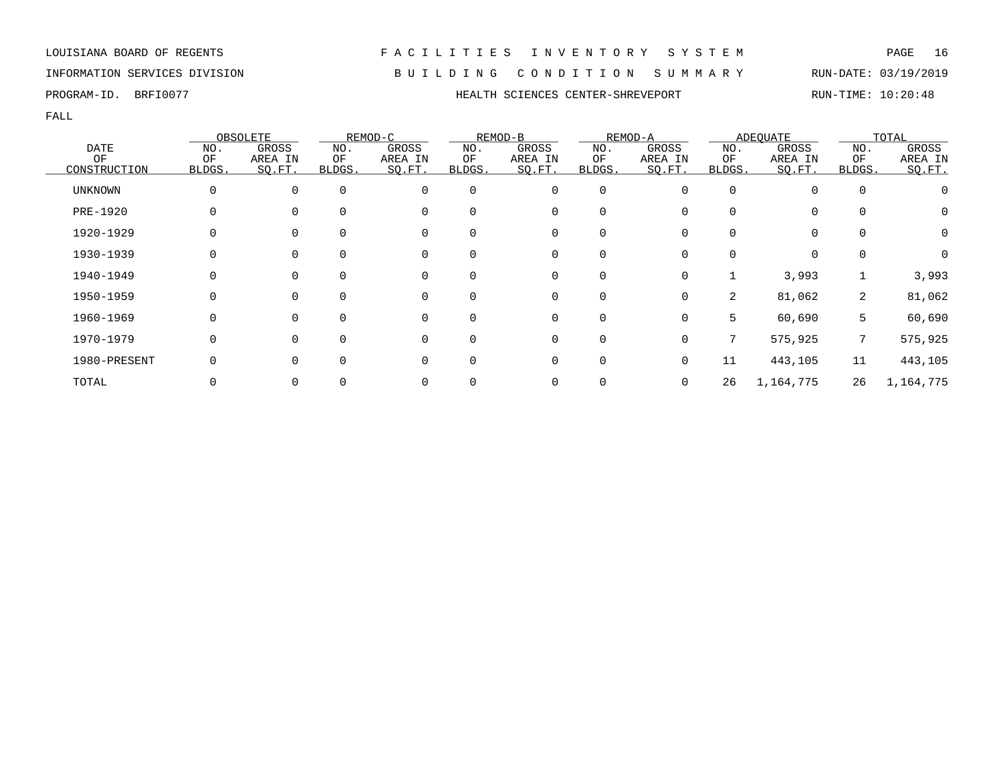### INFORMATION SERVICES DIVISION B U I L D I N G C O N D I T I O N S U M M A R Y RUN-DATE: 03/19/2019

PROGRAM-ID. BRFI0077 **HEALTH SCIENCES CENTER-SHREVEPORT** RUN-TIME: 10:20:48

|              |          | OBSOLETE     |        | REMOD-C  |          | REMOD-B     |             | REMOD-A  |        | ADEOUATE  |                | TOTAL     |
|--------------|----------|--------------|--------|----------|----------|-------------|-------------|----------|--------|-----------|----------------|-----------|
| DATE         | NO.      | <b>GROSS</b> | NO.    | GROSS    | NO.      | GROSS       | NO.         | GROSS    | NO.    | GROSS     | NO.            | GROSS     |
| OF           | OF       | AREA IN      | OF     | AREA IN  | OF       | AREA IN     | OF          | AREA IN  | OF     | AREA IN   | OF             | AREA IN   |
| CONSTRUCTION | BLDGS.   | SQ.FT.       | BLDGS. | SQ.FT.   | BLDGS.   | SQ.FT.      | BLDGS.      | SO.FT.   | BLDGS. | SQ.FT.    | BLDGS.         | SO.FT.    |
| UNKNOWN      | $\Omega$ | $\Omega$     |        | $\Omega$ | $\Omega$ | $\mathbf 0$ | $\mathbf 0$ |          |        | $\Omega$  |                |           |
| PRE-1920     |          |              |        |          |          | 0           | 0           |          |        | 0         |                | O         |
| 1920-1929    |          |              |        |          |          | 0           | 0           |          |        | 0         |                | 0         |
| 1930-1939    |          |              |        |          |          | 0           | 0           |          |        | 0         |                |           |
| 1940-1949    |          |              |        | O        | ∩        | $\Omega$    | $\Omega$    | $\Omega$ |        | 3,993     |                | 3,993     |
| 1950-1959    |          |              |        | $\Omega$ | ∩        | $\Omega$    | $\Omega$    | $\Omega$ | 2      | 81,062    | $\overline{2}$ | 81,062    |
| 1960-1969    |          |              |        | $\Omega$ |          | $\Omega$    | 0           | $\Omega$ | 5      | 60,690    | 5              | 60,690    |
| 1970-1979    |          |              |        | $\Omega$ |          | 0           | 0           |          | 7      | 575,925   | 7              | 575,925   |
| 1980-PRESENT |          |              |        |          |          | 0           | $\mathbf 0$ |          | 11     | 443,105   | 11             | 443,105   |
| TOTAL        |          | 0            |        |          |          | 0           | 0           | 0        | 26     | 1,164,775 | 26             | 1,164,775 |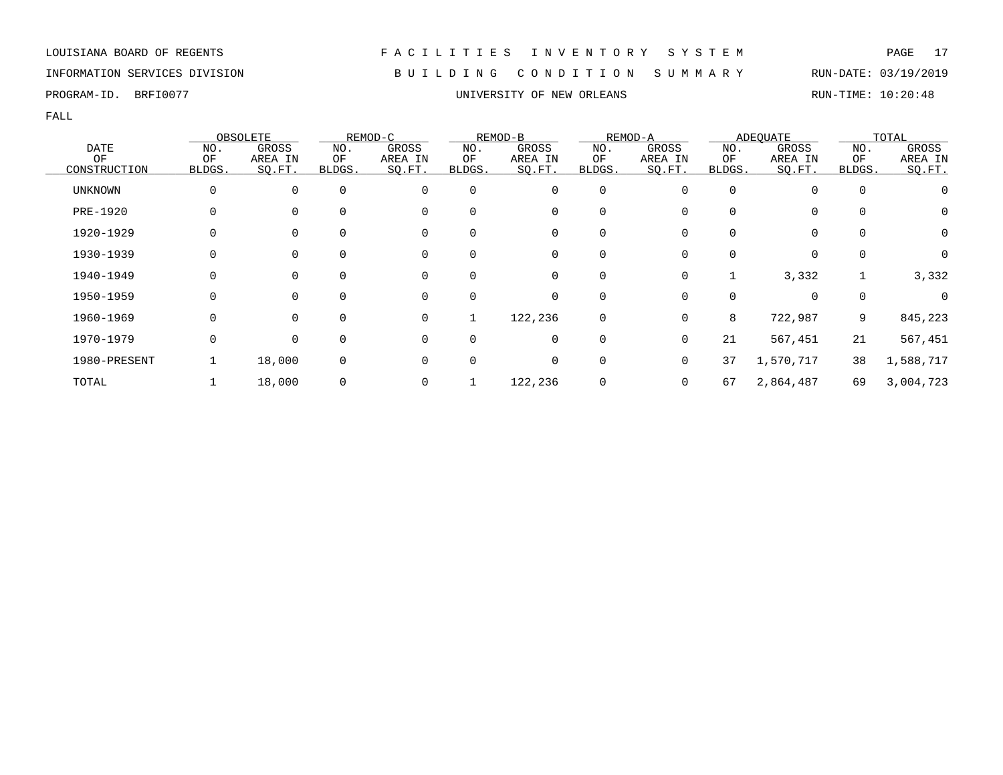### INFORMATION SERVICES DIVISION B U I L D I N G C O N D I T I O N S U M M A R Y RUN-DATE: 03/19/2019

FALL

|                 |        | OBSOLETE    |             | REMOD-C |              | REMOD-B     |             | REMOD-A |          | ADEQUATE  |             | TOTAL     |
|-----------------|--------|-------------|-------------|---------|--------------|-------------|-------------|---------|----------|-----------|-------------|-----------|
| DATE            | NO.    | GROSS       | NO.         | GROSS   | NO.          | GROSS       | NO.         | GROSS   | NO.      | GROSS     | NO.         | GROSS     |
| OF              | OF     | AREA IN     | ΟF          | AREA IN | ΟF           | AREA IN     | ΟF          | AREA IN | ΟF       | AREA IN   | ΟF          | AREA IN   |
| CONSTRUCTION    | BLDGS. | SQ.FT.      | BLDGS.      | SQ.FT.  | BLDGS.       | SO.FT.      | BLDGS.      | SQ.FT.  | BLDGS.   | SQ.FT.    | BLDGS.      | SO.FT.    |
| <b>UNKNOWN</b>  | 0      | $\mathbf 0$ | $\mathbf 0$ | 0       | $\mathbf 0$  | $\mathbf 0$ | $\mathbf 0$ |         | $\Omega$ |           | $\mathbf 0$ |           |
| <b>PRE-1920</b> | 0      | $\mathbf 0$ | $\Omega$    | 0       | $\Omega$     | 0           | 0           |         |          | 0         | 0           | 0         |
| 1920-1929       | 0      | $\mathbf 0$ | 0           | 0       | 0            | 0           | 0           |         | $\Omega$ | 0         | $\mathbf 0$ | 0         |
| 1930-1939       |        | 0           | $\Omega$    | 0       | $\Omega$     | 0           | 0           |         |          | $\Omega$  | $\Omega$    | 0         |
| 1940-1949       | 0      | $\Omega$    | $\Omega$    | 0       | $\Omega$     | 0           | 0           | 0       |          | 3,332     |             | 3,332     |
| 1950-1959       | 0      | $\Omega$    | $\Omega$    | 0       | $\Omega$     | 0           | 0           | U       | O        | $\Omega$  | $\mathbf 0$ |           |
| 1960-1969       | 0      | $\Omega$    | $\Omega$    | 0       |              | 122,236     | 0           | U       | 8        | 722,987   | 9           | 845,223   |
| 1970-1979       | 0      | 0           | $\Omega$    | 0       | $\Omega$     | 0           | 0           | 0       | 21       | 567,451   | 21          | 567,451   |
| 1980-PRESENT    |        | 18,000      | 0           | 0       | <sup>0</sup> | 0           | $\mathbf 0$ | 0       | 37       | 1,570,717 | 38          | 1,588,717 |
| TOTAL           |        | 18,000      | 0           | 0       |              | 122,236     | 0           | 0       | 67       | 2,864,487 | 69          | 3,004,723 |

PROGRAM-ID. BRFI0077 **EXAM-ID.** BRFI0077 **EXAM-ID.** BRFIOUS CONSIDERTING: 10:20:48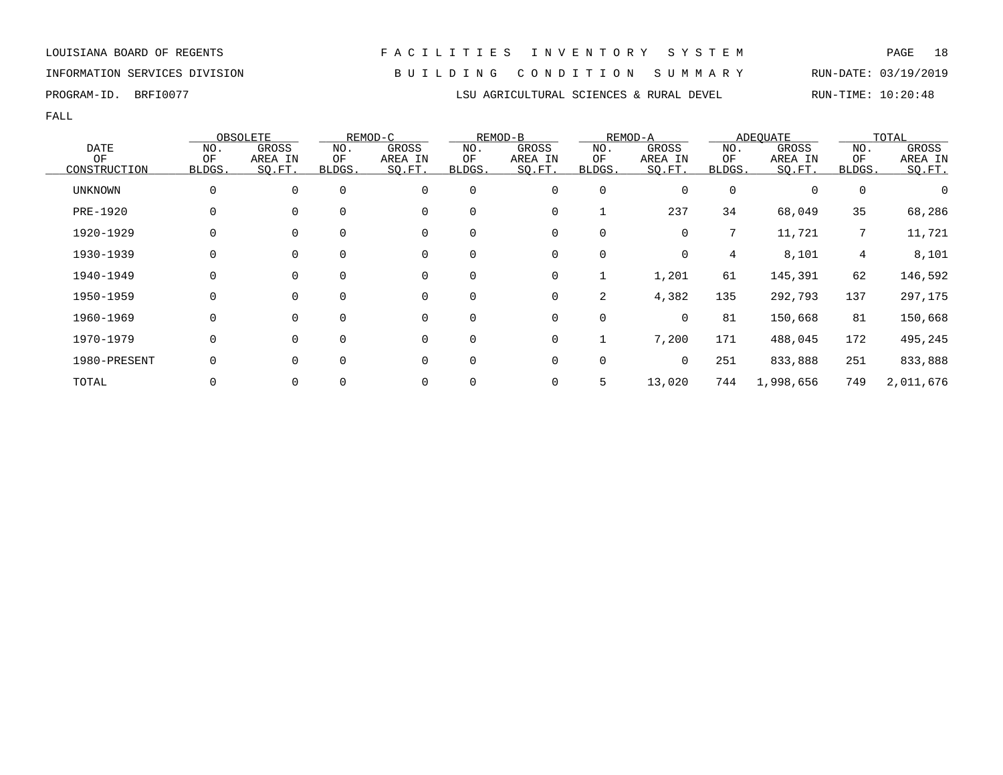FALL

|                |          | OBSOLETE |             | REMOD-C     |          | REMOD-B |        | REMOD-A |          | ADEOUATE  |                | TOTAL            |
|----------------|----------|----------|-------------|-------------|----------|---------|--------|---------|----------|-----------|----------------|------------------|
| <b>DATE</b>    | NO.      | GROSS    | NO.         | GROSS       | NO.      | GROSS   | NO.    | GROSS   | NO.      | GROSS     | NO.            | GROSS            |
| OF             | ΟF       | AREA IN  | ΟF          | AREA IN     | ΟF       | AREA IN | ΟF     | AREA IN | ΟF       | AREA IN   | ΟF             | AREA IN          |
| CONSTRUCTION   | BLDGS.   | SQ.FT.   | BLDGS.      | SQ.FT.      | BLDGS.   | SQ.FT.  | BLDGS. | SQ.FT.  | BLDGS.   | SQ.FT.    | BLDGS.         | SQ.FT.           |
| <b>UNKNOWN</b> | $\Omega$ | $\Omega$ | $\mathbf 0$ | $\mathbf 0$ | 0        | 0       | 0      | 0       | $\Omega$ |           | 0              | $\left( \right)$ |
| PRE-1920       | 0        | $\Omega$ | 0           | $\mathbf 0$ | 0        | 0       |        | 237     | 34       | 68,049    | 35             | 68,286           |
| 1920-1929      | 0        | 0        | 0           | 0           | 0        | 0       | 0      | 0       | 7        | 11,721    | 7              | 11,721           |
| 1930-1939      | 0        | $\Omega$ | $\Omega$    | $\mathbf 0$ | 0        | 0       | 0      | 0       | 4        | 8,101     | $\overline{4}$ | 8,101            |
| 1940-1949      | $\Omega$ | $\Omega$ | $\Omega$    | $\mathbf 0$ | $\Omega$ | 0       | 1      | 1,201   | 61       | 145,391   | 62             | 146,592          |
| 1950-1959      | 0        | $\Omega$ | $\mathbf 0$ | $\mathbf 0$ | 0        | 0       | 2      | 4,382   | 135      | 292,793   | 137            | 297,175          |
| 1960-1969      | 0        | $\Omega$ | $\Omega$    | $\mathbf 0$ | $\Omega$ | 0       | 0      | 0       | 81       | 150,668   | 81             | 150,668          |
| 1970-1979      | 0        | $\Omega$ | $\Omega$    | $\mathbf 0$ | 0        | 0       |        | 7,200   | 171      | 488,045   | 172            | 495,245          |
| 1980-PRESENT   | $\Omega$ | $\Omega$ | $\mathbf 0$ | 0           | 0        | 0       | 0      | 0       | 251      | 833,888   | 251            | 833,888          |
| TOTAL          | 0        | 0        | 0           | $\Omega$    | 0        | 0       | 5      | 13,020  | 744      | 1,998,656 | 749            | 2,011,676        |

# INFORMATION SERVICES DIVISION B U I L D I N G C O N D I T I O N S U M M A R Y RUN-DATE: 03/19/2019

PROGRAM-ID. BRFI0077 **LSU AGRICULTURAL SCIENCES & RURAL DEVEL** RUN-TIME: 10:20:48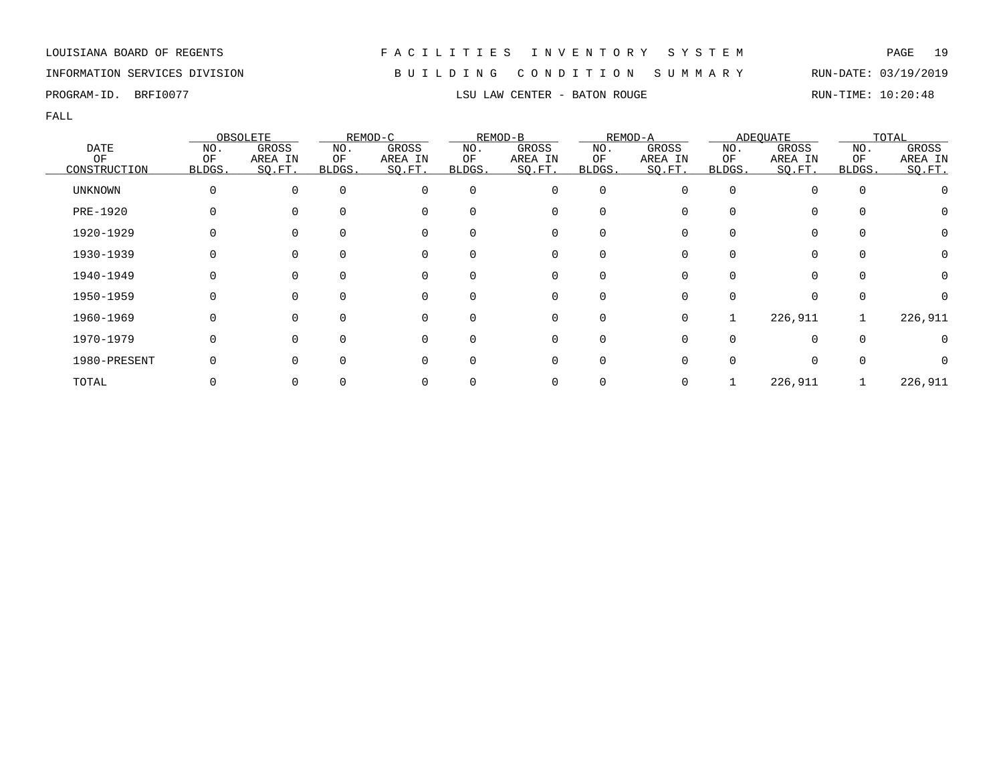### INFORMATION SERVICES DIVISION B U I L D I N G C O N D I T I O N S U M M A R Y RUN-DATE: 03/19/2019

PROGRAM-ID. BRFI0077 **LSU LAW CENTER - BATON ROUGE** RUN-TIME: 10:20:48

|              |              | OBSOLETE |              | REMOD-C     |          | REMOD-B        |          | REMOD-A |          | <b>ADEQUATE</b> |              | TOTAL   |
|--------------|--------------|----------|--------------|-------------|----------|----------------|----------|---------|----------|-----------------|--------------|---------|
| <b>DATE</b>  | NO.          | GROSS    | NO.          | GROSS       | NO.      | GROSS          | NO.      | GROSS   | NO.      | GROSS           | NO.          | GROSS   |
| OF           | OF           | AREA IN  | ΟF           | AREA IN     | ΟF       | AREA IN        | ΟF       | AREA IN | ΟF       | AREA IN         | OF           | AREA IN |
| CONSTRUCTION | BLDGS.       | SQ.FT.   | <b>BLDGS</b> | SQ.FT.      | BLDGS.   | SO.FT.         | BLDGS.   | SO.FT.  | BLDGS.   | SQ.FT.          | <b>BLDGS</b> | SQ.FT.  |
| UNKNOWN      | $\Omega$     | $\Omega$ | $\Omega$     | $\Omega$    | 0        | 0              | 0        |         |          |                 | 0            |         |
| PRE-1920     |              |          | $\Omega$     | $\Omega$    | O        | 0              | 0        |         |          |                 | $\Omega$     | O       |
| 1920-1929    |              |          | $\Omega$     | 0           |          | 0              |          |         |          |                 | 0            | 0       |
| 1930-1939    |              |          | 0            | 0           | 0        | 0              | 0        |         |          |                 | 0            | 0       |
| 1940-1949    | 0            | $\Omega$ | $\Omega$     | 0           | 0        | $\overline{0}$ | $\Omega$ |         | $\Omega$ | $\Omega$        | $\Omega$     | 0       |
| 1950-1959    | <sup>0</sup> | $\Omega$ | $\Omega$     | $\Omega$    |          | $\Omega$       | $\Omega$ |         |          |                 | $\Omega$     |         |
| 1960-1969    | $\Omega$     | $\Omega$ | $\Omega$     | $\mathbf 0$ | $\Omega$ | $\mathbf 0$    | $\Omega$ | 0       |          | 226,911         |              | 226,911 |
| 1970-1979    | $\Omega$     |          | $\Omega$     | $\Omega$    | $\Omega$ | 0              | $\Omega$ |         |          |                 | $\Omega$     |         |
| 1980-PRESENT |              |          | $\Omega$     | 0           |          | 0              |          |         |          |                 |              |         |
| TOTAL        |              |          |              |             |          | 0              |          |         |          | 226,911         |              | 226,911 |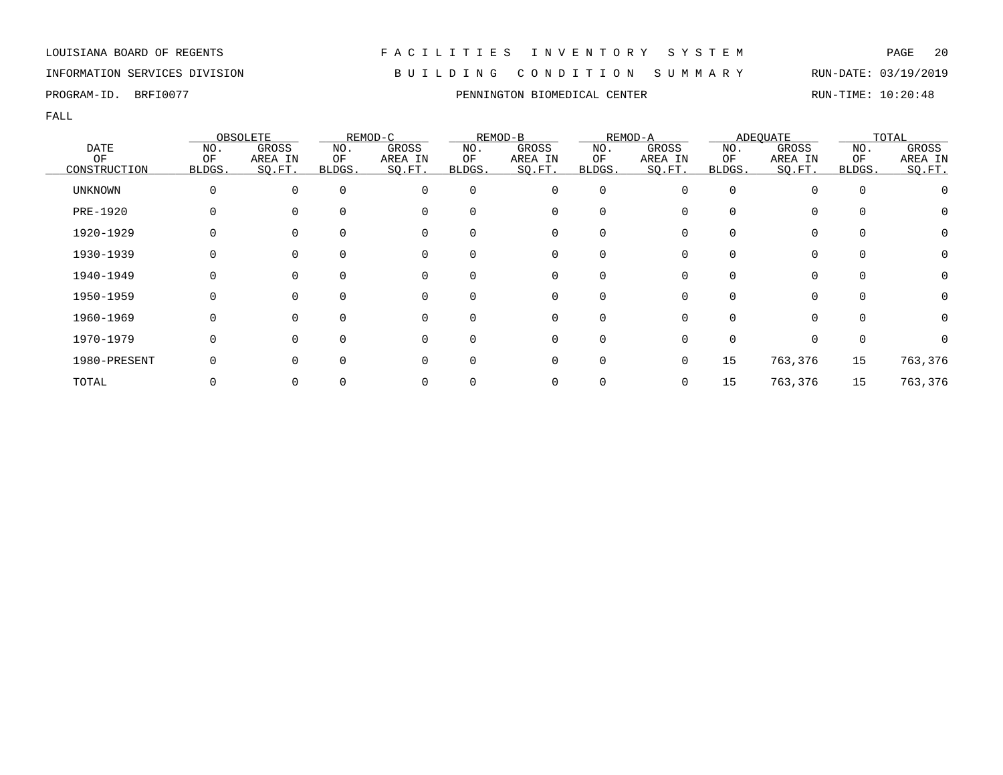### INFORMATION SERVICES DIVISION B U I L D I N G C O N D I T I O N S U M M A R Y RUN-DATE: 03/19/2019

FALL

|                |          | OBSOLETE |          | REMOD-C  |          | REMOD-B  |             | REMOD-A |        | <b>ADEQUATE</b> |          | TOTAL   |
|----------------|----------|----------|----------|----------|----------|----------|-------------|---------|--------|-----------------|----------|---------|
| <b>DATE</b>    | NO.      | GROSS    | NO.      | GROSS    | NO.      | GROSS    | NO.         | GROSS   | NO.    | GROSS           | NO.      | GROSS   |
| ΟF             | ΟF       | AREA IN  | ΟF       | AREA IN  | ΟF       | AREA IN  | ΟF          | AREA IN | ΟF     | AREA IN         | ΟF       | AREA IN |
| CONSTRUCTION   | BLDGS.   | SO.FT.   | BLDGS.   | SQ.FT.   | BLDGS.   | SQ.FT.   | BLDGS.      | SQ.FT.  | BLDGS. | SQ.FT.          | BLDGS.   | SO.FT.  |
| <b>UNKNOWN</b> | $\Omega$ | $\Omega$ | $\Omega$ | $\Omega$ | $\Omega$ | 0        | $\mathbf 0$ | O       |        |                 | $\Omega$ |         |
| PRE-1920       |          |          | $\Omega$ | $\Omega$ | $\Omega$ | 0        | 0           |         |        | 0               |          | $\cup$  |
| 1920-1929      |          |          |          | $\Omega$ |          | 0        | $\Omega$    |         |        | 0               |          |         |
| 1930-1939      |          |          |          | $\Omega$ | 0        | 0        | 0           |         |        | 0               |          |         |
| 1940-1949      |          |          | $\Omega$ | 0        | $\Omega$ | 0        | 0           |         |        | 0               | $\Omega$ |         |
| 1950-1959      | O        |          | $\Omega$ | $\Omega$ | $\Omega$ | 0        | $\Omega$    | O       |        | $\Omega$        | $\Omega$ |         |
| 1960-1969      |          |          | $\Omega$ | ∩        | $\Omega$ | $\Omega$ | $\Omega$    |         |        | 0               |          |         |
| 1970-1979      |          |          | $\Omega$ | $\Omega$ | $\Omega$ | 0        | $\mathbf 0$ |         |        | 0               |          |         |
| 1980-PRESENT   |          |          | $\Omega$ | $\Omega$ | $\Omega$ | 0        | 0           |         | 15     | 763,376         | 15       | 763,376 |
| TOTAL          |          |          |          |          |          | 0        | 0           |         | 15     | 763,376         | 15       | 763,376 |

PROGRAM-ID. BRFI0077 **PENNINGTON BIOMEDICAL CENTER** RUN-TIME: 10:20:48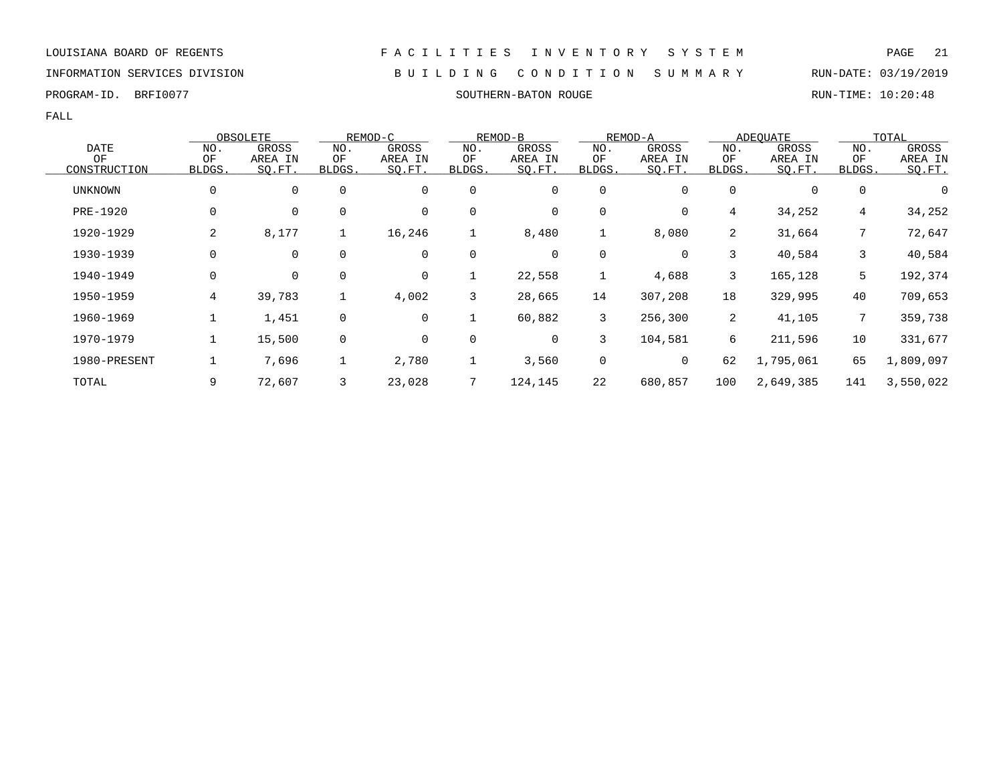PROGRAM-ID. BRFI0077 SOUTHERN-BATON ROUGE RUN-TIME: 10:20:48

FALL

|              |          | OBSOLETE     |              | REMOD-C     |             | REMOD-B |             | REMOD-A |        | <b>ADEOUATE</b> |                 | TOTAL     |
|--------------|----------|--------------|--------------|-------------|-------------|---------|-------------|---------|--------|-----------------|-----------------|-----------|
| <b>DATE</b>  | NO.      | <b>GROSS</b> | NO.          | GROSS       | NO.         | GROSS   | NO.         | GROSS   | NO.    | GROSS           | NO.             | GROSS     |
| OF           | OF       | AREA IN      | ΟF           | AREA IN     | ΟF          | AREA IN | ΟF          | AREA IN | ΟF     | AREA IN         | OF              | AREA IN   |
| CONSTRUCTION | BLDGS.   | SO.FT.       | BLDGS.       | SQ.FT.      | BLDGS.      | SQ.FT.  | BLDGS.      | SQ.FT.  | BLDGS. | SQ.FT.          | BLDGS.          | SO.FT.    |
| UNKNOWN      | 0        | 0            | $\mathbf 0$  | 0           | $\mathbf 0$ | 0       | $\mathbf 0$ | 0       | 0      | 0               | $\mathbf 0$     | 0         |
| PRE-1920     | 0        | 0            | 0            | 0           | 0           | 0       | 0           | 0       | 4      | 34,252          | 4               | 34,252    |
| 1920-1929    | 2        | 8,177        | $\mathbf{1}$ | 16,246      | 1           | 8,480   | 1           | 8,080   | 2      | 31,664          | 7               | 72,647    |
| 1930-1939    | 0        | $\mathbf 0$  | $\mathbf 0$  | 0           | $\mathbf 0$ | 0       | $\mathbf 0$ | 0       | 3      | 40,584          | 3               | 40,584    |
| 1940-1949    | $\Omega$ | 0            | $\mathbf 0$  | $\mathbf 0$ |             | 22,558  | 1           | 4,688   | 3      | 165,128         | 5               | 192,374   |
| 1950-1959    | 4        | 39,783       |              | 4,002       | 3           | 28,665  | 14          | 307,208 | 18     | 329,995         | 40              | 709,653   |
| 1960-1969    |          | 1,451        | 0            | 0           |             | 60,882  | 3           | 256,300 | 2      | 41,105          | $7\overline{ }$ | 359,738   |
| 1970-1979    |          | 15,500       | 0            | 0           | 0           | 0       | 3           | 104,581 | б.     | 211,596         | 10              | 331,677   |
| 1980-PRESENT |          | 7,696        | ᆂ            | 2,780       |             | 3,560   | 0           | 0       | 62     | 1,795,061       | 65              | 1,809,097 |
| TOTAL        | 9        | 72,607       | 3            | 23,028      | 7           | 124,145 | 22          | 680,857 | 100    | 2,649,385       | 141             | 3,550,022 |

INFORMATION SERVICES DIVISION B U I L D I N G C O N D I T I O N S U M M A R Y RUN-DATE: 03/19/2019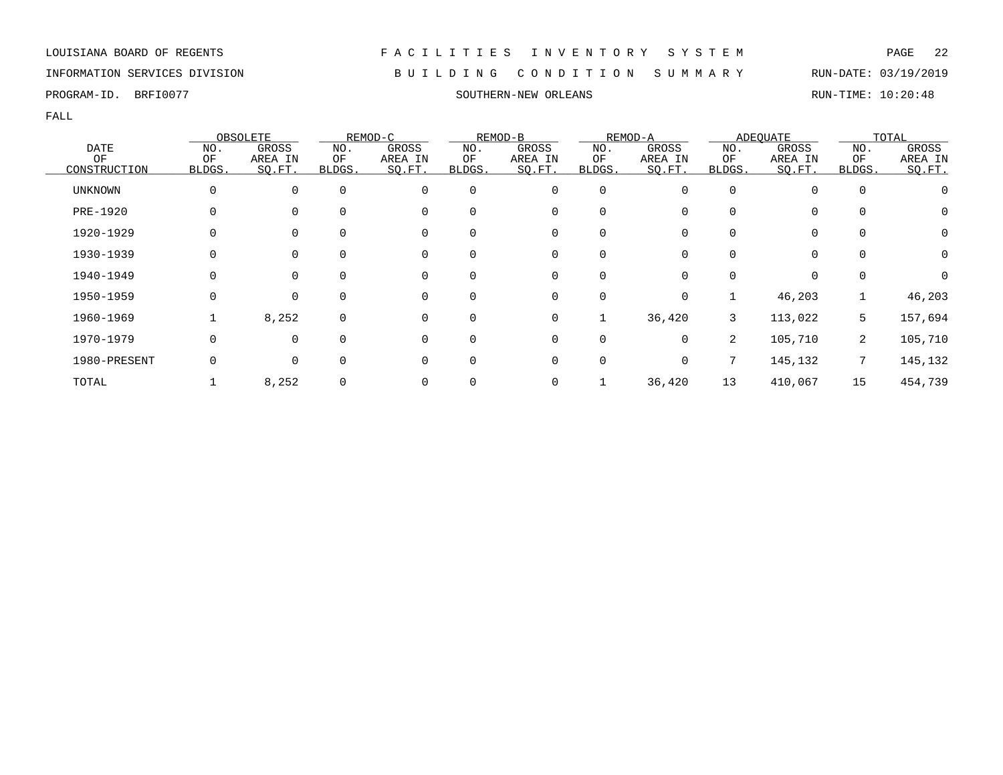INFORMATION SERVICES DIVISION B U I L D I N G C O N D I T I O N S U M M A R Y RUN-DATE: 03/19/2019

PROGRAM-ID. BRFI0077 SOUTHERN-NEW ORLEANS SOUTHERN-NEW ORLEANS RUN-TIME: 10:20:48

FALL

|                |        | OBSOLETE    |             | REMOD-C  |             | REMOD-B     |             | REMOD-A  |                | <b>ADEQUATE</b> |             | TOTAL        |
|----------------|--------|-------------|-------------|----------|-------------|-------------|-------------|----------|----------------|-----------------|-------------|--------------|
| <b>DATE</b>    | NO.    | GROSS       | NO.         | GROSS    | NO.         | GROSS       | NO.         | GROSS    | NO.            | GROSS           | NO.         | <b>GROSS</b> |
| ΟF             | ΟF     | AREA IN     | ΟF          | AREA IN  | ΟF          | AREA IN     | ΟF          | AREA IN  | ΟF             | AREA IN         | ΟF          | AREA IN      |
| CONSTRUCTION   | BLDGS. | SQ.FT.      | BLDGS.      | SQ.FT.   | BLDGS.      | SQ.FT.      | BLDGS.      | SQ.FT.   | BLDGS.         | SO.FT.          | BLDGS.      | SQ.FT.       |
| <b>UNKNOWN</b> | 0      | $\mathbf 0$ | $\mathbf 0$ | $\Omega$ | $\mathbf 0$ | $\mathbf 0$ | $\mathbf 0$ | O        | $\Omega$       | $\Omega$        | 0           |              |
| PRE-1920       | 0      | 0           | 0           | $\Omega$ | $\Omega$    | 0           | 0           |          | 0              | $\mathbf 0$     | $\mathbf 0$ | 0            |
| 1920-1929      |        | $\mathbf 0$ | 0           | 0        | 0           | 0           | 0           |          | 0              | 0               | $\mathbf 0$ | 0            |
| 1930-1939      |        | 0           | 0           | 0        | 0           | 0           | 0           |          |                | 0               | 0           | 0            |
| 1940-1949      | 0      | $\mathbf 0$ | $\Omega$    | 0        | 0           | 0           | 0           | 0        | $\Omega$       | 0               | 0           | $\Omega$     |
| 1950-1959      | 0      | $\mathbf 0$ | $\Omega$    | $\Omega$ | $\Omega$    | $\mathbf 0$ | $\mathbf 0$ | $\Omega$ |                | 46,203          |             | 46,203       |
| 1960-1969      |        | 8,252       | $\mathbf 0$ | $\Omega$ | $\Omega$    | 0           | 1           | 36,420   | 3              | 113,022         | 5           | 157,694      |
| 1970-1979      | 0      | $\mathbf 0$ | $\mathbf 0$ | $\Omega$ | $\mathbf 0$ | 0           | $\mathbf 0$ | $\Omega$ | $\overline{2}$ | 105,710         | 2           | 105,710      |
| 1980-PRESENT   | 0      | 0           | $\mathbf 0$ | $\Omega$ | $\mathbf 0$ | 0           | 0           | 0        |                | 145,132         | 7           | 145,132      |
| TOTAL          |        | 8,252       | $\mathbf 0$ | 0        |             | 0           |             | 36,420   | 13             | 410,067         | 15          | 454,739      |

LOUISIANA BOARD OF REGENTS F A C I L I T I E S I N V E N T O R Y S Y S T E M PAGE 22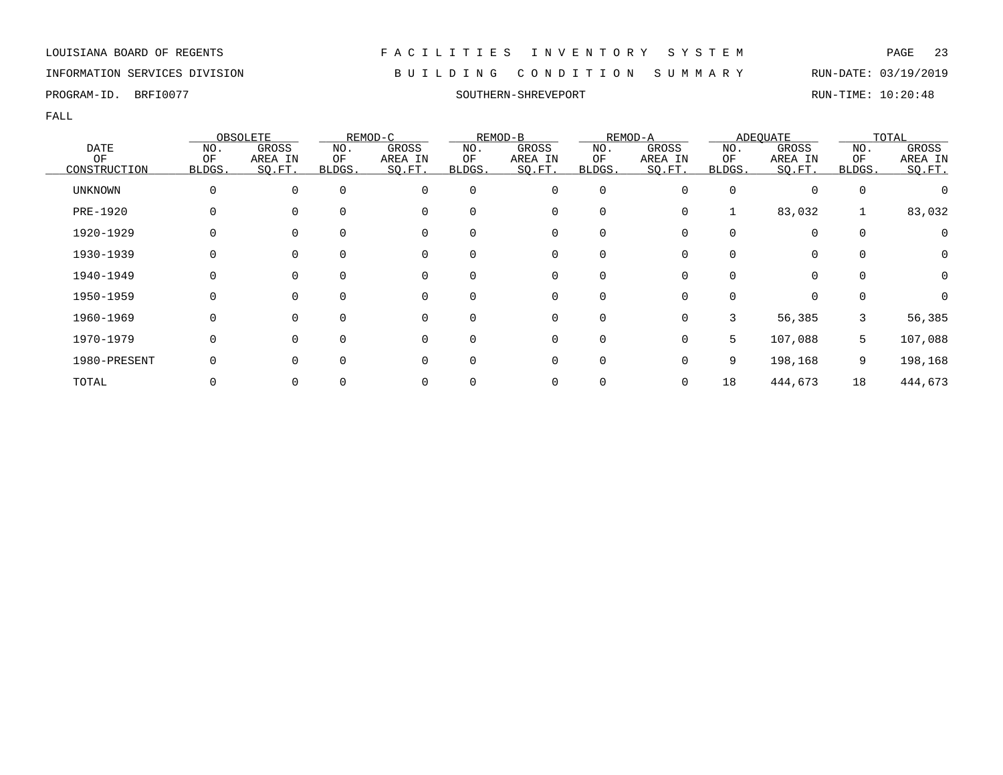### INFORMATION SERVICES DIVISION B U I L D I N G C O N D I T I O N S U M M A R Y RUN-DATE: 03/19/2019

PROGRAM-ID. BRFI0077 SOUTHERN-SHREVEPORT RUN-TIME: 10:20:48

|              |        | OBSOLETE    |             | REMOD-C  |          | REMOD-B     |          | REMOD-A  |        | <b>ADEQUATE</b> |             | TOTAL        |
|--------------|--------|-------------|-------------|----------|----------|-------------|----------|----------|--------|-----------------|-------------|--------------|
| <b>DATE</b>  | NO.    | GROSS       | NO.         | GROSS    | NO.      | GROSS       | NO.      | GROSS    | NO.    | GROSS           | NO.         | <b>GROSS</b> |
| ΟF           | ΟF     | AREA IN     | ΟF          | AREA IN  | ΟF       | AREA IN     | ΟF       | AREA IN  | ΟF     | AREA IN         | ΟF          | AREA IN      |
| CONSTRUCTION | BLDGS. | SQ.FT.      | BLDGS.      | SQ.FT.   | BLDGS.   | SQ.FT.      | BLDGS.   | SO.FT.   | BLDGS. | SQ.FT.          | BLDGS.      | SQ.FT.       |
| UNKNOWN      |        | 0           | $\mathbf 0$ | 0        | $\Omega$ | 0           | 0        |          |        | $\mathbf 0$     | $\mathbf 0$ |              |
| PRE-1920     |        | 0           |             | 0        |          | 0           | 0        |          |        | 83,032          |             | 83,032       |
| 1920-1929    |        | 0           | 0           | 0        |          | 0           | 0        |          |        | 0               | 0           |              |
| 1930-1939    |        | $\mathbf 0$ | 0           | 0        | $\Omega$ | 0           | 0        |          |        | 0               | 0           | 0            |
| 1940-1949    |        | $\mathbf 0$ | $\Omega$    | 0        |          | $\mathbf 0$ | $\Omega$ |          |        | $\Omega$        | $\Omega$    | $\Omega$     |
| 1950-1959    |        | $\Omega$    | $\Omega$    | $\Omega$ | $\Omega$ | $\mathbf 0$ | $\Omega$ |          |        | $\Omega$        | $\Omega$    |              |
| 1960-1969    |        | $\mathbf 0$ | $\Omega$    | $\Omega$ |          | 0           | $\Omega$ | $\Omega$ |        | 56,385          | 3           | 56,385       |
| 1970-1979    |        | $\mathbf 0$ | $\Omega$    | $\Omega$ | 0        | 0           | 0        | $\Omega$ | 5      | 107,088         | 5           | 107,088      |
| 1980-PRESENT |        | $\mathbf 0$ |             | 0        |          | 0           | $\Omega$ |          | 9      | 198,168         | 9           | 198,168      |
| TOTAL        |        | 0           |             | 0        |          | 0           |          | 0        | 18     | 444,673         | 18          | 444,673      |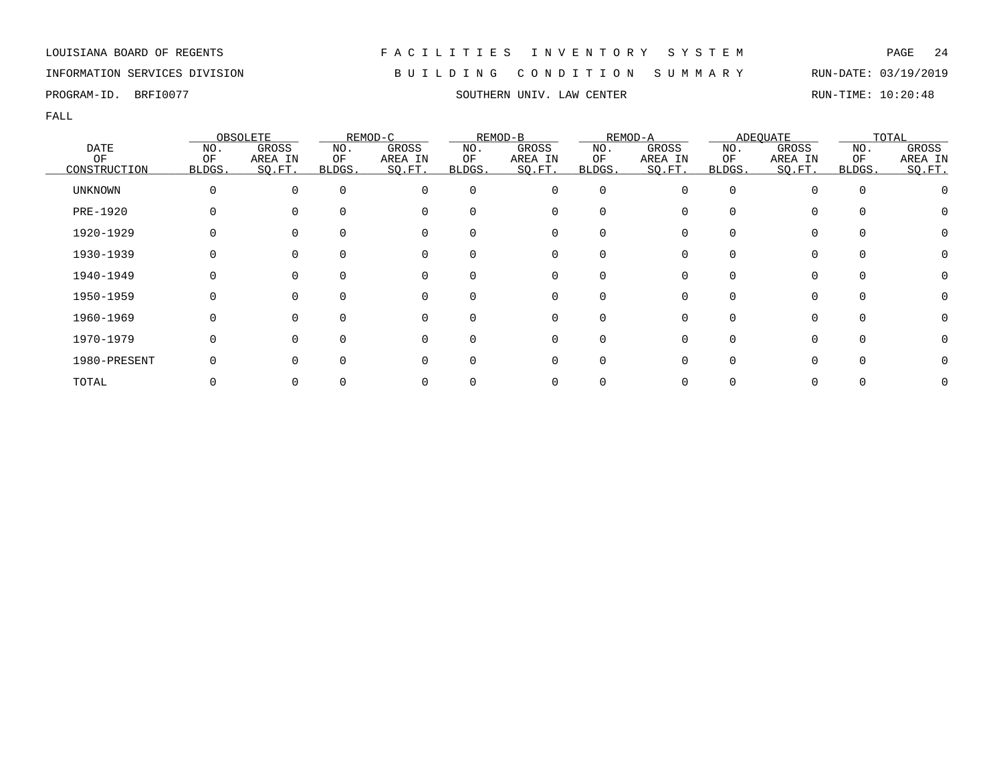### INFORMATION SERVICES DIVISION B U I L D I N G C O N D I T I O N S U M M A R Y RUN-DATE: 03/19/2019

FALL

|                |        | OBSOLETE |          | REMOD-C  |          | REMOD-B  |                  | REMOD-A |        | <b>ADEQUATE</b> |          | TOTAL   |
|----------------|--------|----------|----------|----------|----------|----------|------------------|---------|--------|-----------------|----------|---------|
| <b>DATE</b>    | NO.    | GROSS    | NO.      | GROSS    | NO.      | GROSS    | NO.              | GROSS   | NO.    | GROSS           | NO.      | GROSS   |
| OF             | OF     | AREA IN  | ΟF       | AREA IN  | ΟF       | AREA IN  | ΟF               | AREA IN | ΟF     | AREA IN         | ΟF       | AREA IN |
| CONSTRUCTION   | BLDGS. | SO.FT.   | BLDGS.   | SQ.FT.   | BLDGS.   | SQ.FT.   | BLDGS.           | SQ.FT.  | BLDGS. | SQ.FT.          | BLDGS.   | SO.FT.  |
| <b>UNKNOWN</b> |        | $\Omega$ | $\Omega$ | 0        | $\Omega$ | 0        | 0                |         | O      |                 | $\Omega$ |         |
| PRE-1920       |        | $\Omega$ |          | 0        | 0        | 0        | 0                |         |        | 0               |          |         |
| 1920-1929      |        |          |          | 0        | 0        | 0        |                  |         |        |                 |          |         |
| 1930-1939      |        |          |          | 0        | 0        | 0        |                  |         |        |                 | $\Omega$ |         |
| 1940-1949      |        | $\Omega$ | $\Omega$ | 0        | $\Omega$ | 0        | $\left( \right)$ |         |        |                 | $\Omega$ |         |
| 1950-1959      |        | $\Omega$ | $\Omega$ | 0        | $\Omega$ | 0        | $\Omega$         |         | U      | 0               | $\Omega$ |         |
| 1960-1969      |        | $\Omega$ |          | $\Omega$ | 0        | $\Omega$ |                  |         |        |                 | $\cap$   |         |
| 1970-1979      |        | $\Omega$ | ∩        | $\Omega$ | 0        | 0        | O                |         |        | <sup>n</sup>    | $\Omega$ |         |
| 1980-PRESENT   |        | $\Omega$ | $\Omega$ | O        | 0        | 0        | O                |         |        |                 |          |         |
| TOTAL          |        |          |          |          |          | 0        |                  |         |        |                 |          |         |

PROGRAM-ID. BRFI0077 SOUTHERN UNIV. LAW CENTER SOUTHERN UNIVERSITY RUN-TIME: 10:20:48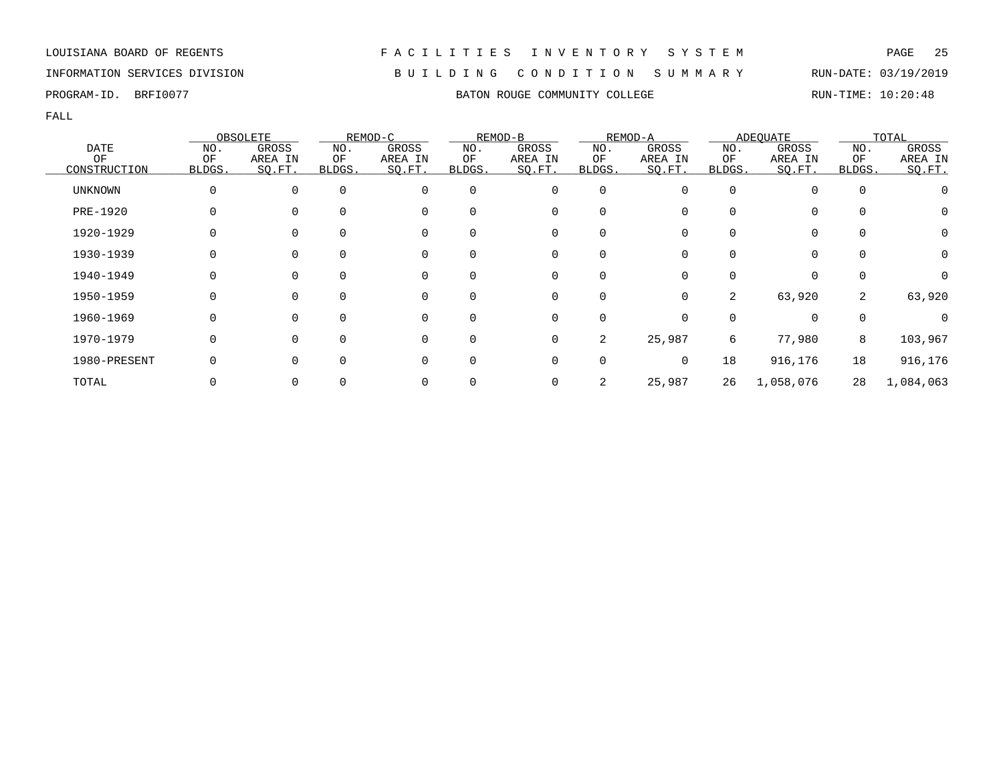### INFORMATION SERVICES DIVISION B U I L D I N G C O N D I T I O N S U M M A R Y RUN-DATE: 03/19/2019

PROGRAM-ID. BRFI0077 **BATON ROUGE COMMUNITY COLLEGE** RUN-TIME: 10:20:48

|                 |        | OBSOLETE    |          | REMOD-C  |              | REMOD-B     |             | REMOD-A |          | <b>ADEOUATE</b> |             | TOTAL            |
|-----------------|--------|-------------|----------|----------|--------------|-------------|-------------|---------|----------|-----------------|-------------|------------------|
| <b>DATE</b>     | NO.    | GROSS       | NO.      | GROSS    | NO.          | GROSS       | NO.         | GROSS   | NO.      | GROSS           | NO.         | GROSS            |
| ΟF              | OF     | AREA IN     | ΟF       | AREA IN  | ΟF           | AREA IN     | ΟF          | AREA IN | ΟF       | AREA IN         | OF          | AREA IN          |
| CONSTRUCTION    | BLDGS. | SQ.FT.      | BLDGS.   | SQ.FT.   | BLDGS.       | SQ.FT.      | BLDGS.      | SQ.FT.  | BLDGS.   | SQ.FT.          | BLDGS.      | SQ.FT.           |
| <b>UNKNOWN</b>  | 0      | $\mathbf 0$ | $\Omega$ | $\Omega$ | $\Omega$     | $\mathbf 0$ | $\mathbf 0$ |         | $\Omega$ |                 | $\mathbf 0$ |                  |
| <b>PRE-1920</b> | U.     | 0           | $\Omega$ | 0        | <sup>0</sup> | 0           | 0           |         |          | 0               | 0           | O                |
| 1920-1929       |        | 0           | $\Omega$ | 0        | 0            | 0           | 0           |         |          | 0               | $\mathbf 0$ | Ω                |
| 1930-1939       |        | 0           | $\Omega$ | 0        | $\Omega$     | 0           | 0           |         |          |                 | $\Omega$    | 0                |
| 1940-1949       | 0      | 0           | $\Omega$ | 0        | $\Omega$     | 0           | $\Omega$    |         |          | $\Omega$        | $\Omega$    | $\left( \right)$ |
| 1950-1959       | 0      | $\Omega$    | $\Omega$ | 0        | 0            | 0           | $\Omega$    | 0       | 2        | 63,920          | 2           | 63,920           |
| 1960-1969       | 0      | $\Omega$    | $\Omega$ | 0        | $\Omega$     | 0           | 0           |         | $\Omega$ | $\Omega$        | $\mathbf 0$ |                  |
| 1970-1979       | 0      | $\mathbf 0$ | $\Omega$ | 0        | $\Omega$     | 0           | 2           | 25,987  | 6        | 77,980          | 8           | 103,967          |
| 1980-PRESENT    |        | 0           | $\Omega$ | 0        | <sup>0</sup> | 0           | 0           | 0       | 18       | 916,176         | 18          | 916,176          |
| TOTAL           |        | 0           |          |          |              | 0           | 2           | 25,987  | 26       | 1,058,076       | 28          | 1,084,063        |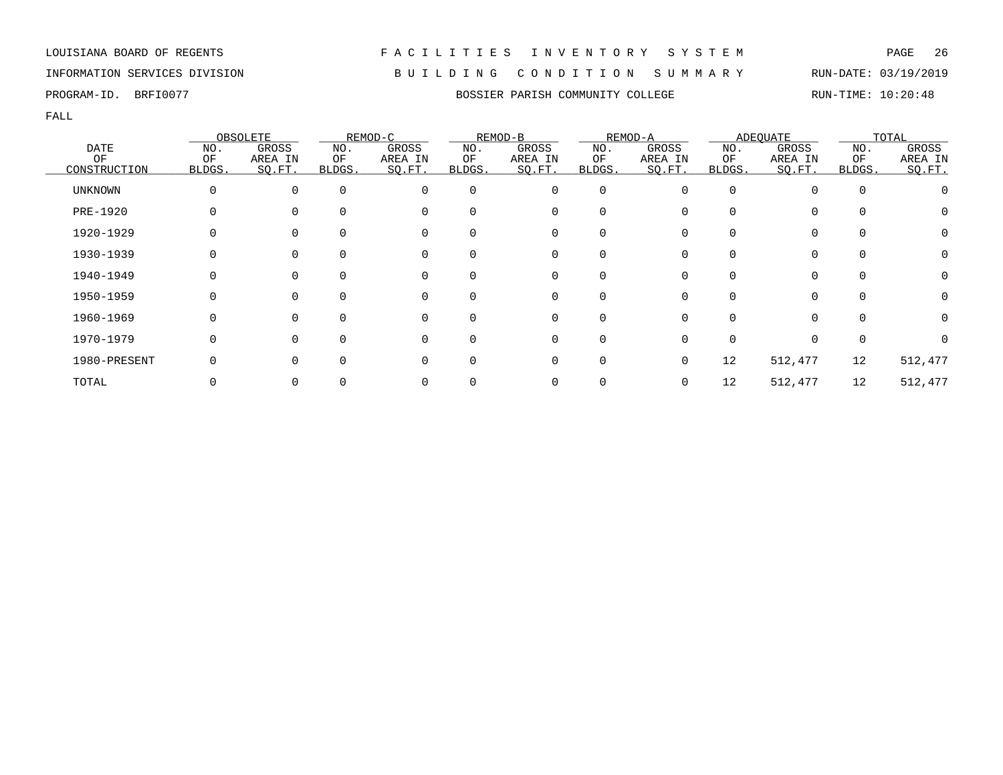### INFORMATION SERVICES DIVISION B U I L D I N G C O N D I T I O N S U M M A R Y RUN-DATE: 03/19/2019

PROGRAM-ID. BRFI0077 **BOSSIER PARISH COMMUNITY COLLEGE** RUN-TIME: 10:20:48

|                |          | OBSOLETE |          | REMOD-C  |          | REMOD-B     |             | REMOD-A  |        | <b>ADEOUATE</b> |          | TOTAL   |
|----------------|----------|----------|----------|----------|----------|-------------|-------------|----------|--------|-----------------|----------|---------|
| <b>DATE</b>    | NO.      | GROSS    | NO.      | GROSS    | NO.      | GROSS       | NO.         | GROSS    | NO.    | GROSS           | NO.      | GROSS   |
| ΟF             | OF       | AREA IN  | ΟF       | AREA IN  | ΟF       | AREA IN     | ΟF          | AREA IN  | ΟF     | AREA IN         | ΟF       | AREA IN |
| CONSTRUCTION   | BLDGS.   | SO.FT.   | BLDGS.   | SQ.FT.   | BLDGS.   | SQ.FT.      | BLDGS.      | SQ.FT.   | BLDGS. | SQ.FT.          | BLDGS.   | SQ.FT.  |
| <b>UNKNOWN</b> | $\Omega$ | $\Omega$ | $\Omega$ | $\Omega$ | $\Omega$ | $\mathbf 0$ | 0           | $\Omega$ | 0      | 0               | 0        |         |
| PRE-1920       |          |          |          |          |          | $\Omega$    | $\Omega$    |          |        | 0               |          |         |
| 1920-1929      |          |          |          |          |          | 0           | 0           |          |        | 0               |          |         |
| 1930-1939      |          |          |          |          |          | 0           | 0           |          |        | 0               |          |         |
| 1940-1949      |          |          |          | 0        | $\Omega$ | 0           | 0           |          |        | 0               |          |         |
| 1950-1959      |          |          |          | $\Omega$ | ∩        | $\Omega$    | $\Omega$    |          |        | $\Omega$        |          |         |
| 1960-1969      |          |          |          | $\Omega$ | ∩        | $\Omega$    | $\Omega$    | $\Omega$ |        | $\Omega$        |          |         |
| 1970-1979      |          |          |          | $\Omega$ | ∩        | $\Omega$    | $\Omega$    |          |        | $\Omega$        | $\Omega$ |         |
| 1980-PRESENT   |          |          |          |          |          | $\Omega$    | $\mathbf 0$ |          | 12     | 512,477         | 12       | 512,477 |
| TOTAL          |          |          |          |          |          |             |             |          | 12     | 512,477         | 12       | 512,477 |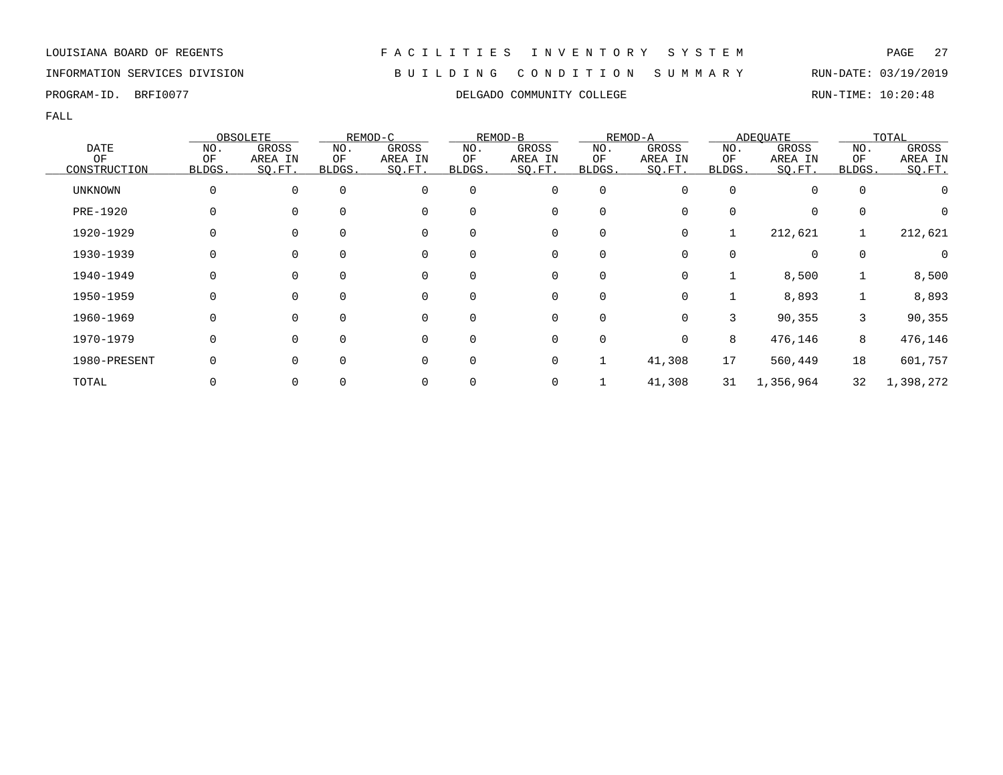### INFORMATION SERVICES DIVISION B U I L D I N G C O N D I T I O N S U M M A R Y RUN-DATE: 03/19/2019

FALL

|                |              | OBSOLETE    |             | REMOD-C |          | REMOD-B      |        | REMOD-A |        | <b>ADEQUATE</b> |          | TOTAL     |
|----------------|--------------|-------------|-------------|---------|----------|--------------|--------|---------|--------|-----------------|----------|-----------|
| <b>DATE</b>    | NO.          | GROSS       | NO.         | GROSS   | NO.      | GROSS        | NO.    | GROSS   | NO.    | GROSS           | NO.      | GROSS     |
| OF             | OF           | AREA IN     | ΟF          | AREA IN | ΟF       | AREA IN      | ΟF     | AREA IN | ΟF     | AREA IN         | OF       | AREA IN   |
| CONSTRUCTION   | BLDGS.       | SQ.FT.      | BLDGS.      | SQ.FT.  | BLDGS.   | SQ.FT.       | BLDGS. | SQ.FT.  | BLDGS. | SQ.FT.          | BLDGS.   | SO.FT.    |
| <b>UNKNOWN</b> |              | 0           | $\Omega$    | 0       | 0        | 0            | 0      | O       | 0      | 0               | $\Omega$ |           |
| PRE-1920       | 0            | $\Omega$    | $\Omega$    | 0       | $\Omega$ | 0            | 0      | 0       | 0      | 0               | $\Omega$ |           |
| 1920-1929      |              | 0           | 0           | 0       | 0        | 0            | 0      | 0       |        | 212,621         |          | 212,621   |
| 1930-1939      |              | 0           | 0           | 0       | 0        | 0            | 0      | 0       |        | 0               | $\Omega$ |           |
| 1940-1949      | 0            | $\mathbf 0$ | $\Omega$    | 0       | 0        | 0            | 0      | 0       |        | 8,500           |          | 8,500     |
| 1950-1959      | <sup>0</sup> | $\Omega$    | $\Omega$    | 0       | $\Omega$ | $\mathbf{0}$ | 0      | 0       |        | 8,893           |          | 8,893     |
| 1960-1969      | 0            | $\Omega$    | $\Omega$    | 0       | $\Omega$ | 0            | 0      | 0       | 3      | 90,355          | 3        | 90,355    |
| 1970-1979      | 0            | $\Omega$    | $\mathbf 0$ | 0       | 0        | 0            | 0      | 0       | 8      | 476,146         | 8        | 476,146   |
| 1980-PRESENT   |              | $\Omega$    | $\Omega$    | 0       | 0        | 0            |        | 41,308  | 17     | 560,449         | 18       | 601,757   |
| TOTAL          |              | 0           |             | 0       |          | 0            |        | 41,308  | 31     | 1,356,964       | 32       | 1,398,272 |

PROGRAM-ID. BRFI0077 COLLEGADO COMMUNITY COLLEGE RUN-TIME: 10:20:48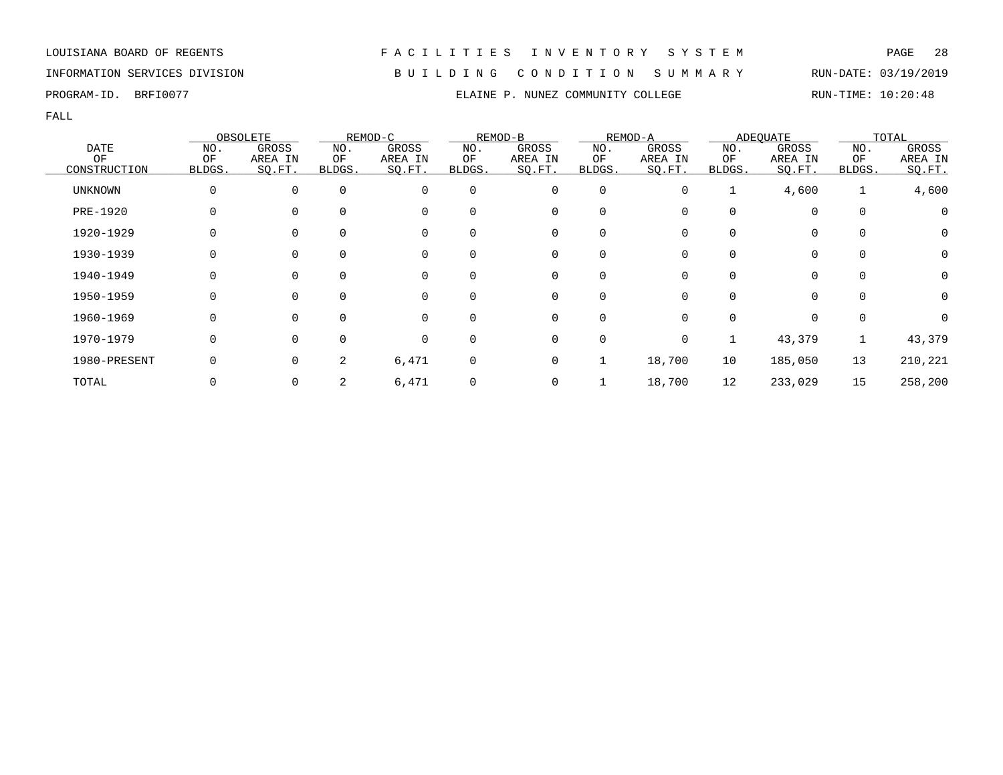INFORMATION SERVICES DIVISION B U I L D I N G C O N D I T I O N S U M M A R Y RUN-DATE: 03/19/2019

FALL

|              |              | OBSOLETE |          | REMOD-C  |             | REMOD-B     |             | REMOD-A |              | <b>ADEQUATE</b> |             | TOTAL    |
|--------------|--------------|----------|----------|----------|-------------|-------------|-------------|---------|--------------|-----------------|-------------|----------|
| DATE         | NO.          | GROSS    | NO.      | GROSS    | NO.         | GROSS       | NO.         | GROSS   | NO.          | GROSS           | NO.         | GROSS    |
| ΟF           | OF           | AREA IN  | ΟF       | AREA IN  | OF          | AREA IN     | ΟF          | AREA IN | ΟF           | AREA IN         | ΟF          | AREA IN  |
| CONSTRUCTION | <b>BLDGS</b> | SO.FT.   | BLDGS.   | SQ.FT.   | BLDGS.      | SQ.FT.      | BLDGS.      | SQ.FT.  | BLDGS.       | SQ.FT.          | BLDGS.      | SQ.FT.   |
| UNKNOWN      | 0            | $\Omega$ | $\Omega$ | $\Omega$ | $\Omega$    | 0           | 0           | 0       |              | 4,600           | 1           | 4,600    |
| PRE-1920     | 0            |          |          |          | $\Omega$    | 0           | 0           |         | 0            | 0               | $\mathbf 0$ | 0        |
| 1920-1929    | 0            |          |          | 0        | 0           | 0           | 0           | 0       | 0            | 0               | $\mathbf 0$ | 0        |
| 1930-1939    | 0            |          |          | 0        | $\mathbf 0$ | 0           | 0           | 0       | 0            | 0               | $\mathbf 0$ | 0        |
| 1940-1949    | $\Omega$     | $\Omega$ |          | $\Omega$ | $\Omega$    | $\mathbf 0$ | $\mathbf 0$ | 0       | <sup>0</sup> | $\Omega$        | $\Omega$    | 0        |
| 1950-1959    | $\Omega$     | $\Omega$ |          | $\Omega$ | $\Omega$    | $\mathbf 0$ | $\mathbf 0$ | U       | 0            | 0               | $\Omega$    | $\Omega$ |
| 1960-1969    | 0            | $\Omega$ |          | $\Omega$ | $\Omega$    | $\mathbf 0$ | $\mathbf 0$ | O       | 0            | 0               | 0           |          |
| 1970-1979    | 0            | $\Omega$ |          | $\Omega$ | $\mathbf 0$ | 0           | 0           | 0       |              | 43,379          |             | 43,379   |
| 1980-PRESENT | 0            | 0        | 2        | 6,471    | $\mathbf 0$ | $\mathbf 0$ | $\mathbf 1$ | 18,700  | 10           | 185,050         | 13          | 210,221  |
| TOTAL        |              |          | 2        | 6,471    | 0           | 0           |             | 18,700  | 12           | 233,029         | 15          | 258,200  |

PROGRAM-ID. BRFI0077 **ELAINE P. NUNEZ COMMUNITY COLLEGE** RUN-TIME: 10:20:48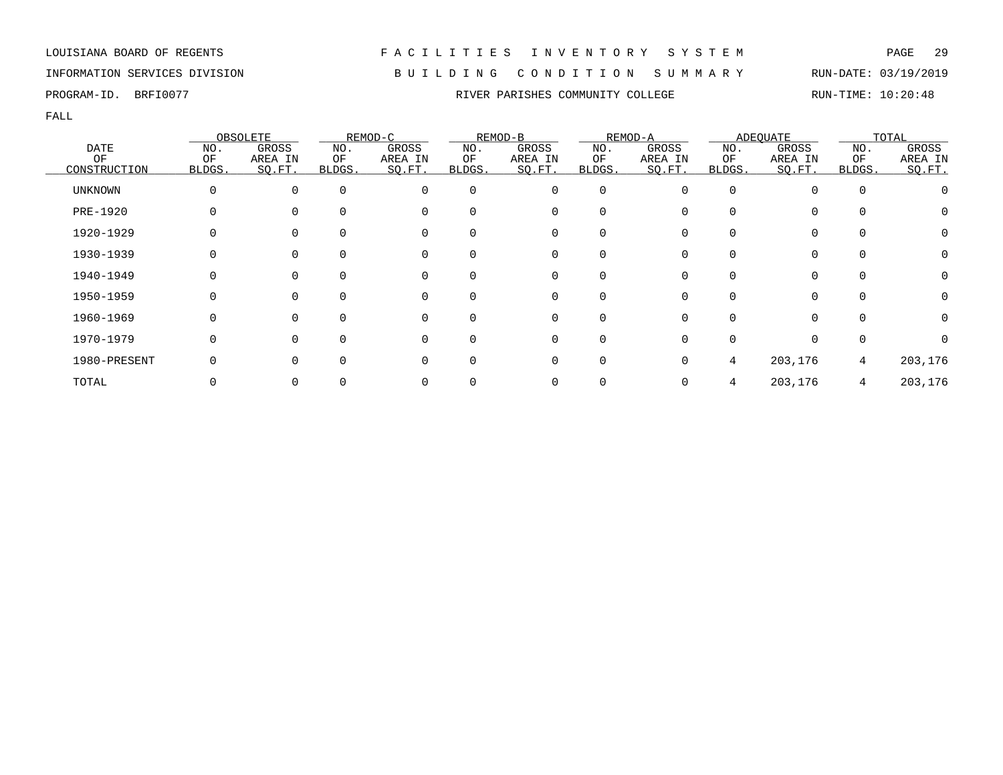INFORMATION SERVICES DIVISION B U I L D I N G C O N D I T I O N S U M M A R Y RUN-DATE: 03/19/2019

PROGRAM-ID. BRFI0077 **RIVER PARISHES COMMUNITY COLLEGE** RUN-TIME: 10:20:48

|                |              | OBSOLETE     |              | REMOD-C  |          | REMOD-B     |          | REMOD-A |        | ADEOUATE     |              | TOTAL   |
|----------------|--------------|--------------|--------------|----------|----------|-------------|----------|---------|--------|--------------|--------------|---------|
| <b>DATE</b>    | NO.          | GROSS        | NO.          | GROSS    | NO.      | GROSS       | NO.      | GROSS   | NO.    | GROSS        | NO.          | GROSS   |
| ΟF             | ΟF           | AREA IN      | ΟF           | AREA IN  | ΟF       | AREA IN     | ΟF       | AREA IN | ΟF     | AREA IN      | ΟF           | AREA IN |
| CONSTRUCTION   | BLDGS.       | SO.FT.       | <b>BLDGS</b> | SO.FT.   | BLDGS.   | SO.FT.      | BLDGS.   | SO.FT.  | BLDGS. | SQ.FT.       | <b>BLDGS</b> | SQ.FT.  |
| <b>UNKNOWN</b> | $\Omega$     | $\Omega$     | $\Omega$     | $\Omega$ | $\Omega$ | 0           | $\Omega$ |         |        |              | 0            |         |
| PRE-1920       |              |              | $\Omega$     | 0        | $\Omega$ | $\mathbf 0$ | $\Omega$ |         |        | $\Omega$     | $\Omega$     | U       |
| 1920-1929      |              |              | $\Omega$     | 0        |          | 0           | O        |         |        |              |              | 0       |
| 1930-1939      |              |              | $\Omega$     | 0        |          | 0           |          |         |        |              | 0            | 0       |
| 1940-1949      | 0            | $\Omega$     | $\Omega$     | 0        | 0        | 0           | $\Omega$ |         |        | 0            | $\Omega$     | 0       |
| 1950-1959      | $\Omega$     | $\Omega$     | $\Omega$     | $\Omega$ | $\Omega$ | $\mathbf 0$ | $\Omega$ |         | ∩      | $\Omega$     | $\Omega$     | 0       |
| 1960-1969      | <sup>0</sup> | <sup>n</sup> | $\Omega$     | $\Omega$ |          | $\Omega$    | U        |         |        | <sup>n</sup> | $\Omega$     | 0       |
| 1970-1979      | $\Omega$     |              | $\Omega$     | $\Omega$ |          | 0           | 0        |         |        |              | $\Omega$     |         |
| 1980-PRESENT   |              |              | $\Omega$     | 0        | 0        | 0           | $\Omega$ |         | 4      | 203,176      | 4            | 203,176 |
| TOTAL          |              |              |              |          |          | 0           |          |         |        | 203,176      | 4            | 203,176 |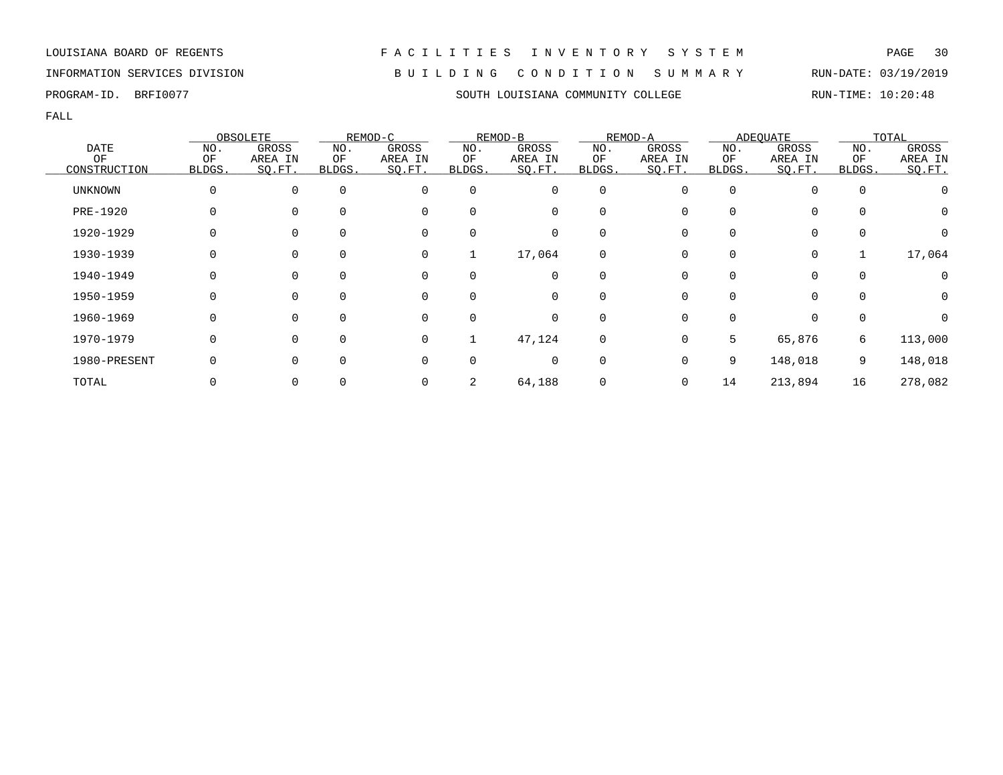LOUISIANA BOARD OF REGENTS F A C I L I T I E S I N V E N T O R Y S Y S T E M PAGE 30 INFORMATION SERVICES DIVISION B U I L D I N G C O N D I T I O N S U M M A R Y RUN-DATE: 03/19/2019

### PROGRAM-ID. BRFI0077 SOUTH LOUISIANA COMMUNITY COLLEGE RUN-TIME: 10:20:48

|                |        | OBSOLETE |          | REMOD-C  |          | REMOD-B     |             | REMOD-A |              | <b>ADEOUATE</b> |          | TOTAL    |
|----------------|--------|----------|----------|----------|----------|-------------|-------------|---------|--------------|-----------------|----------|----------|
| <b>DATE</b>    | NO.    | GROSS    | NO.      | GROSS    | NO.      | GROSS       | NO.         | GROSS   | NO.          | GROSS           | NO.      | GROSS    |
| ΟF             | OF     | AREA IN  | ΟF       | AREA IN  | ΟF       | AREA IN     | ΟF          | AREA IN | ΟF           | AREA IN         | OF       | AREA IN  |
| CONSTRUCTION   | BLDGS. | SO.FT.   | BLDGS.   | SQ.FT.   | BLDGS.   | SQ.FT.      | BLDGS.      | SQ.FT.  | BLDGS.       | SQ.FT.          | BLDGS.   | SQ.FT.   |
| <b>UNKNOWN</b> | 0      |          | $\Omega$ | $\Omega$ | 0        | 0           | 0           |         | 0            |                 | 0        |          |
| PRE-1920       |        |          |          | $\Omega$ | $\Omega$ | 0           | 0           |         |              | 0               | $\Omega$ | 0        |
| 1920-1929      |        |          |          | $\Omega$ | 0        | 0           | 0           |         |              | 0               | 0        | 0        |
| 1930-1939      |        | $\Omega$ | $\Omega$ | 0        | 1        | 17,064      | 0           | 0       | 0            | 0               |          | 17,064   |
| 1940-1949      |        |          | $\Omega$ | $\Omega$ | $\Omega$ | $\mathbf 0$ | $\mathbf 0$ |         | 0            | $\Omega$        | $\Omega$ |          |
| 1950-1959      | 0      |          | $\Omega$ | $\Omega$ | $\Omega$ | $\mathbf 0$ | $\mathbf 0$ |         | <sup>0</sup> | $\Omega$        | $\Omega$ | $\Omega$ |
| 1960-1969      |        |          |          | $\Omega$ | $\Omega$ | 0           | 0           |         |              | 0               | 0        |          |
| 1970-1979      | 0      |          | $\Omega$ | $\Omega$ |          | 47,124      | 0           | 0       | 5            | 65,876          | 6        | 113,000  |
| 1980-PRESENT   |        |          | $\Omega$ | $\Omega$ | 0        | 0           | 0           |         | 9            | 148,018         | 9        | 148,018  |
| TOTAL          |        |          |          |          |          | 64,188      | 0           | 0       | 14           | 213,894         | 16       | 278,082  |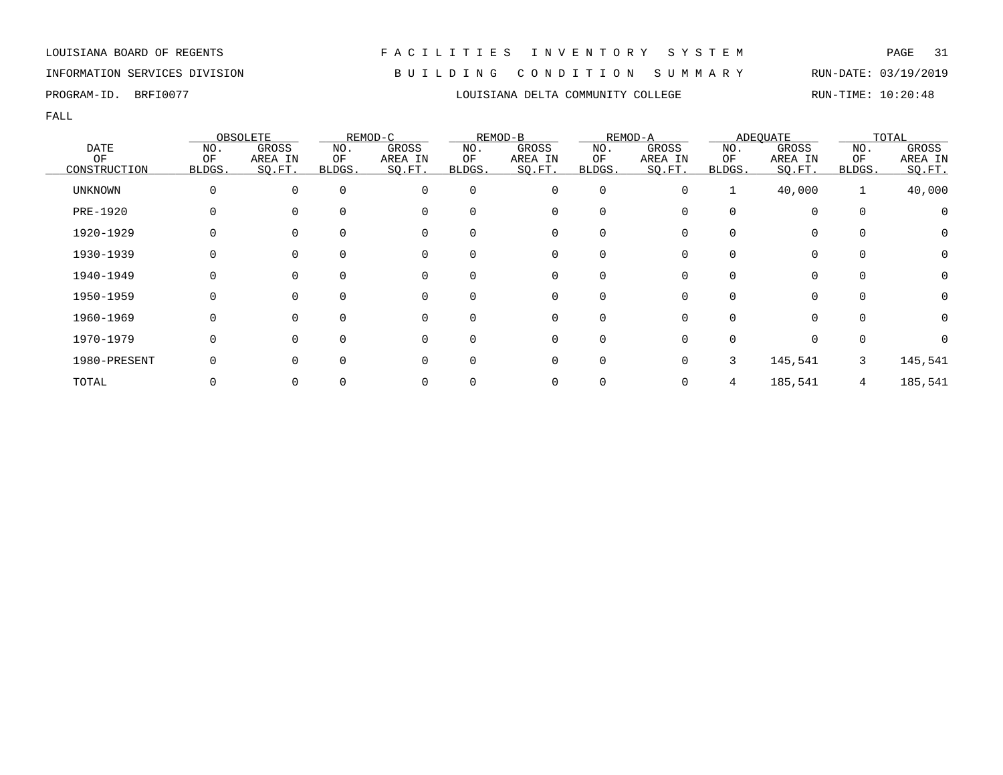INFORMATION SERVICES DIVISION B U I L D I N G C O N D I T I O N S U M M A R Y RUN-DATE: 03/19/2019

FALL

|              |          | OBSOLETE |              | REMOD-C  |          | REMOD-B  |             | REMOD-A |        | <b>ADEQUATE</b> |          | TOTAL    |
|--------------|----------|----------|--------------|----------|----------|----------|-------------|---------|--------|-----------------|----------|----------|
| <b>DATE</b>  | NO.      | GROSS    | NO.          | GROSS    | NO.      | GROSS    | NO.         | GROSS   | NO.    | GROSS           | NO.      | GROSS    |
| OF           | OF       | AREA IN  | ΟF           | AREA IN  | ΟF       | AREA IN  | OF          | AREA IN | ΟF     | AREA IN         | OF       | AREA IN  |
| CONSTRUCTION | BLDGS.   | SQ.FT.   | <b>BLDGS</b> | SQ.FT.   | BLDGS.   | SQ.FT.   | BLDGS.      | SO.FT.  | BLDGS. | SO.FT.          | BLDGS.   | SO.FT.   |
| UNKNOWN      | $\Omega$ | $\Omega$ | $\mathbf 0$  | 0        | $\Omega$ | 0        | $\mathbf 0$ | O       |        | 40,000          | 1        | 40,000   |
| PRE-1920     |          |          | $\Omega$     | 0        | 0        | 0        | $\Omega$    |         |        | $\mathbf 0$     | $\Omega$ |          |
| 1920-1929    |          |          | 0            | 0        | 0        | 0        | 0           |         |        | 0               | 0        |          |
| 1930-1939    |          | $\Omega$ | $\Omega$     | 0        | $\Omega$ | 0        | 0           |         |        | 0               | $\Omega$ | $\Omega$ |
| 1940-1949    | O        | $\Omega$ | $\Omega$     | 0        | $\Omega$ | $\Omega$ | $\Omega$    |         |        | 0               | ∩        | 0        |
| 1950-1959    | O        | $\Omega$ | $\Omega$     | $\Omega$ | 0        | $\Omega$ | $\Omega$    |         |        | $\Omega$        | $\Omega$ | 0        |
| 1960-1969    | 0        | $\Omega$ | $\Omega$     | $\Omega$ | $\Omega$ | 0        | $\mathbf 0$ |         |        | $\Omega$        | $\Omega$ |          |
| 1970-1979    | 0        |          | $\Omega$     | $\Omega$ | $\Omega$ | 0        | $\mathbf 0$ |         |        | $\mathbf 0$     | $\Omega$ |          |
| 1980-PRESENT |          |          | $\Omega$     | 0        | 0        | 0        | $\mathbf 0$ |         | 3      | 145,541         | 3        | 145,541  |
| TOTAL        |          |          |              |          |          |          |             |         |        | 185,541         | 4        | 185,541  |

PROGRAM-ID. BRFI0077 **EXAM-ID.** BRFI0077 **RUN-TIME:** 10:20:48

LOUISIANA BOARD OF REGENTS F A C I L I T I E S I N V E N T O R Y S Y S T E M PAGE 31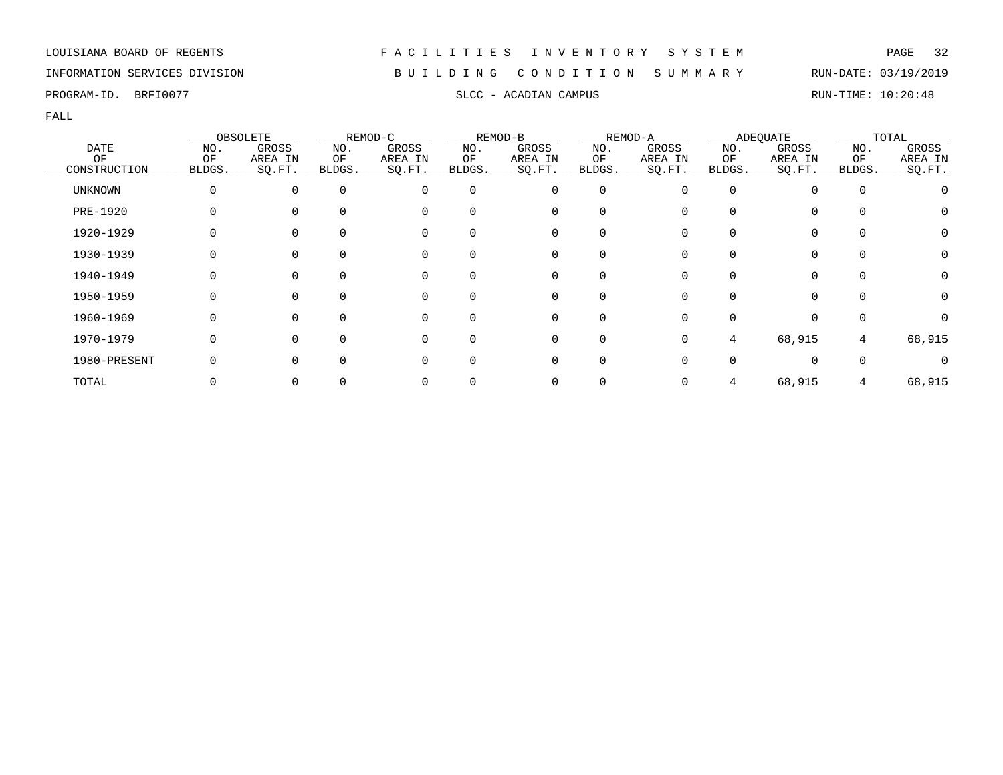### INFORMATION SERVICES DIVISION B U I L D I N G C O N D I T I O N S U M M A R Y RUN-DATE: 03/19/2019

PROGRAM-ID. BRFI0077 SLCC - ACADIAN CAMPUS SLCC - ACADIAN CAMPUS RUN-TIME: 10:20:48

|                |        | OBSOLETE |          | REMOD-C  |          | REMOD-B  |              | REMOD-A |          | <b>ADEQUATE</b> |          | TOTAL            |
|----------------|--------|----------|----------|----------|----------|----------|--------------|---------|----------|-----------------|----------|------------------|
| <b>DATE</b>    | NO.    | GROSS    | NO.      | GROSS    | NO.      | GROSS    | NO.          | GROSS   | NO.      | GROSS           | NO.      | GROSS            |
| ΟF             | ΟF     | AREA IN  | ΟF       | AREA IN  | ΟF       | AREA IN  | ΟF           | AREA IN | ΟF       | AREA IN         | ΟF       | AREA IN          |
| CONSTRUCTION   | BLDGS. | SO.FT.   | BLDGS.   | SQ.FT.   | BLDGS.   | SO.FT.   | BLDGS.       | SQ.FT.  | BLDGS.   | SQ.FT.          | BLDGS.   | SO.FT.           |
| <b>UNKNOWN</b> |        | $\Omega$ | $\Omega$ | 0        | $\Omega$ | 0        | 0            |         | $\Omega$ |                 | $\Omega$ |                  |
| PRE-1920       |        | $\Omega$ |          | 0        | 0        | 0        | $\Omega$     |         |          | 0               |          | O                |
| 1920-1929      |        | $\Omega$ |          | 0        | 0        | 0        | O            |         |          |                 |          | $\left( \right)$ |
| 1930-1939      |        |          |          | 0        | 0        | 0        |              |         |          |                 | $\Omega$ |                  |
| 1940-1949      |        | $\Omega$ | $\Omega$ | 0        | $\Omega$ | 0        | $\Omega$     |         |          | 0               | $\Omega$ |                  |
| 1950-1959      |        | $\Omega$ | $\Omega$ | 0        | $\Omega$ | 0        | $\Omega$     |         | U        | 0               | $\Omega$ | $\left( \right)$ |
| 1960-1969      |        | $\Omega$ |          | $\Omega$ | 0        | $\Omega$ | <sup>n</sup> |         |          |                 |          |                  |
| 1970-1979      |        | $\Omega$ | ∩        | $\Omega$ | 0        | 0        | $\Omega$     |         | 4        | 68,915          | 4        | 68,915           |
| 1980-PRESENT   |        | $\Omega$ | $\Omega$ | 0        | 0        | 0        | $\Omega$     |         |          |                 |          |                  |
| TOTAL          |        |          |          | 0        |          | 0        |              |         |          | 68,915          |          | 68,915           |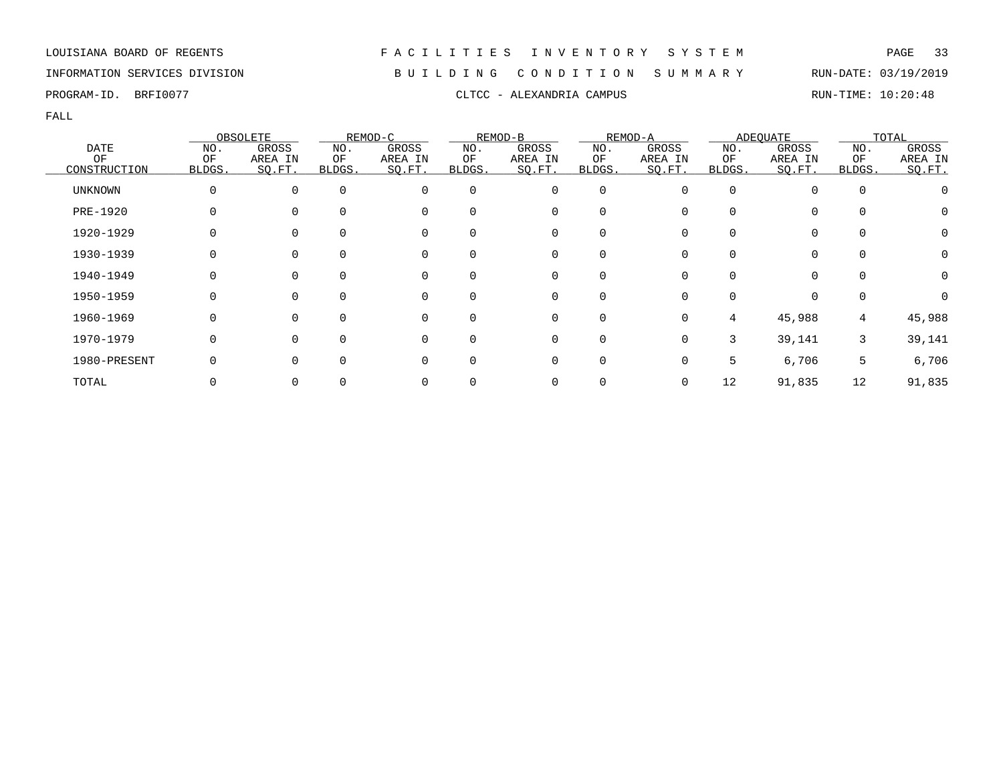### INFORMATION SERVICES DIVISION B U I L D I N G C O N D I T I O N S U M M A R Y RUN-DATE: 03/19/2019

PROGRAM-ID. BRFI0077 CLTCC - ALEXANDRIA CAMPUS CLTCC - ALEXANDRIA COMPUS

|                 |        | OBSOLETE       |          | REMOD-C  |              | REMOD-B  |             | REMOD-A      |              | <b>ADEQUATE</b> |             | TOTAL   |
|-----------------|--------|----------------|----------|----------|--------------|----------|-------------|--------------|--------------|-----------------|-------------|---------|
| <b>DATE</b>     | NO.    | GROSS          | NO.      | GROSS    | NO.          | GROSS    | NO.         | GROSS        | NO.          | GROSS           | NO.         | GROSS   |
| OF              | OF     | AREA IN        | ΟF       | AREA IN  | ΟF           | AREA IN  | ΟF          | AREA IN      | ΟF           | AREA IN         | ΟF          | AREA IN |
| CONSTRUCTION    | BLDGS. | SQ.FT.         | BLDGS.   | SQ.FT.   | BLDGS.       | SO.FT.   | BLDGS.      | SO.FT.       | <b>BLDGS</b> | SQ.FT.          | BLDGS.      | SQ.FT.  |
| <b>UNKNOWN</b>  |        | 0              | $\Omega$ | 0        | $\Omega$     | 0        | 0           | 0            | $\Omega$     | $\Omega$        | $\mathbf 0$ |         |
| <b>PRE-1920</b> |        | $\Omega$       | $\Omega$ | 0        | $\Omega$     | 0        | $\Omega$    |              |              | $\mathbf 0$     | 0           | 0       |
| 1920-1929       |        | 0              |          | 0        | 0            | 0        | 0           |              |              | 0               | 0           | 0       |
| 1930-1939       |        | 0              | $\Omega$ | 0        | $\Omega$     | 0        | O           |              |              | 0               | 0           | 0       |
| 1940-1949       | O      | $\overline{0}$ | $\Omega$ | 0        | $\Omega$     | 0        | 0           | 0            |              | $\Omega$        | $\Omega$    | 0       |
| 1950-1959       | U      | $\Omega$       | $\Omega$ | $\Omega$ | 0            | $\Omega$ | $\Omega$    | <sup>n</sup> |              | $\Omega$        | 0           |         |
| 1960-1969       | O      | $\Omega$       | $\Omega$ | 0        | 0            | 0        | 0           | 0            | 4            | 45,988          | 4           | 45,988  |
| 1970-1979       |        | 0              | $\Omega$ | $\Omega$ | $\Omega$     | 0        | $\mathbf 0$ | 0            | 3            | 39,141          | 3           | 39,141  |
| 1980-PRESENT    |        | $\Omega$       |          | 0        | <sup>0</sup> | 0        | 0           |              | 5            | 6,706           | 5           | 6,706   |
| TOTAL           |        | 0              |          |          |              |          |             | 0            | 12           | 91,835          | 12          | 91,835  |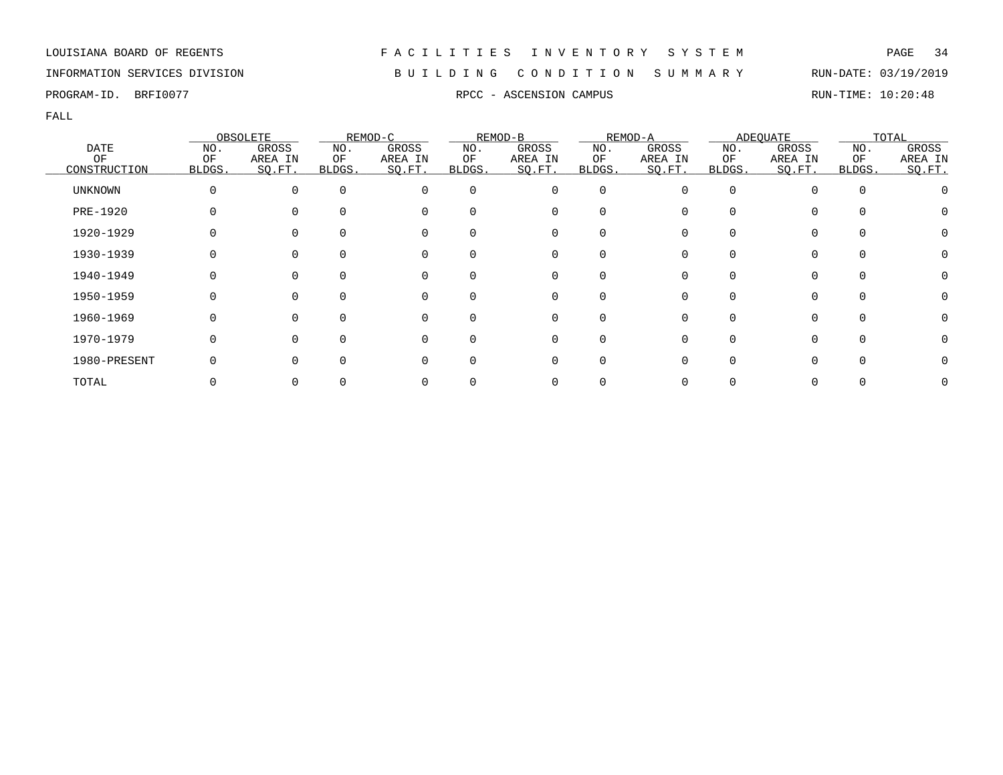### INFORMATION SERVICES DIVISION B U I L D I N G C O N D I T I O N S U M M A R Y RUN-DATE: 03/19/2019

PROGRAM-ID. BRFI0077 **RPCC - ASCENSION CAMPUS** RPCC - ASCENSION CAMPUS RUN-TIME: 10:20:48

|                |        | OBSOLETE |          | REMOD-C  |          | REMOD-B  |                  | REMOD-A |        | <b>ADEQUATE</b> |          | TOTAL   |
|----------------|--------|----------|----------|----------|----------|----------|------------------|---------|--------|-----------------|----------|---------|
| <b>DATE</b>    | NO.    | GROSS    | NO.      | GROSS    | NO.      | GROSS    | NO.              | GROSS   | NO.    | GROSS           | NO.      | GROSS   |
| OF             | OF     | AREA IN  | ΟF       | AREA IN  | ΟF       | AREA IN  | ΟF               | AREA IN | ΟF     | AREA IN         | ΟF       | AREA IN |
| CONSTRUCTION   | BLDGS. | SO.FT.   | BLDGS.   | SQ.FT.   | BLDGS.   | SQ.FT.   | BLDGS.           | SQ.FT.  | BLDGS. | SQ.FT.          | BLDGS.   | SO.FT.  |
| <b>UNKNOWN</b> |        | $\Omega$ | $\Omega$ | 0        | $\Omega$ | 0        | 0                |         | O      |                 | $\Omega$ |         |
| PRE-1920       |        | $\Omega$ |          | 0        | 0        | 0        | 0                |         |        | 0               |          |         |
| 1920-1929      |        |          |          | 0        | 0        | 0        |                  |         |        |                 |          |         |
| 1930-1939      |        |          |          | 0        | 0        | 0        |                  |         |        |                 | $\Omega$ |         |
| 1940-1949      |        | $\Omega$ | $\Omega$ | 0        | $\Omega$ | 0        | $\left( \right)$ |         |        |                 | $\Omega$ |         |
| 1950-1959      |        | $\Omega$ | $\Omega$ | 0        | $\Omega$ | 0        | $\Omega$         |         | U      | 0               | $\Omega$ |         |
| 1960-1969      |        | $\Omega$ |          | $\Omega$ | 0        | $\Omega$ |                  |         |        |                 | $\cap$   |         |
| 1970-1979      |        | $\Omega$ | ∩        | $\Omega$ | 0        | 0        | O                |         |        | <sup>n</sup>    | $\Omega$ |         |
| 1980-PRESENT   |        | $\Omega$ | $\Omega$ | O        | 0        | 0        | O                |         |        |                 |          |         |
| TOTAL          |        |          |          |          |          | 0        |                  |         |        |                 |          |         |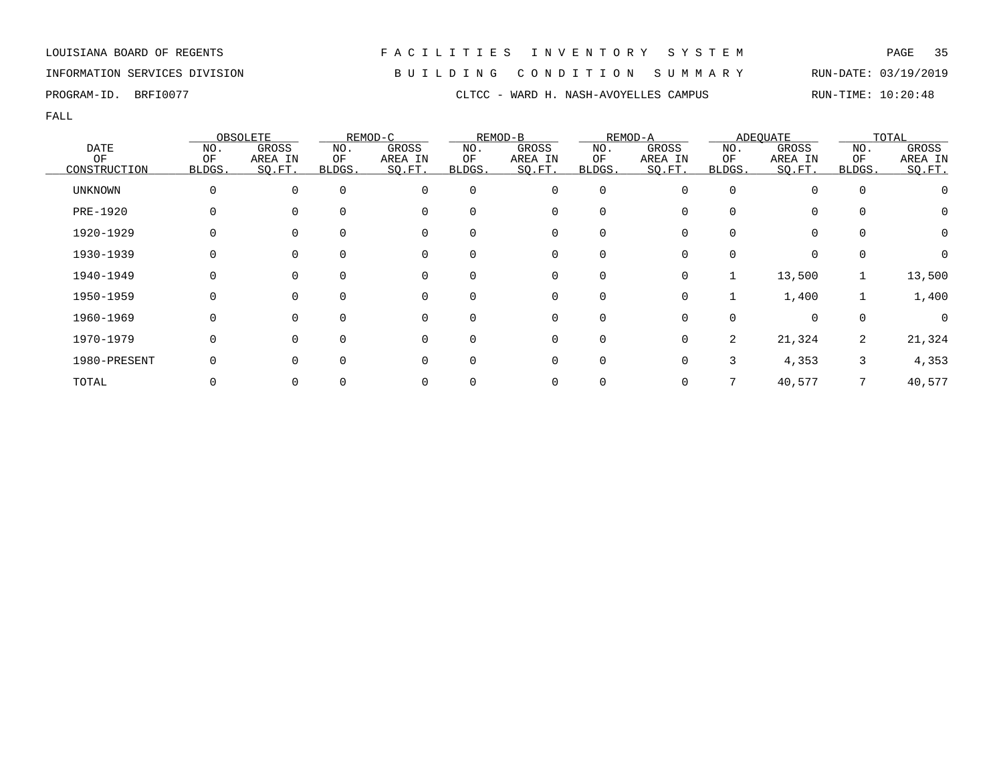INFORMATION SERVICES DIVISION B U I L D I N G C O N D I T I O N S U M M A R Y RUN-DATE: 03/19/2019

|              |        | OBSOLETE |          | REMOD-C  |              | REMOD-B     |          | REMOD-A |                | <b>ADEOUATE</b> |              | TOTAL   |
|--------------|--------|----------|----------|----------|--------------|-------------|----------|---------|----------------|-----------------|--------------|---------|
| <b>DATE</b>  | NO.    | GROSS    | NO.      | GROSS    | NO.          | GROSS       | NO.      | GROSS   | NO.            | GROSS           | NO.          | GROSS   |
| OF           | OF     | AREA IN  | ΟF       | AREA IN  | ΟF           | AREA IN     | OF       | AREA IN | ΟF             | AREA IN         | OF           | AREA IN |
| CONSTRUCTION | BLDGS. | SO.FT.   | BLDGS.   | SQ.FT.   | <b>BLDGS</b> | SQ.FT.      | BLDGS.   | SO.FT.  | BLDGS.         | SQ.FT.          | <b>BLDGS</b> | SQ.FT.  |
| UNKNOWN      |        |          | $\Omega$ | $\Omega$ | $\Omega$     | $\mathbf 0$ | 0        |         | $\Omega$       |                 | $\mathbf 0$  |         |
| PRE-1920     |        |          |          | 0        | 0            | 0           |          |         |                |                 | 0            | 0       |
| 1920-1929    |        |          | $\Omega$ | 0        | 0            | 0           | 0        |         |                |                 | 0            | 0       |
| 1930-1939    |        |          | $\Omega$ | $\Omega$ | $\Omega$     | 0           | $\Omega$ |         |                |                 | $\Omega$     |         |
| 1940-1949    |        |          | $\Omega$ | $\Omega$ | $\Omega$     | 0           | $\Omega$ |         |                | 13,500          |              | 13,500  |
| 1950-1959    |        |          | $\Omega$ | $\Omega$ | $\Omega$     | 0           | 0        |         |                | 1,400           |              | 1,400   |
| 1960-1969    |        |          | $\Omega$ | $\Omega$ | $\Omega$     | 0           | $\Omega$ |         |                |                 | 0            |         |
| 1970-1979    |        |          | $\Omega$ | $\Omega$ | <sup>0</sup> | 0           | 0        |         | $\overline{2}$ | 21,324          | 2            | 21,324  |
| 1980-PRESENT |        |          |          | 0        | 0            | 0           | 0        |         | 3              | 4,353           | 3            | 4,353   |
| TOTAL        |        |          |          |          |              | 0           |          |         |                | 40,577          |              | 40,577  |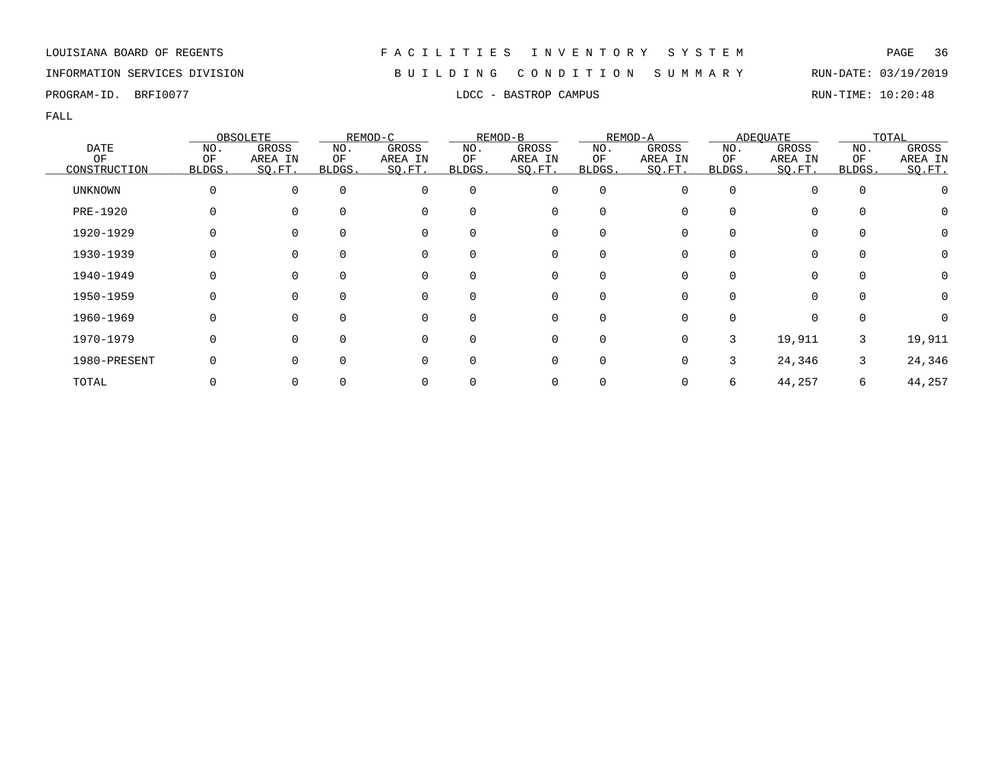### INFORMATION SERVICES DIVISION B U I L D I N G C O N D I T I O N S U M M A R Y RUN-DATE: 03/19/2019

PROGRAM-ID. BRFI0077 **EXAMPUS** LDCC - BASTROP CAMPUS **RUN-TIME: 10:20:48** 

|                |        | OBSOLETE |          | REMOD-C  |              | REMOD-B  |             | REMOD-A      |              | <b>ADEQUATE</b> |             | TOTAL   |
|----------------|--------|----------|----------|----------|--------------|----------|-------------|--------------|--------------|-----------------|-------------|---------|
| <b>DATE</b>    | NO.    | GROSS    | NO.      | GROSS    | NO.          | GROSS    | NO.         | GROSS        | NO.          | GROSS           | NO.         | GROSS   |
| ΟF             | ΟF     | AREA IN  | ΟF       | AREA IN  | ΟF           | AREA IN  | ΟF          | AREA IN      | ΟF           | AREA IN         | ΟF          | AREA IN |
| CONSTRUCTION   | BLDGS. | SO.FT.   | BLDGS.   | SQ.FT.   | BLDGS.       | SO.FT.   | BLDGS.      | SQ.FT.       | <b>BLDGS</b> | SQ.FT.          | BLDGS.      | SO.FT.  |
| <b>UNKNOWN</b> |        | 0        | $\Omega$ | 0        | $\Omega$     | 0        | $\mathbf 0$ | 0            |              | $\Omega$        | $\mathbf 0$ |         |
| PRE-1920       |        | $\Omega$ | $\Omega$ | 0        | $\Omega$     | 0        | $\Omega$    |              |              | 0               | 0           | O       |
| 1920-1929      |        | $\Omega$ |          | 0        | <sup>0</sup> | 0        | 0           |              |              | 0               | 0           | 0       |
| 1930-1939      |        | 0        |          | 0        | 0            | 0        | 0           |              |              | $\Omega$        | 0           | 0       |
| 1940-1949      |        | 0        | $\Omega$ | 0        | $\Omega$     | 0        | $\Omega$    |              |              | $\Omega$        | 0           | 0       |
| 1950-1959      | U      | $\Omega$ | $\Omega$ | 0        | 0            | $\Omega$ | $\Omega$    | <sup>n</sup> |              | $\Omega$        | $\Omega$    | 0       |
| 1960-1969      |        | $\Omega$ | $\cap$   | $\Omega$ | 0            | $\Omega$ | O           |              |              | 0               | $\Omega$    |         |
| 1970-1979      |        | $\Omega$ | $\Omega$ | 0        | 0            | 0        | 0           | 0            | 3            | 19,911          | 3           | 19,911  |
| 1980-PRESENT   |        | $\Omega$ | $\Omega$ | 0        | 0            | 0        | 0           |              | 3            | 24,346          | 3           | 24,346  |
| TOTAL          |        | 0        |          |          |              |          |             |              | 6            | 44,257          | 6           | 44,257  |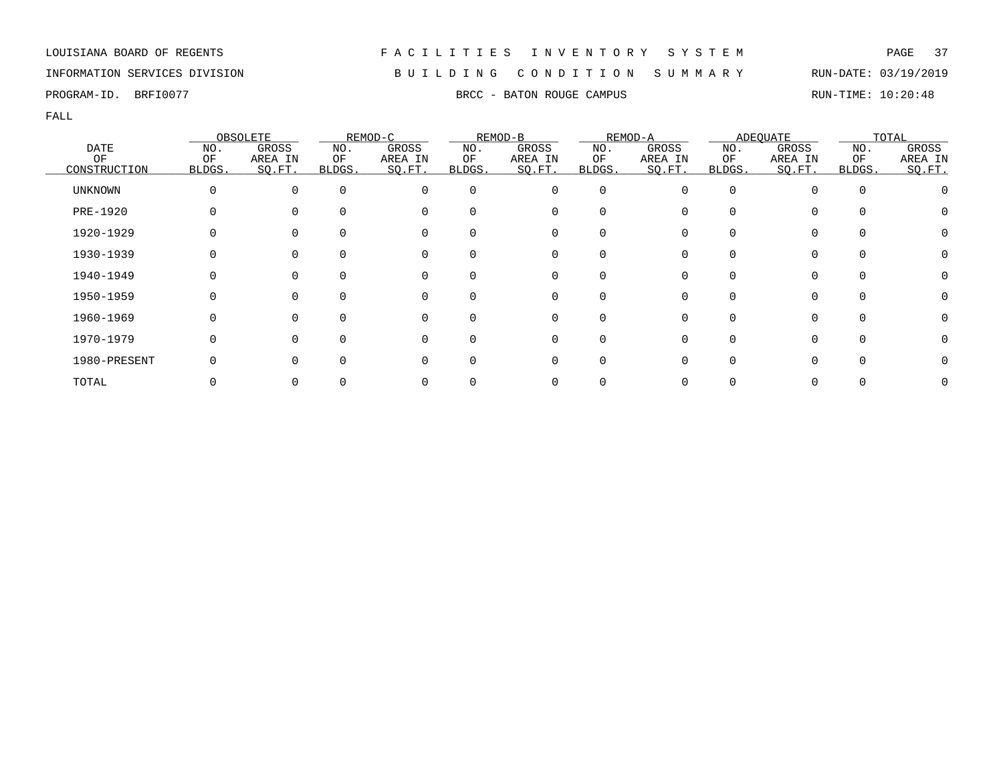## INFORMATION SERVICES DIVISION B U I L D I N G C O N D I T I O N S U M M A R Y RUN-DATE: 03/19/2019

PROGRAM-ID. BRFI0077 **BRFING RUN-TIME:** 10:20:48

|                |        | OBSOLETE |          | REMOD-C  |          | REMOD-B  |                  | REMOD-A |        | ADEQUATE     |          | TOTAL   |
|----------------|--------|----------|----------|----------|----------|----------|------------------|---------|--------|--------------|----------|---------|
| <b>DATE</b>    | NO.    | GROSS    | NO.      | GROSS    | NO.      | GROSS    | NO.              | GROSS   | NO.    | GROSS        | NO.      | GROSS   |
| OF             | OF     | AREA IN  | ΟF       | AREA IN  | ΟF       | AREA IN  | ΟF               | AREA IN | ΟF     | AREA IN      | ΟF       | AREA IN |
| CONSTRUCTION   | BLDGS. | SO.FT.   | BLDGS.   | SQ.FT.   | BLDGS.   | SQ.FT.   | BLDGS.           | SQ.FT.  | BLDGS. | SQ.FT.       | BLDGS.   | SO.FT.  |
| <b>UNKNOWN</b> |        | $\Omega$ | $\Omega$ | 0        | $\Omega$ | 0        | 0                |         | O      |              | $\Omega$ |         |
| PRE-1920       |        | $\Omega$ |          | 0        | 0        | 0        | 0                |         |        | 0            |          |         |
| 1920-1929      |        |          |          | 0        | 0        | 0        |                  |         |        |              |          |         |
| 1930-1939      |        |          |          | 0        | 0        | 0        |                  |         |        |              | $\Omega$ |         |
| 1940-1949      |        | $\Omega$ | $\Omega$ | 0        | $\Omega$ | 0        | $\left( \right)$ |         |        |              | $\Omega$ |         |
| 1950-1959      |        | $\Omega$ | $\Omega$ | 0        | $\Omega$ | 0        | $\Omega$         |         | U      | 0            | $\Omega$ |         |
| 1960-1969      |        | $\Omega$ |          | $\Omega$ | 0        | $\Omega$ |                  |         |        |              | $\cap$   |         |
| 1970-1979      |        | $\Omega$ | ∩        | $\Omega$ | 0        | 0        | O                |         |        | <sup>n</sup> | $\Omega$ |         |
| 1980-PRESENT   |        | $\Omega$ | $\Omega$ | O        | 0        | 0        | O                |         |        |              |          |         |
| TOTAL          |        |          |          |          |          | 0        |                  |         |        |              |          |         |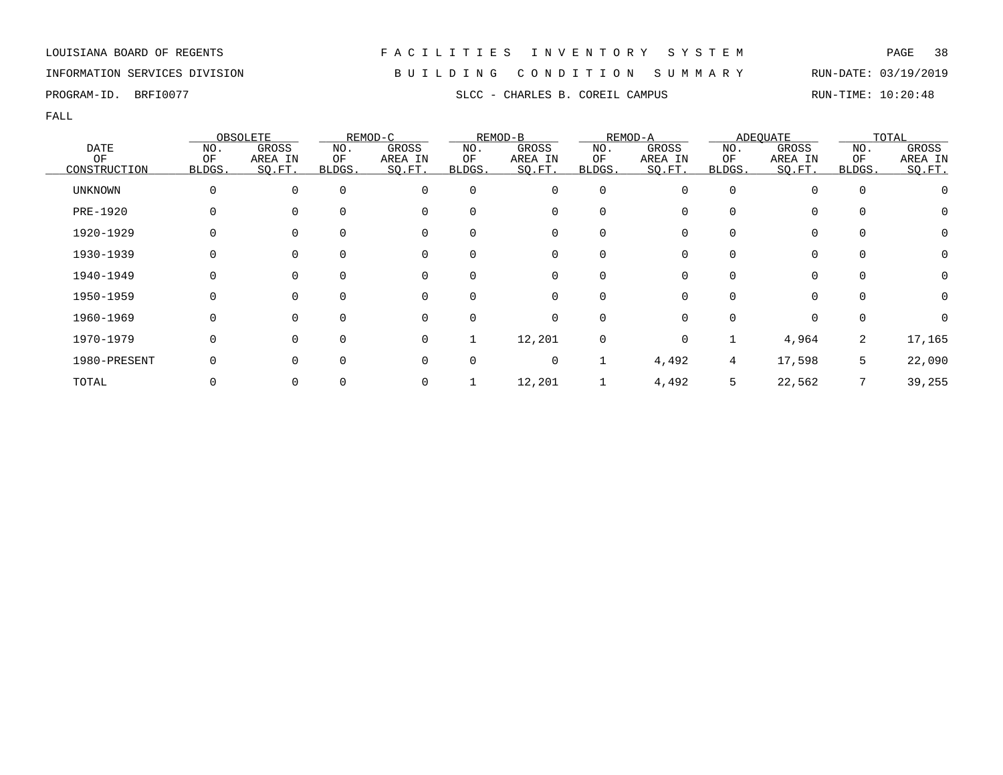LOUISIANA BOARD OF REGENTS F A C I L I T I E S I N V E N T O R Y S Y S T E M PAGE 38 INFORMATION SERVICES DIVISION B U I L D I N G C O N D I T I O N S U M M A R Y RUN-DATE: 03/19/2019

PROGRAM-ID. BRFI0077 SLCC - CHARLES B. COREIL CAMPUS RUN-TIME: 10:20:48

|              |          | OBSOLETE |          | REMOD-C     |          | REMOD-B  |          | REMOD-A  |              | <b>ADEQUATE</b> |          | TOTAL            |
|--------------|----------|----------|----------|-------------|----------|----------|----------|----------|--------------|-----------------|----------|------------------|
| DATE         | NO.      | GROSS    | NO.      | GROSS       | NO.      | GROSS    | NO.      | GROSS    | NO.          | GROSS           | NO.      | GROSS            |
| OF           | OF       | AREA IN  | ΟF       | AREA IN     | ΟF       | AREA IN  | ΟF       | AREA IN  | ΟF           | AREA IN         | OF       | AREA IN          |
| CONSTRUCTION | BLDGS.   | SQ.FT.   | BLDGS.   | SQ.FT.      | BLDGS.   | SQ.FT.   | BLDGS.   | SO.FT.   | BLDGS.       | SQ.FT.          | BLDGS.   | SQ.FT.           |
| UNKNOWN      | 0        | $\Omega$ | $\Omega$ | $\mathbf 0$ | $\Omega$ | 0        | 0        | O        | $\Omega$     | 0               | 0        |                  |
| PRE-1920     | 0        |          |          | $\mathbf 0$ |          | 0        | $\Omega$ |          | <sup>0</sup> | 0               |          | $\left( \right)$ |
| 1920-1929    | 0        |          |          | 0           |          | 0        | 0        |          | 0            | 0               | 0        | $\left( \right)$ |
| 1930-1939    | 0        |          |          | $\mathbf 0$ |          | 0        | 0        |          | 0            | 0               |          |                  |
| 1940-1949    | 0        | $\Omega$ |          | $\mathbf 0$ | $\Omega$ | 0        | $\Omega$ | $\Omega$ | $\Omega$     | 0               | $\Omega$ | $\left( \right)$ |
| 1950-1959    | $\Omega$ | ∩        |          | $\Omega$    |          | $\Omega$ | $\Omega$ |          | U            | $\Omega$        |          | $\left( \right)$ |
| 1960-1969    | 0        | $\Omega$ |          | $\Omega$    | $\Omega$ | 0        | 0        |          | <sup>0</sup> | $\Omega$        | $\Omega$ |                  |
| 1970-1979    | 0        |          |          | $\mathbf 0$ |          | 12,201   | 0        | $\Omega$ |              | 4,964           | 2        | 17,165           |
| 1980-PRESENT |          |          |          | $\Omega$    |          | 0        |          | 4,492    | 4            | 17,598          | 5        | 22,090           |
| TOTAL        |          |          |          | 0           |          | 12,201   |          | 4,492    | 5            | 22,562          |          | 39,255           |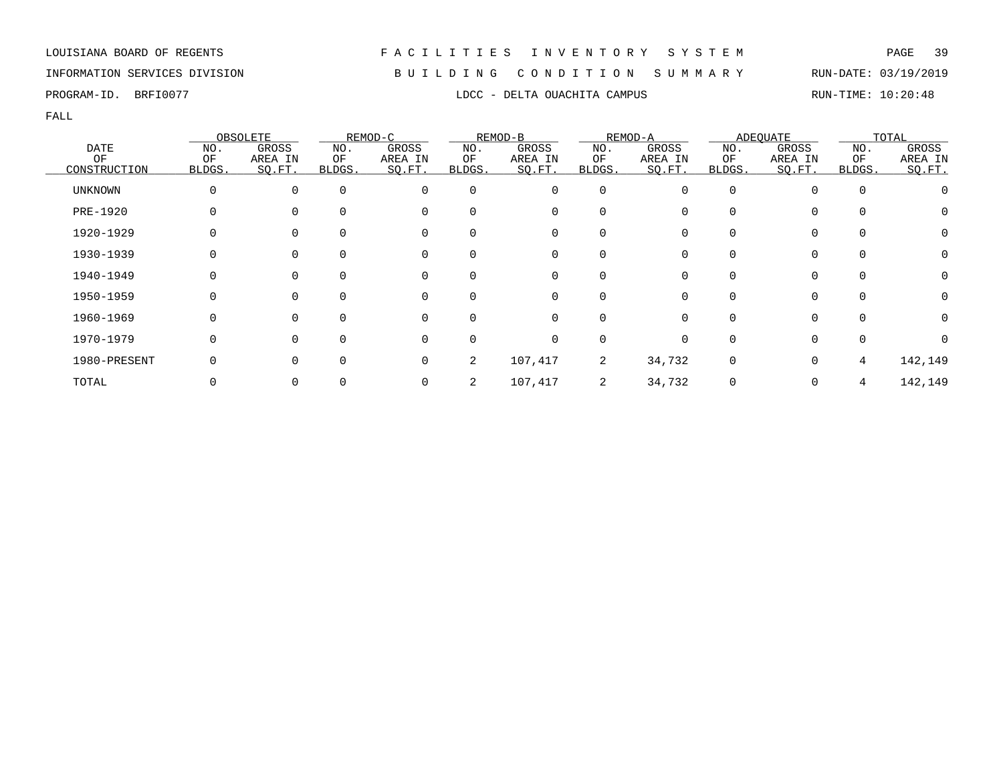## INFORMATION SERVICES DIVISION B U I L D I N G C O N D I T I O N S U M M A R Y RUN-DATE: 03/19/2019

|                |        | OBSOLETE |          | REMOD-C  |          | REMOD-B  |              | REMOD-A |        | ADEQUATE |        | TOTAL            |
|----------------|--------|----------|----------|----------|----------|----------|--------------|---------|--------|----------|--------|------------------|
| <b>DATE</b>    | NO.    | GROSS    | NO.      | GROSS    | NO.      | GROSS    | NO.          | GROSS   | NO.    | GROSS    | NO.    | GROSS            |
| ΟF             | ΟF     | AREA IN  | ΟF       | AREA IN  | ΟF       | AREA IN  | OF           | AREA IN | ΟF     | AREA IN  | ΟF     | AREA IN          |
| CONSTRUCTION   | BLDGS. | SO.FT.   | BLDGS.   | SQ.FT.   | BLDGS.   | SQ.FT.   | <b>BLDGS</b> | SO.FT.  | BLDGS. | SQ.FT.   | BLDGS. | SQ.FT.           |
| <b>UNKNOWN</b> |        |          | $\Omega$ | $\Omega$ | $\Omega$ | 0        | 0            |         |        | 0        |        |                  |
| PRE-1920       |        |          |          |          | $\Omega$ | 0        | $\Omega$     |         |        | 0        |        | $\cup$           |
| 1920-1929      |        |          |          |          |          | 0        | 0            |         |        | 0        |        | $\left( \right)$ |
| 1930-1939      |        |          |          |          | 0        | 0        | 0            |         |        | 0        |        |                  |
| 1940-1949      |        |          | $\Omega$ |          | $\Omega$ | 0        | $\Omega$     | O       |        | $\Omega$ |        | O                |
| 1950-1959      |        |          |          |          | $\Omega$ | $\Omega$ | $\Omega$     |         |        | $\Omega$ |        |                  |
| 1960-1969      |        |          |          | $\Omega$ | $\Omega$ | $\Omega$ | $\Omega$     |         |        | $\Omega$ |        |                  |
| 1970-1979      |        |          |          |          | $\Omega$ | 0        | $\Omega$     |         |        | $\Omega$ |        |                  |
| 1980-PRESENT   |        |          |          | $\Omega$ | 2        | 107,417  | 2            | 34,732  | 0      | 0        | 4      | 142,149          |
| TOTAL          |        |          |          |          |          | 107,417  | 2            | 34,732  |        | 0        | 4      | 142,149          |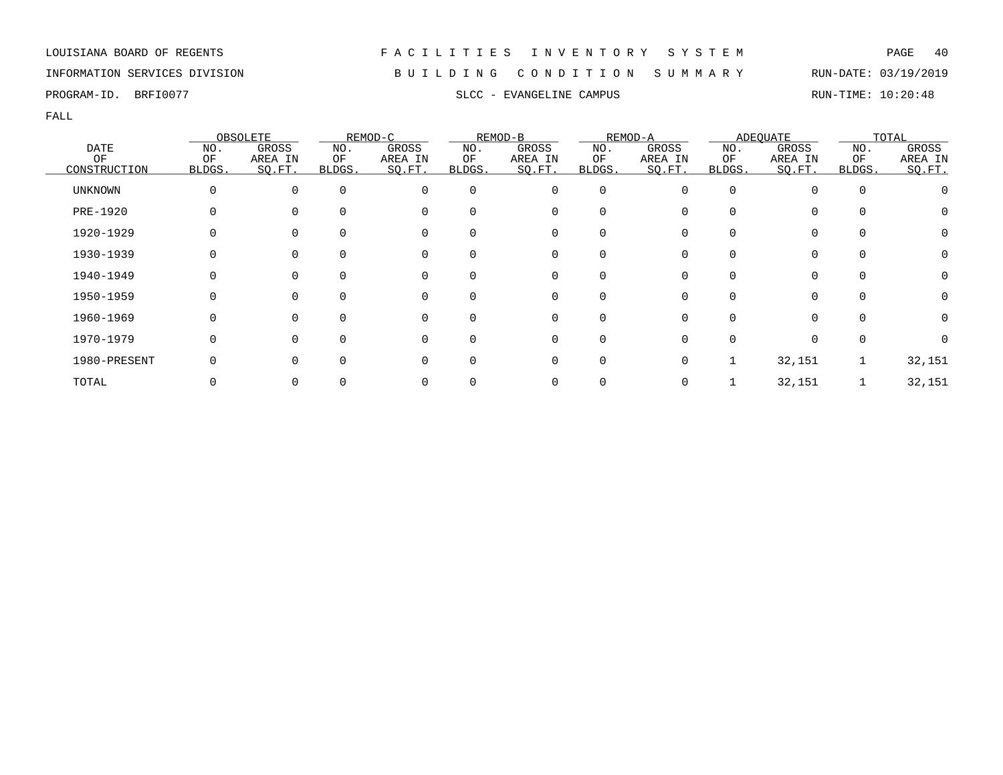PROGRAM-ID. BRFI0077 SLCC - EVANGELINE CAMPUS SLCC - EVANGELINE CAMPUS

FALL

|                 |        | OBSOLETE |          | REMOD-C  |          | REMOD-B  |             | REMOD-A |              | <b>ADEQUATE</b> |             | TOTAL   |
|-----------------|--------|----------|----------|----------|----------|----------|-------------|---------|--------------|-----------------|-------------|---------|
| <b>DATE</b>     | NO.    | GROSS    | NO.      | GROSS    | NO.      | GROSS    | NO.         | GROSS   | NO.          | GROSS           | NO.         | GROSS   |
| OF              | ΟF     | AREA IN  | ОF       | AREA IN  | ΟF       | AREA IN  | ΟF          | AREA IN | ΟF           | AREA IN         | ΟF          | AREA IN |
| CONSTRUCTION    | BLDGS. | SO.FT.   | BLDGS.   | SQ.FT.   | BLDGS.   | SQ.FT.   | BLDGS.      | SQ.FT.  | <b>BLDGS</b> | SQ.FT.          | BLDGS.      | SO.FT.  |
| <b>UNKNOWN</b>  | 0      | $\Omega$ | $\Omega$ | 0        | $\Omega$ | 0        | $\mathbf 0$ | O       | $\Omega$     |                 | $\mathbf 0$ |         |
| <b>PRE-1920</b> | 0      |          | $\Omega$ | 0        | 0        | 0        | $\Omega$    |         |              | $\Omega$        | $\Omega$    | O       |
| 1920-1929       |        |          |          | 0        | 0        | 0        | $\Omega$    |         |              | $\Omega$        | 0           | 0       |
| 1930-1939       |        |          |          | 0        | 0        | 0        |             |         |              |                 | 0           | 0       |
| 1940-1949       | O      | $\Omega$ | $\Omega$ | 0        | $\Omega$ | 0        | $\Omega$    |         |              | $\Omega$        | 0           | 0       |
| 1950-1959       | 0      | $\Omega$ | $\Omega$ | 0        | $\Omega$ | 0        | $\Omega$    | 0       |              | $\Omega$        | $\Omega$    | 0       |
| 1960-1969       | O      | $\Omega$ | 0        | $\Omega$ | 0        | $\Omega$ | $\Omega$    |         |              | <sup>n</sup>    | $\Omega$    |         |
| 1970-1979       | 0      | $\Omega$ | $\Omega$ | 0        | 0        | 0        | $\Omega$    |         |              | $\Omega$        | 0           |         |
| 1980-PRESENT    |        | $\Omega$ | $\Omega$ | $\Omega$ | 0        | 0        | $\mathbf 0$ |         |              | 32,151          |             | 32,151  |
| TOTAL           |        |          |          | 0        |          | 0        |             |         |              | 32,151          |             | 32,151  |

INFORMATION SERVICES DIVISION B U I L D I N G C O N D I T I O N S U M M A R Y RUN-DATE: 03/19/2019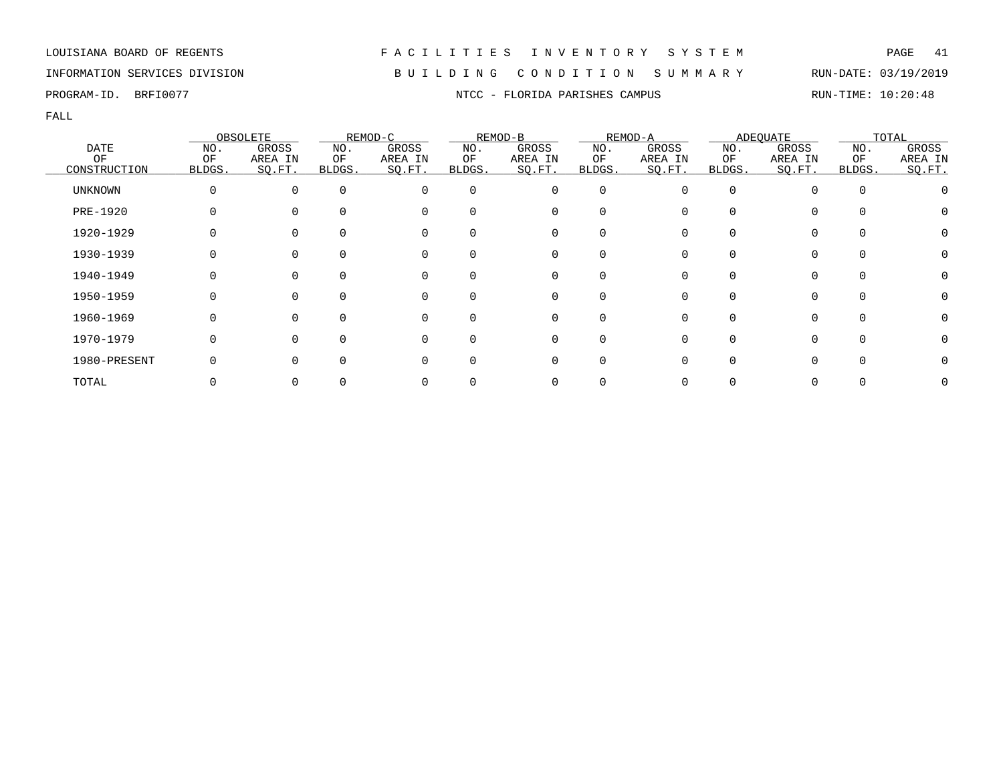## INFORMATION SERVICES DIVISION B U I L D I N G C O N D I T I O N S U M M A R Y RUN-DATE: 03/19/2019

PROGRAM-ID. BRFI0077 NTCC - FLORIDA PARISHES CAMPUS RUN-TIME: 10:20:48

|                    |              | OBSOLETE          |              | REMOD-C           |              | REMOD-B           |              | REMOD-A           |              | <b>ADEQUATE</b>   |              | TOTAL             |
|--------------------|--------------|-------------------|--------------|-------------------|--------------|-------------------|--------------|-------------------|--------------|-------------------|--------------|-------------------|
| <b>DATE</b>        | NO.          | GROSS             | NO.          | GROSS             | NO.          | GROSS             | NO.          | GROSS             | NO.          | GROSS             | NO.          | GROSS             |
| OF<br>CONSTRUCTION | OF<br>BLDGS. | AREA IN<br>SQ.FT. | ОF<br>BLDGS. | AREA IN<br>SQ.FT. | ΟF<br>BLDGS. | AREA IN<br>SQ.FT. | OF<br>BLDGS. | AREA IN<br>SQ.FT. | ΟF<br>BLDGS. | AREA IN<br>SQ.FT. | OF<br>BLDGS. | AREA IN<br>SO.FT. |
| UNKNOWN            |              |                   | $\Omega$     |                   | $\Omega$     | $\Omega$          | $\mathbf 0$  |                   |              |                   |              |                   |
| PRE-1920           |              |                   |              |                   |              | 0                 | O            |                   |              | 0                 |              |                   |
| 1920-1929          |              |                   |              |                   |              | 0                 | O            |                   |              | 0                 |              |                   |
| 1930-1939          |              |                   |              |                   | $\Omega$     | 0                 | 0            |                   |              |                   |              |                   |
| 1940-1949          |              |                   |              |                   | $\Omega$     | 0                 | $\Omega$     |                   |              |                   |              |                   |
| 1950-1959          |              |                   |              |                   | $\Omega$     | 0                 | $\Omega$     |                   |              | 0                 |              |                   |
| 1960-1969          |              |                   | <sup>n</sup> |                   | $\Omega$     | 0                 | $\Omega$     | O                 |              | $\Omega$          |              |                   |
| 1970-1979          |              |                   |              |                   | $\Omega$     | <sup>n</sup>      | $\Omega$     |                   |              | 0                 |              |                   |
| 1980-PRESENT       |              |                   |              |                   | ∩            | <sup>n</sup>      | $\Omega$     |                   |              | <sup>n</sup>      |              |                   |
| TOTAL              |              |                   |              |                   |              |                   |              |                   |              |                   |              |                   |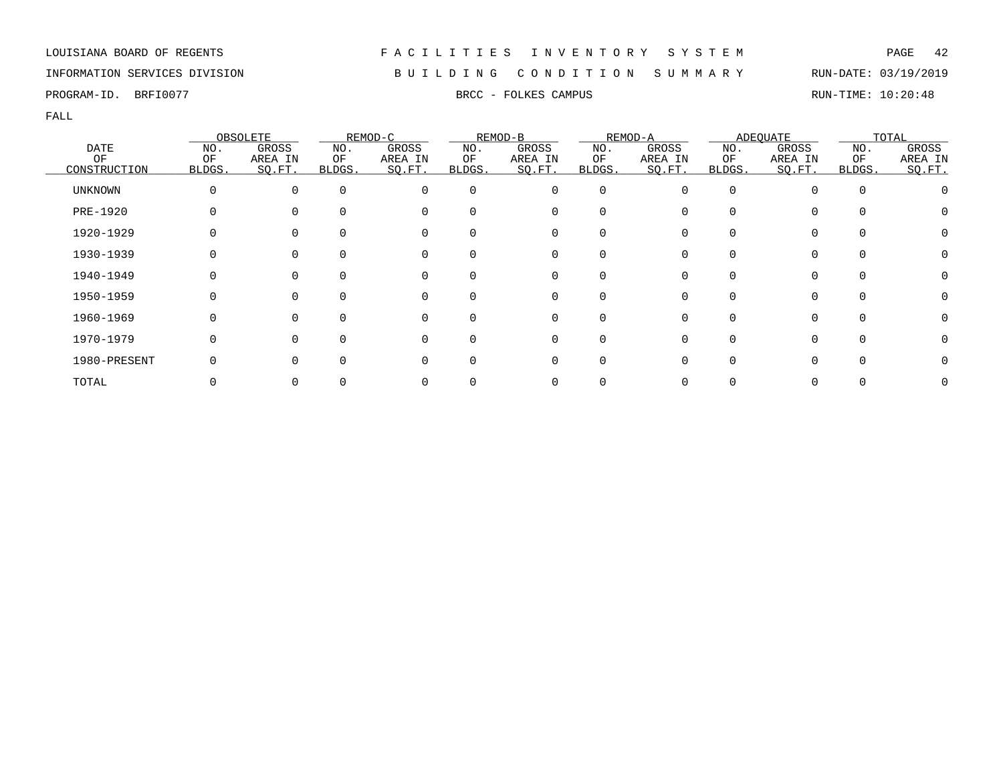## INFORMATION SERVICES DIVISION B U I L D I N G C O N D I T I O N S U M M A R Y RUN-DATE: 03/19/2019

PROGRAM-ID. BRFI0077 **BRFING RUN-TIME:** 10:20:48

|                |          | OBSOLETE |          | REMOD-C  |          | REMOD-B  |             | REMOD-A |        | <b>ADEQUATE</b> |          | TOTAL   |
|----------------|----------|----------|----------|----------|----------|----------|-------------|---------|--------|-----------------|----------|---------|
| <b>DATE</b>    | NO.      | GROSS    | NO.      | GROSS    | NO.      | GROSS    | NO.         | GROSS   | NO.    | GROSS           | NO.      | GROSS   |
| ΟF             | ΟF       | AREA IN  | ΟF       | AREA IN  | ΟF       | AREA IN  | ΟF          | AREA IN | ΟF     | AREA IN         | OF       | AREA IN |
| CONSTRUCTION   | BLDGS.   | SO.FT.   | BLDGS.   | SQ.FT.   | BLDGS.   | SQ.FT.   | BLDGS.      | SQ.FT.  | BLDGS. | SQ.FT.          | BLDGS.   | SO.FT.  |
| <b>UNKNOWN</b> | $\Omega$ | $\Omega$ | $\Omega$ | $\Omega$ | $\Omega$ | 0        | $\mathbf 0$ | O       |        |                 | $\Omega$ |         |
| PRE-1920       |          |          | $\Omega$ | $\Omega$ | $\Omega$ | 0        | 0           |         |        | 0               |          |         |
| 1920-1929      |          |          |          | $\Omega$ |          | 0        | $\Omega$    |         |        | 0               |          |         |
| 1930-1939      |          |          |          |          | 0        | 0        | 0           |         |        | 0               |          |         |
| 1940-1949      |          |          | $\Omega$ | 0        | $\Omega$ | 0        | 0           |         |        | 0               |          |         |
| 1950-1959      | O        |          | $\Omega$ | $\Omega$ | $\Omega$ | 0        | $\Omega$    | ∩       |        | $\Omega$        | $\Omega$ |         |
| 1960-1969      |          |          | $\Omega$ | ∩        | $\Omega$ | $\Omega$ | $\Omega$    |         |        | 0               |          |         |
| 1970-1979      |          |          | $\Omega$ | $\Omega$ | $\Omega$ | 0        | $\mathbf 0$ |         |        | 0               | $\Omega$ |         |
| 1980-PRESENT   |          |          | $\Omega$ |          | $\Omega$ | 0        | $\mathbf 0$ |         |        | 0               |          |         |
| TOTAL          |          |          |          |          |          | 0        | 0           |         |        |                 |          |         |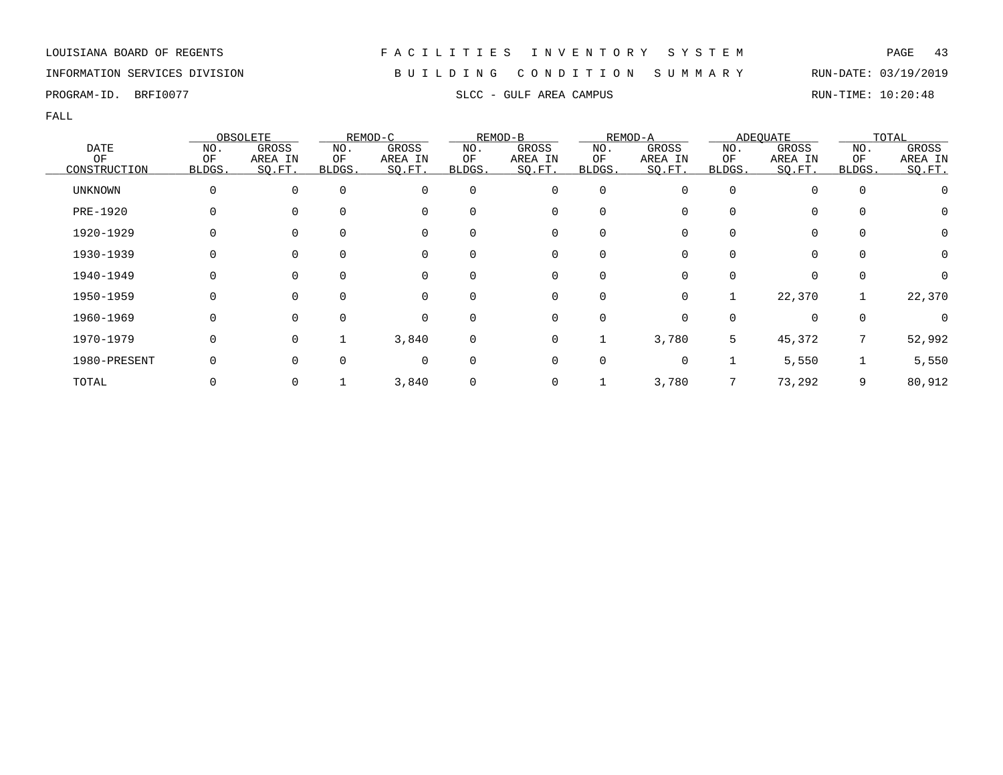## INFORMATION SERVICES DIVISION B U I L D I N G C O N D I T I O N S U M M A R Y RUN-DATE: 03/19/2019

PROGRAM-ID. BRFI0077 SLCC - GULF AREA CAMPUS SLCC - GULF AREA COMPUS

|                |              | OBSOLETE    |             | REMOD-C  |          | REMOD-B     |             | REMOD-A |              | <b>ADEQUATE</b> |             | TOTAL   |
|----------------|--------------|-------------|-------------|----------|----------|-------------|-------------|---------|--------------|-----------------|-------------|---------|
| <b>DATE</b>    | NO.          | GROSS       | NO.         | GROSS    | NO.      | GROSS       | NO.         | GROSS   | NO.          | GROSS           | NO.         | GROSS   |
| OF             | ΟF           | AREA IN     | ΟF          | AREA IN  | ΟF       | AREA IN     | ΟF          | AREA IN | ΟF           | AREA IN         | ΟF          | AREA IN |
| CONSTRUCTION   | <b>BLDGS</b> | SQ.FT.      | BLDGS.      | SQ.FT.   | BLDGS.   | SQ.FT.      | BLDGS.      | SO.FT.  | <b>BLDGS</b> | SQ.FT.          | BLDGS.      | SO.FT.  |
| <b>UNKNOWN</b> | 0            | $\mathbf 0$ | $\mathbf 0$ | 0        | 0        | 0           | $\mathbf 0$ | 0       | $\Omega$     | $\Omega$        | $\mathbf 0$ |         |
| PRE-1920       | 0            | $\Omega$    | $\Omega$    | 0        | 0        | 0           | 0           |         |              | $\mathbf 0$     | 0           | 0       |
| 1920-1929      | 0            | $\Omega$    | 0           | 0        | 0        | 0           | 0           |         |              | $\mathbf 0$     | 0           | 0       |
| 1930-1939      |              | 0           | 0           | 0        | 0        | 0           | 0           |         |              | $\Omega$        | $\mathbf 0$ | 0       |
| 1940-1949      | 0            | $\Omega$    | $\Omega$    | 0        | $\Omega$ | 0           | $\Omega$    |         |              | $\Omega$        | $\Omega$    | 0       |
| 1950-1959      | O            | $\Omega$    | $\Omega$    | $\Omega$ | $\Omega$ | $\mathbf 0$ | $\Omega$    | 0       |              | 22,370          |             | 22,370  |
| 1960-1969      | O            | $\Omega$    | $\Omega$    | $\Omega$ | 0        | $\mathbf 0$ | $\Omega$    | 0       |              | $\Omega$        | $\mathbf 0$ |         |
| 1970-1979      | 0            | $\Omega$    |             | 3,840    | 0        | 0           | ┸           | 3,780   | 5            | 45,372          | 7           | 52,992  |
| 1980-PRESENT   |              | $\Omega$    | $\Omega$    | 0        | $\Omega$ | 0           | 0           | 0       |              | 5,550           |             | 5,550   |
| TOTAL          |              | 0           |             | 3,840    | 0        | 0           |             | 3,780   |              | 73,292          | 9           | 80,912  |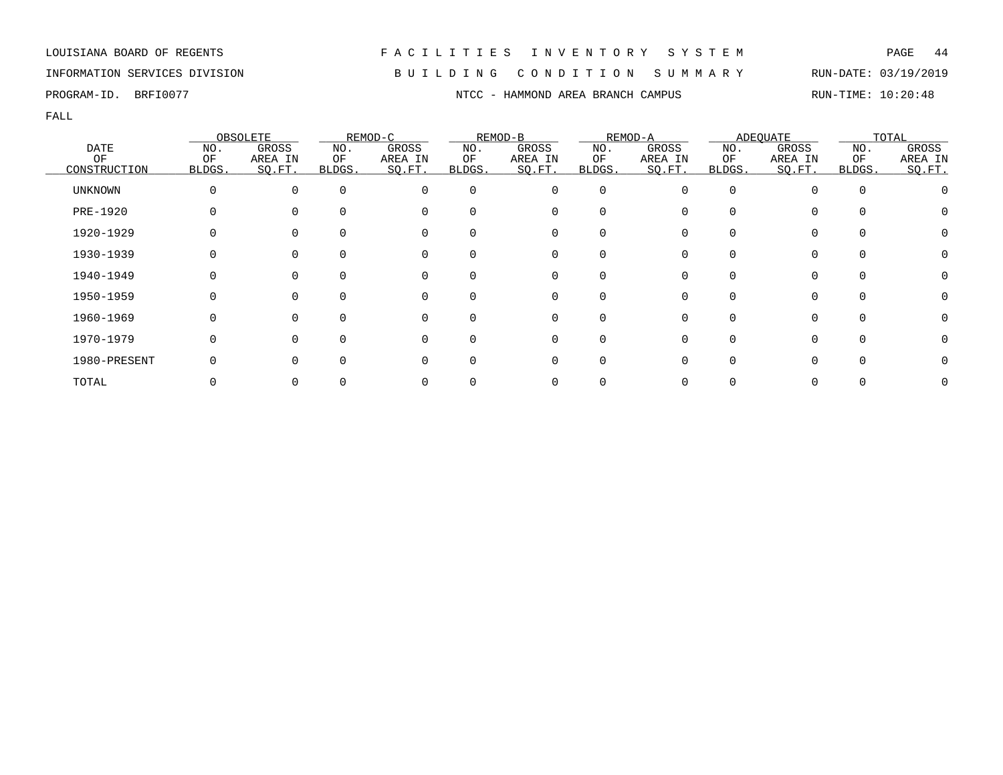# INFORMATION SERVICES DIVISION B U I L D I N G C O N D I T I O N S U M M A R Y RUN-DATE: 03/19/2019

PROGRAM-ID. BRFI0077 NTCC - HAMMOND AREA BRANCH CAMPUS RUN-TIME: 10:20:48

|                |          | OBSOLETE     |              | REMOD-C  |              | REMOD-B  |          | REMOD-A |              | ADEQUATE |          | TOTAL   |
|----------------|----------|--------------|--------------|----------|--------------|----------|----------|---------|--------------|----------|----------|---------|
| <b>DATE</b>    | NO.      | GROSS        | NO.          | GROSS    | NO.          | GROSS    | NO.      | GROSS   | NO.          | GROSS    | NO.      | GROSS   |
| ΟF             | ΟF       | AREA IN      | ΟF           | AREA IN  | ΟF           | AREA IN  | ΟF       | AREA IN | ΟF           | AREA IN  | ΟF       | AREA IN |
| CONSTRUCTION   | BLDGS.   | SQ.FT.       | <b>BLDGS</b> | SQ.FT.   | <b>BLDGS</b> | SO.FT.   | BLDGS.   | SQ.FT.  | <b>BLDGS</b> | SQ.FT.   | BLDGS.   | SQ.FT.  |
| <b>UNKNOWN</b> | $\Omega$ | $\Omega$     | $\Omega$     | $\Omega$ | $\Omega$     | 0        | 0        |         | 0            |          | $\Omega$ |         |
| PRE-1920       |          |              | $\Omega$     | $\Omega$ | U            | 0        |          |         |              |          |          |         |
| 1920-1929      |          |              |              | $\Omega$ |              | 0        |          |         |              |          |          |         |
| 1930-1939      |          |              | 0            | 0        | 0            | 0        | 0        |         |              |          | 0        |         |
| 1940-1949      |          | $\Omega$     | $\Omega$     | 0        | $\Omega$     | 0        | $\Omega$ |         | <sup>n</sup> | $\Omega$ | $\Omega$ |         |
| 1950-1959      |          |              | $\cap$       | $\Omega$ | $\Omega$     | $\Omega$ |          |         | <sup>n</sup> |          | $\cap$   |         |
| 1960-1969      |          | <sup>n</sup> | $\Omega$     | $\Omega$ | $\Omega$     | $\Omega$ |          |         | <sup>n</sup> |          | ∩        |         |
| 1970-1979      |          |              | $\Omega$     | $\Omega$ | $\Omega$     | 0        | 0        |         |              |          | $\cap$   |         |
| 1980-PRESENT   |          |              | <sup>n</sup> | $\Omega$ | <sup>0</sup> | 0        |          |         |              |          |          |         |
| TOTAL          |          |              |              |          |              | 0        |          |         |              |          |          |         |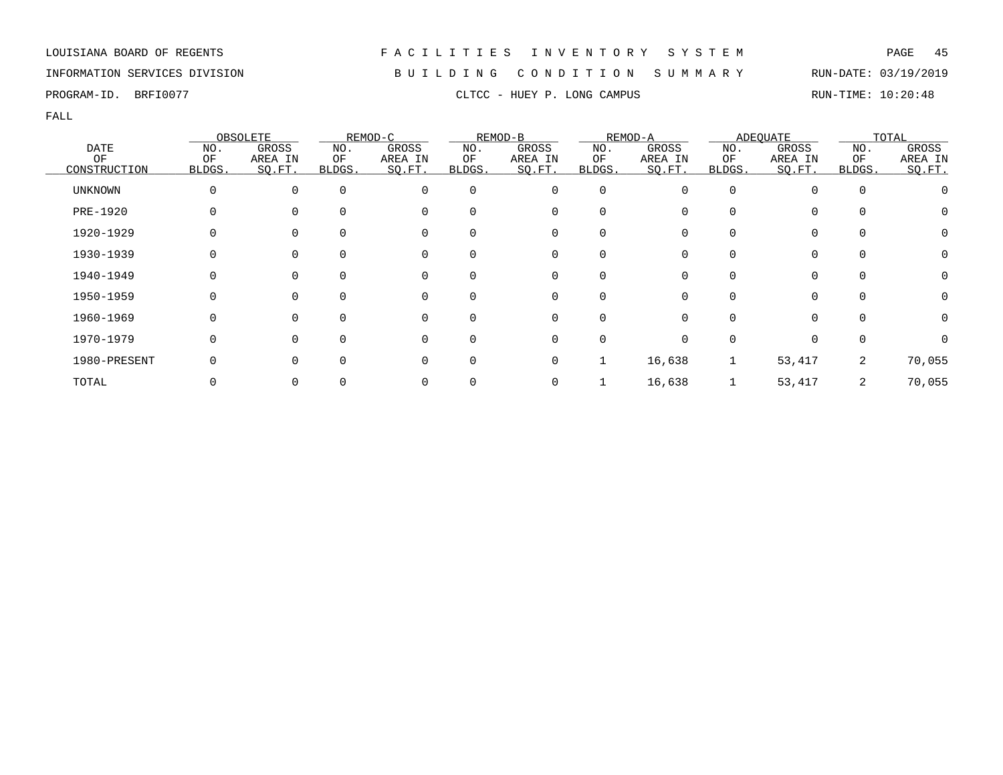## INFORMATION SERVICES DIVISION B U I L D I N G C O N D I T I O N S U M M A R Y RUN-DATE: 03/19/2019

|                 |              | OBSOLETE |          | REMOD-C      |          | REMOD-B     |             | REMOD-A |          | <b>ADEQUATE</b> |             | TOTAL   |
|-----------------|--------------|----------|----------|--------------|----------|-------------|-------------|---------|----------|-----------------|-------------|---------|
| <b>DATE</b>     | NO.          | GROSS    | NO.      | GROSS        | NO.      | GROSS       | NO.         | GROSS   | NO.      | GROSS           | NO.         | GROSS   |
| OF              | OF           | AREA IN  | ОF       | AREA IN      | ΟF       | AREA IN     | ΟF          | AREA IN | ΟF       | AREA IN         | OF          | AREA IN |
| CONSTRUCTION    | <b>BLDGS</b> | SO.FT.   | BLDGS.   | SQ.FT.       | BLDGS.   | SQ.FT.      | BLDGS.      | SO.FT.  | BLDGS.   | SQ.FT.          | BLDGS.      | SQ.FT.  |
| <b>UNKNOWN</b>  | 0            | $\Omega$ | $\Omega$ | 0            | $\Omega$ | 0           | $\mathbf 0$ |         | $\Omega$ |                 | $\mathbf 0$ |         |
| <b>PRE-1920</b> | 0            |          | $\Omega$ | 0            | 0        | 0           | $\Omega$    |         |          | $\Omega$        | 0           | O       |
| 1920-1929       |              | $\Omega$ |          | 0            | 0        | 0           | $\Omega$    |         |          | $\Omega$        | 0           | 0       |
| 1930-1939       |              |          | 0        | 0            | 0        | 0           | $\Omega$    |         |          | 0               | 0           |         |
| 1940-1949       | 0            | $\Omega$ | $\Omega$ | 0            | $\Omega$ | 0           | $\Omega$    | 0       |          | $\Omega$        | 0           | 0       |
| 1950-1959       | 0            | $\Omega$ | $\Omega$ | $\Omega$     | $\Omega$ | $\mathbf 0$ | $\Omega$    | ∩       |          | $\Omega$        | $\Omega$    |         |
| 1960-1969       | 0            | $\Omega$ | $\Omega$ | 0            | 0        | 0           | $\Omega$    |         |          | $\Omega$        | $\Omega$    | 0       |
| 1970-1979       | 0            | $\Omega$ | $\Omega$ | $\Omega$     | $\Omega$ | 0           | 0           |         |          | 0               | 0           |         |
| 1980-PRESENT    |              |          |          | 0            | 0        | 0           |             | 16,638  |          | 53,417          | 2           | 70,055  |
| TOTAL           |              |          |          | <sup>0</sup> |          | 0           |             | 16,638  |          | 53,417          | 2           | 70,055  |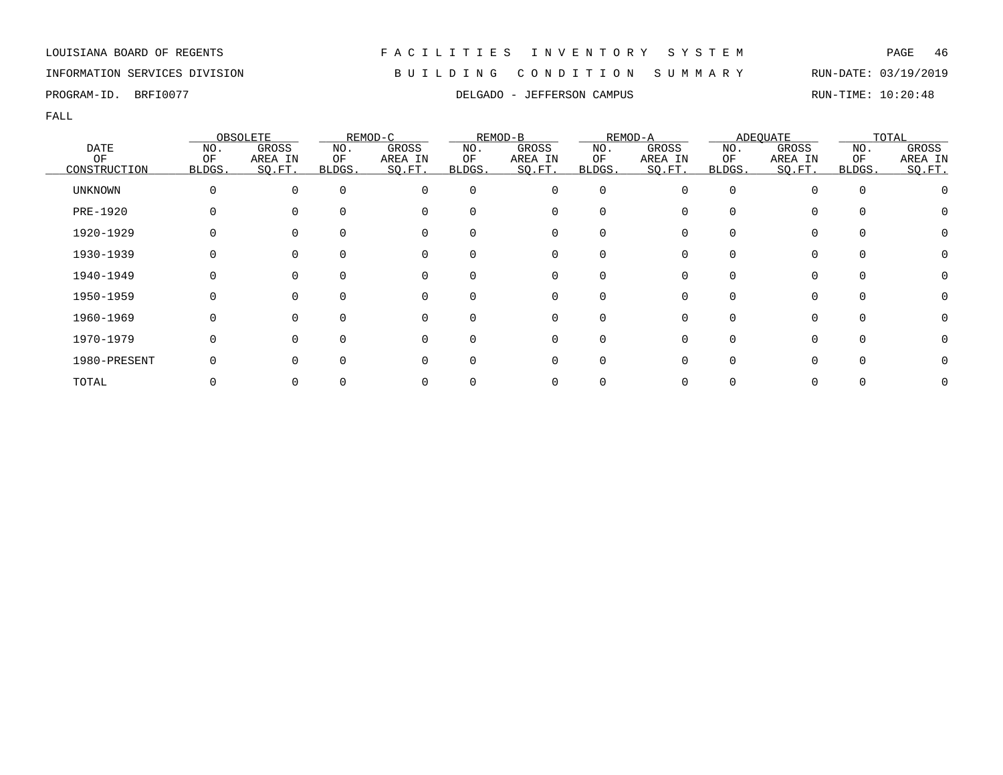## INFORMATION SERVICES DIVISION B U I L D I N G C O N D I T I O N S U M M A R Y RUN-DATE: 03/19/2019

FALL

|                |              | OBSOLETE |              | REMOD-C  |                | REMOD-B |          | REMOD-A |              | ADEQUATE |          | TOTAL   |
|----------------|--------------|----------|--------------|----------|----------------|---------|----------|---------|--------------|----------|----------|---------|
| <b>DATE</b>    | NO.          | GROSS    | NO.          | GROSS    | NO.            | GROSS   | NO.      | GROSS   | NO.          | GROSS    | NO.      | GROSS   |
| OF             | ΟF           | AREA IN  | ОF           | AREA IN  | ΟF             | AREA IN | ΟF       | AREA IN | ΟF           | AREA IN  | ΟF       | AREA IN |
| CONSTRUCTION   | <b>BLDGS</b> | SO.FT.   | <b>BLDGS</b> | SO.FT.   | <b>BLDGS</b> . | SO.FT.  | BLDGS.   | SO.FT.  | <b>BLDGS</b> | SQ.FT.   | BLDGS.   | SQ.FT.  |
| <b>UNKNOWN</b> | 0            | $\Omega$ | $\Omega$     | $\Omega$ | $\Omega$       | 0       | 0        |         | <sup>0</sup> |          | $\Omega$ |         |
| PRE-1920       |              |          | $\Omega$     | $\Omega$ |                | 0       |          |         |              |          |          |         |
| 1920-1929      |              |          | $\Omega$     | 0        |                | 0       |          |         |              |          |          |         |
| 1930-1939      |              |          | 0            | 0        | 0              | 0       | 0        |         |              |          | 0        |         |
| 1940-1949      |              | $\Omega$ | $\Omega$     | 0        | 0              | 0       | $\Omega$ |         | <sup>0</sup> | 0        | $\Omega$ |         |
| 1950-1959      | U            | ∩        | $\Omega$     | $\Omega$ |                | 0       |          |         | U            |          | $\cap$   |         |
| 1960-1969      | O            | $\Omega$ | $\Omega$     | $\Omega$ | $\Omega$       | 0       |          |         | U            |          | $\cap$   |         |
| 1970-1979      | 0            |          | $\Omega$     | $\Omega$ |                | 0       |          |         |              |          | $\Omega$ |         |
| 1980-PRESENT   |              |          | $\Omega$     | $\Omega$ |                | 0       |          |         |              |          |          |         |
| TOTAL          |              |          |              |          |                | 0       |          |         |              |          |          |         |

### PROGRAM-ID. BRFI0077 **DELGADO - JEFFERSON CAMPUS RUN-TIME: 10:20:48**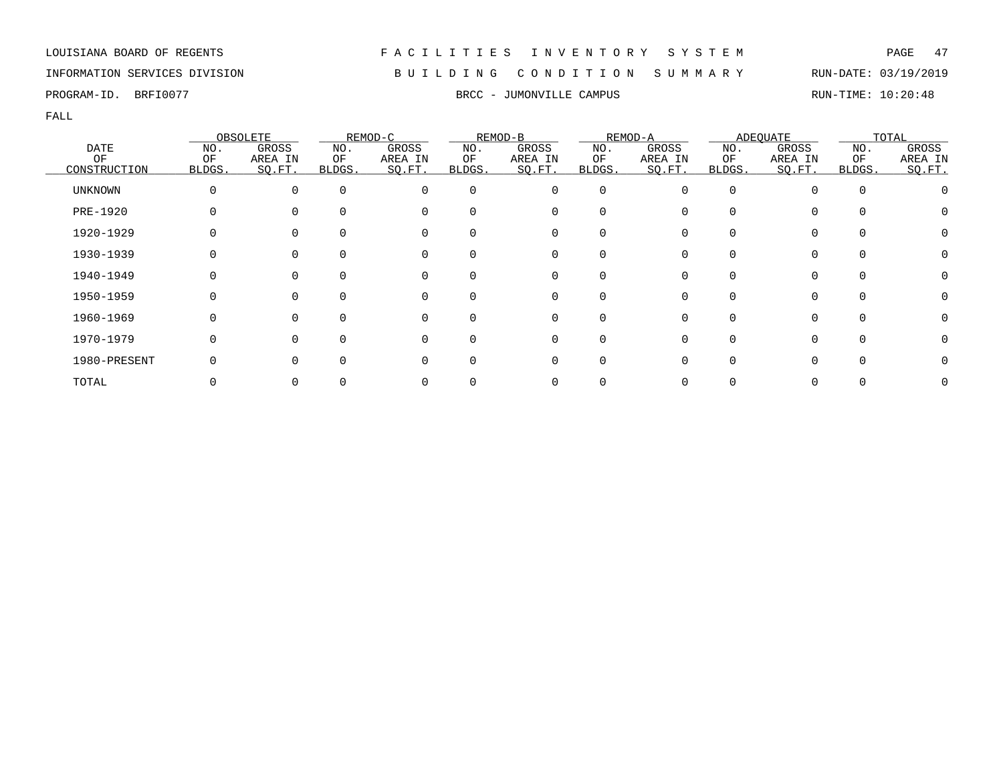## INFORMATION SERVICES DIVISION B U I L D I N G C O N D I T I O N S U M M A R Y RUN-DATE: 03/19/2019

PROGRAM-ID. BRFI0077 SEROL SOLUTION BROGRAM-ID. BROGRAM-ID. BROGRAM-ID. BREEN STATE: 10:20:48

|                |        | OBSOLETE |          | REMOD-C  |          | REMOD-B  |                  | REMOD-A |        | ADEQUATE     |          | TOTAL   |
|----------------|--------|----------|----------|----------|----------|----------|------------------|---------|--------|--------------|----------|---------|
| <b>DATE</b>    | NO.    | GROSS    | NO.      | GROSS    | NO.      | GROSS    | NO.              | GROSS   | NO.    | GROSS        | NO.      | GROSS   |
| OF             | OF     | AREA IN  | ΟF       | AREA IN  | ΟF       | AREA IN  | ΟF               | AREA IN | ΟF     | AREA IN      | ΟF       | AREA IN |
| CONSTRUCTION   | BLDGS. | SO.FT.   | BLDGS.   | SQ.FT.   | BLDGS.   | SQ.FT.   | BLDGS.           | SQ.FT.  | BLDGS. | SQ.FT.       | BLDGS.   | SO.FT.  |
| <b>UNKNOWN</b> |        | $\Omega$ | $\Omega$ | 0        | $\Omega$ | 0        | 0                |         | O      |              | $\Omega$ |         |
| PRE-1920       |        | $\Omega$ |          | 0        | 0        | 0        | 0                |         |        | 0            |          |         |
| 1920-1929      |        |          |          | 0        | 0        | 0        |                  |         |        |              |          |         |
| 1930-1939      |        |          |          | 0        | 0        | 0        |                  |         |        |              | $\Omega$ |         |
| 1940-1949      |        | $\Omega$ | $\Omega$ | 0        | $\Omega$ | 0        | $\left( \right)$ |         |        |              | $\Omega$ |         |
| 1950-1959      |        | $\Omega$ | $\Omega$ | 0        | $\Omega$ | 0        | $\Omega$         |         | U      | 0            | $\Omega$ |         |
| 1960-1969      |        | $\Omega$ |          | $\Omega$ | 0        | $\Omega$ |                  |         |        |              | $\cap$   |         |
| 1970-1979      |        | $\Omega$ | ∩        | $\Omega$ | 0        | 0        | O                |         |        | <sup>n</sup> | $\Omega$ |         |
| 1980-PRESENT   |        | $\Omega$ | $\Omega$ | O        | 0        | 0        | O                |         |        |              |          |         |
| TOTAL          |        |          |          |          |          | 0        |                  |         |        |              |          |         |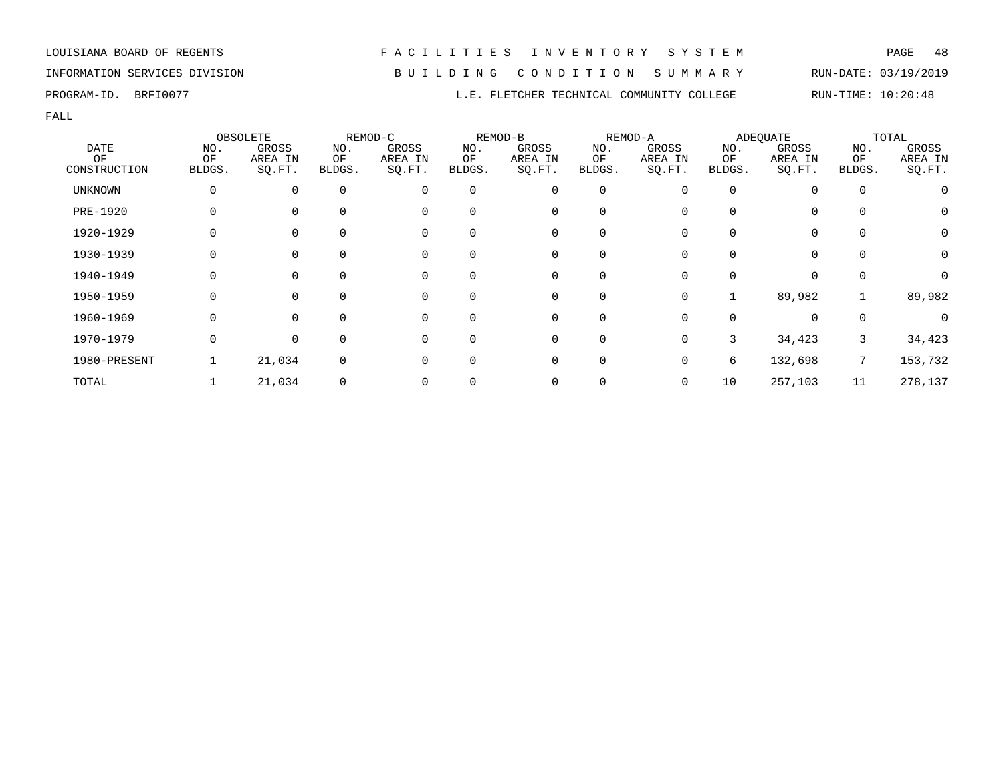INFORMATION SERVICES DIVISION B U I L D I N G C O N D I T I O N S U M M A R Y RUN-DATE: 03/19/2019

FALL

|                |              | OBSOLETE    |             | REMOD-C  |              | REMOD-B  |                | REMOD-A |              | <b>ADEOUATE</b> |             | TOTAL    |
|----------------|--------------|-------------|-------------|----------|--------------|----------|----------------|---------|--------------|-----------------|-------------|----------|
| <b>DATE</b>    | NO.          | GROSS       | NO.         | GROSS    | NO.          | GROSS    | NO.            | GROSS   | NO.          | GROSS           | NO.         | GROSS    |
| OF             | OF           | AREA IN     | ΟF          | AREA IN  | ΟF           | AREA IN  | OF             | AREA IN | ΟF           | AREA IN         | ΟF          | AREA IN  |
| CONSTRUCTION   | <b>BLDGS</b> | SO.FT.      | BLDGS.      | SQ.FT.   | <b>BLDGS</b> | SQ.FT.   | BLDGS.         | SQ.FT.  | <b>BLDGS</b> | SQ.FT.          | BLDGS.      | SQ.FT.   |
| <b>UNKNOWN</b> |              | $\mathbf 0$ | $\mathbf 0$ | 0        | $\Omega$     | 0        | $\mathbf 0$    |         | $\Omega$     | $\mathbf 0$     | $\mathbf 0$ |          |
| PRE-1920       |              | 0           |             | 0        | 0            | 0        | 0              |         |              | 0               |             | $\Omega$ |
| 1920-1929      |              | 0           |             | 0        | 0            | 0        | 0              |         |              | 0               |             | 0        |
| 1930-1939      |              | $\Omega$    | $\Omega$    | 0        | 0            | $\Omega$ | $\Omega$       |         |              | $\Omega$        |             | $\Omega$ |
| 1940-1949      |              | $\Omega$    |             | 0        | 0            | $\Omega$ | $\Omega$       |         |              | $\Omega$        |             |          |
| 1950-1959      | 0            | $\Omega$    | $\Omega$    | 0        | 0            | 0        | $\overline{0}$ | O       |              | 89,982          |             | 89,982   |
| 1960-1969      |              | $\Omega$    | ∩           | $\Omega$ | <sup>0</sup> | 0        | $\mathbf 0$    |         |              | $\Omega$        |             |          |
| 1970-1979      | 0            | $\Omega$    |             | 0        | 0            | 0        | 0              |         | 3            | 34,423          | 3           | 34,423   |
| 1980-PRESENT   |              | 21,034      |             | 0        | 0            | 0        | 0              |         | 6            | 132,698         | 7           | 153,732  |
| TOTAL          |              | 21,034      |             |          |              |          |                | 0       | 10           | 257,103         | 11          | 278,137  |

PROGRAM-ID. BRFI0077 COLLEGE RUN-TIME: 10:20:48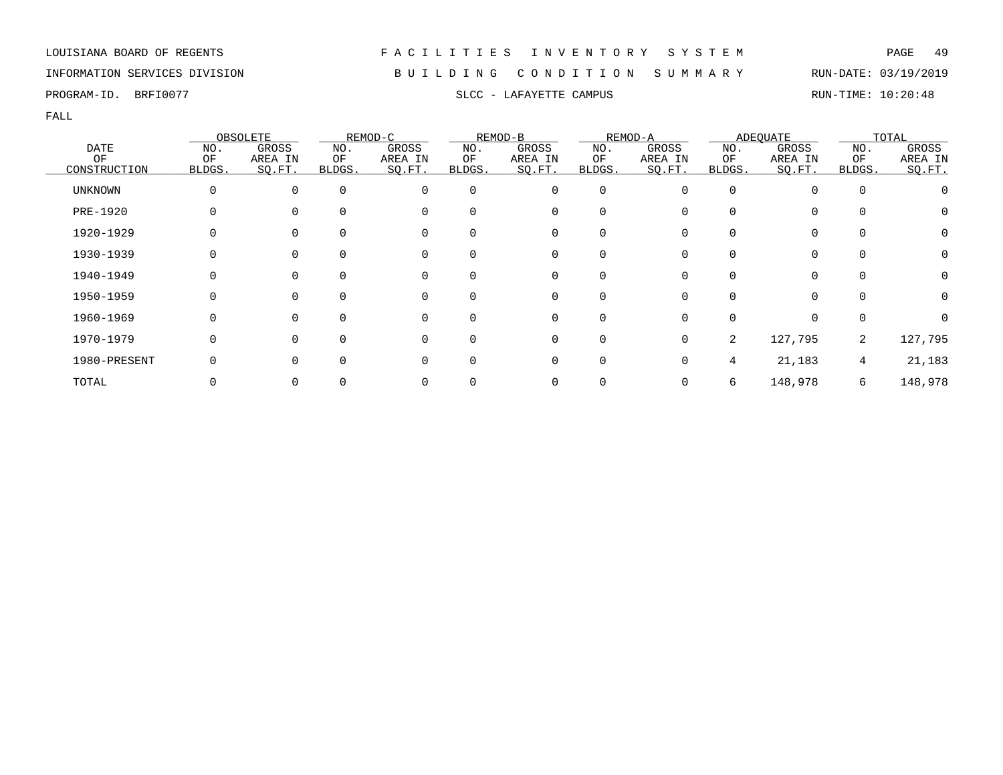## INFORMATION SERVICES DIVISION B U I L D I N G C O N D I T I O N S U M M A R Y RUN-DATE: 03/19/2019

PROGRAM-ID. BRFI0077 SLCC - LAFAYETTE CAMPUS SLCC - LAFAYETTE COMPUS

|                |              | OBSOLETE    |          | REMOD-C  |              | REMOD-B  |             | REMOD-A |              | <b>ADEQUATE</b> |             | TOTAL   |
|----------------|--------------|-------------|----------|----------|--------------|----------|-------------|---------|--------------|-----------------|-------------|---------|
| <b>DATE</b>    | NO.          | GROSS       | NO.      | GROSS    | NO.          | GROSS    | NO.         | GROSS   | NO.          | GROSS           | NO.         | GROSS   |
| ΟF             | ΟF           | AREA IN     | ΟF       | AREA IN  | ΟF           | AREA IN  | ΟF          | AREA IN | ΟF           | AREA IN         | ΟF          | AREA IN |
| CONSTRUCTION   | <b>BLDGS</b> | SO.FT.      | BLDGS.   | SQ.FT.   | BLDGS.       | SQ.FT.   | BLDGS.      | SO.FT.  | <b>BLDGS</b> | SO.FT.          | BLDGS.      | SO.FT.  |
| <b>UNKNOWN</b> |              | $\mathbf 0$ | $\Omega$ | 0        | $\Omega$     | 0        | $\mathbf 0$ | 0       | $\Omega$     | $\Omega$        | $\mathbf 0$ |         |
| PRE-1920       |              | $\Omega$    | $\Omega$ | 0        | 0            | 0        | 0           |         |              | 0               | $\Omega$    | O       |
| 1920-1929      |              | $\Omega$    |          | 0        | 0            | 0        | 0           |         |              | 0               | 0           | 0       |
| 1930-1939      |              | 0           |          | 0        | $\Omega$     | 0        | 0           |         |              | $\Omega$        | 0           |         |
| 1940-1949      |              | $\Omega$    | $\Omega$ | 0        | 0            | $\Omega$ | O           |         |              | 0               | $\Omega$    | 0       |
| 1950-1959      |              | $\Omega$    | $\cap$   | $\Omega$ | 0            | $\Omega$ | $\Omega$    |         |              | $\Omega$        | $\Omega$    | 0       |
| 1960-1969      |              | $\Omega$    | $\cap$   | $\Omega$ | 0            | $\Omega$ | $\Omega$    |         |              | $\Omega$        | $\Omega$    |         |
| 1970-1979      |              | $\Omega$    | $\Omega$ | $\Omega$ | U            | 0        | $\Omega$    | 0       | 2            | 127,795         | 2           | 127,795 |
| 1980-PRESENT   |              | $\Omega$    |          | 0        | <sup>0</sup> | 0        | $\Omega$    |         | 4            | 21,183          | 4           | 21,183  |
| TOTAL          |              | 0           |          |          |              |          |             |         | 6            | 148,978         | 6           | 148,978 |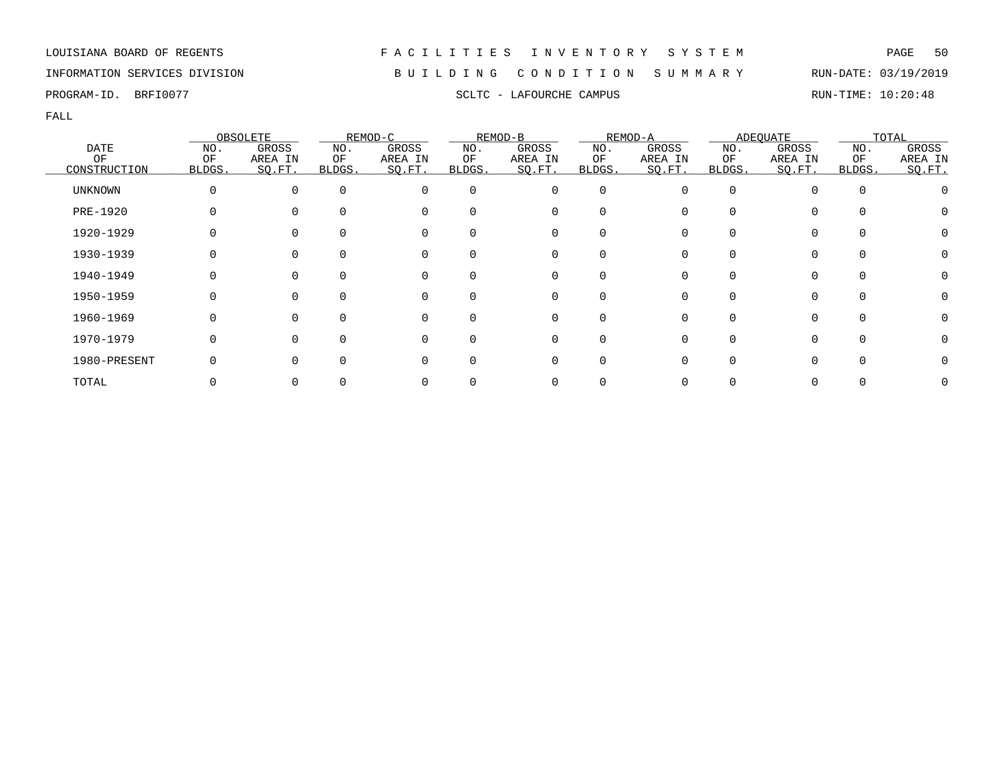## INFORMATION SERVICES DIVISION B U I L D I N G C O N D I T I O N S U M M A R Y RUN-DATE: 03/19/2019

PROGRAM-ID. BRFI0077 SCLTC - LAFOURCHE CAMPUS SCLTC - LAFOURCHE CAMPUS RUN-TIME: 10:20:48

|                |        | OBSOLETE |          | REMOD-C  |          | REMOD-B  |                  | REMOD-A |        | ADEQUATE     |          | TOTAL   |
|----------------|--------|----------|----------|----------|----------|----------|------------------|---------|--------|--------------|----------|---------|
| <b>DATE</b>    | NO.    | GROSS    | NO.      | GROSS    | NO.      | GROSS    | NO.              | GROSS   | NO.    | GROSS        | NO.      | GROSS   |
| OF             | OF     | AREA IN  | ΟF       | AREA IN  | ΟF       | AREA IN  | ΟF               | AREA IN | ΟF     | AREA IN      | ΟF       | AREA IN |
| CONSTRUCTION   | BLDGS. | SO.FT.   | BLDGS.   | SQ.FT.   | BLDGS.   | SQ.FT.   | BLDGS.           | SQ.FT.  | BLDGS. | SQ.FT.       | BLDGS.   | SO.FT.  |
| <b>UNKNOWN</b> |        | $\Omega$ | $\Omega$ | 0        | $\Omega$ | 0        | 0                |         | O      |              | $\Omega$ |         |
| PRE-1920       |        | $\Omega$ |          | 0        | 0        | 0        | 0                |         |        | 0            |          |         |
| 1920-1929      |        |          |          | 0        | 0        | 0        |                  |         |        |              |          |         |
| 1930-1939      |        |          |          | 0        | 0        | 0        |                  |         |        |              | $\Omega$ |         |
| 1940-1949      |        | $\Omega$ | $\Omega$ | 0        | $\Omega$ | 0        | $\left( \right)$ |         |        |              | $\Omega$ |         |
| 1950-1959      |        | $\Omega$ | $\Omega$ | 0        | $\Omega$ | 0        | $\Omega$         |         | U      | 0            | $\Omega$ |         |
| 1960-1969      |        | $\Omega$ |          | $\Omega$ | 0        | $\Omega$ |                  |         |        |              | $\cap$   |         |
| 1970-1979      |        | $\Omega$ | ∩        | $\Omega$ | 0        | 0        | O                |         |        | <sup>n</sup> | $\Omega$ |         |
| 1980-PRESENT   |        | $\Omega$ | $\Omega$ | O        | 0        | 0        | O                |         |        |              |          |         |
| TOTAL          |        |          |          |          |          | 0        |                  |         |        |              |          |         |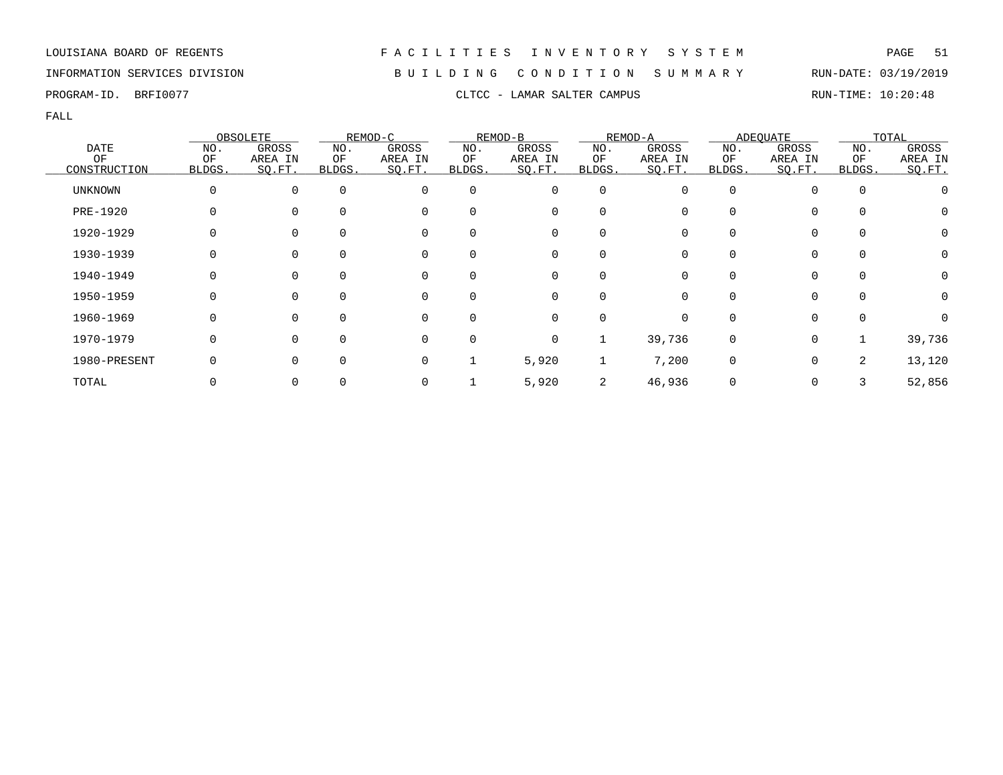## INFORMATION SERVICES DIVISION B U I L D I N G C O N D I T I O N S U M M A R Y RUN-DATE: 03/19/2019

PROGRAM-ID. BRFI0077 CLTCC - LAMAR SALTER CAMPUS CLTCC - LAMAR SALTER CAMPUS

|                |              | OBSOLETE |             | REMOD-C  |          | REMOD-B     |             | REMOD-A |          | <b>ADEQUATE</b> |             | TOTAL   |
|----------------|--------------|----------|-------------|----------|----------|-------------|-------------|---------|----------|-----------------|-------------|---------|
| <b>DATE</b>    | NO.          | GROSS    | NO.         | GROSS    | NO.      | GROSS       | NO.         | GROSS   | NO.      | GROSS           | NO.         | GROSS   |
| ΟF             | ΟF           | AREA IN  | ΟF          | AREA IN  | ΟF       | AREA IN     | ΟF          | AREA IN | ΟF       | AREA IN         | ΟF          | AREA IN |
| CONSTRUCTION   | BLDGS.       | SQ.FT.   | BLDGS.      | SQ.FT.   | BLDGS.   | SQ.FT.      | BLDGS.      | SO.FT.  | BLDGS.   | SQ.FT.          | BLDGS.      | SO.FT.  |
| <b>UNKNOWN</b> | 0            | $\Omega$ | $\mathbf 0$ | $\Omega$ | 0        | 0           | $\mathbf 0$ |         | $\Omega$ |                 | $\mathbf 0$ |         |
| PRE-1920       | 0            |          | $\Omega$    | 0        | 0        | 0           | $\Omega$    |         |          | $\Omega$        | $\Omega$    | O       |
| 1920-1929      |              |          | $\Omega$    | 0        | 0        | 0           | $\Omega$    |         |          | $\Omega$        | 0           | 0       |
| 1930-1939      |              |          | 0           | 0        | 0        | 0           | $\Omega$    |         |          |                 | $\mathbf 0$ |         |
| 1940-1949      | Ω            | $\Omega$ | $\Omega$    | 0        | $\Omega$ | 0           | $\Omega$    |         |          | 0               | $\Omega$    | 0       |
| 1950-1959      | <sup>0</sup> | $\Omega$ | $\Omega$    | $\Omega$ | $\Omega$ | $\mathbf 0$ | $\Omega$    |         |          | $\Omega$        | $\Omega$    | O       |
| 1960-1969      | $\Omega$     | $\Omega$ | $\Omega$    | $\Omega$ | $\Omega$ | $\mathbf 0$ | $\Omega$    |         |          | 0               | $\Omega$    |         |
| 1970-1979      | $\Omega$     |          | $\Omega$    | $\Omega$ | $\Omega$ | 0           |             | 39,736  | $\Omega$ | $\mathbf 0$     |             | 39,736  |
| 1980-PRESENT   |              |          | $\Omega$    | 0        |          | 5,920       |             | 7,200   | $\Omega$ | $\mathbf 0$     | 2           | 13,120  |
| TOTAL          |              |          | 0           |          |          | 5,920       | 2           | 46,936  |          | 0               |             | 52,856  |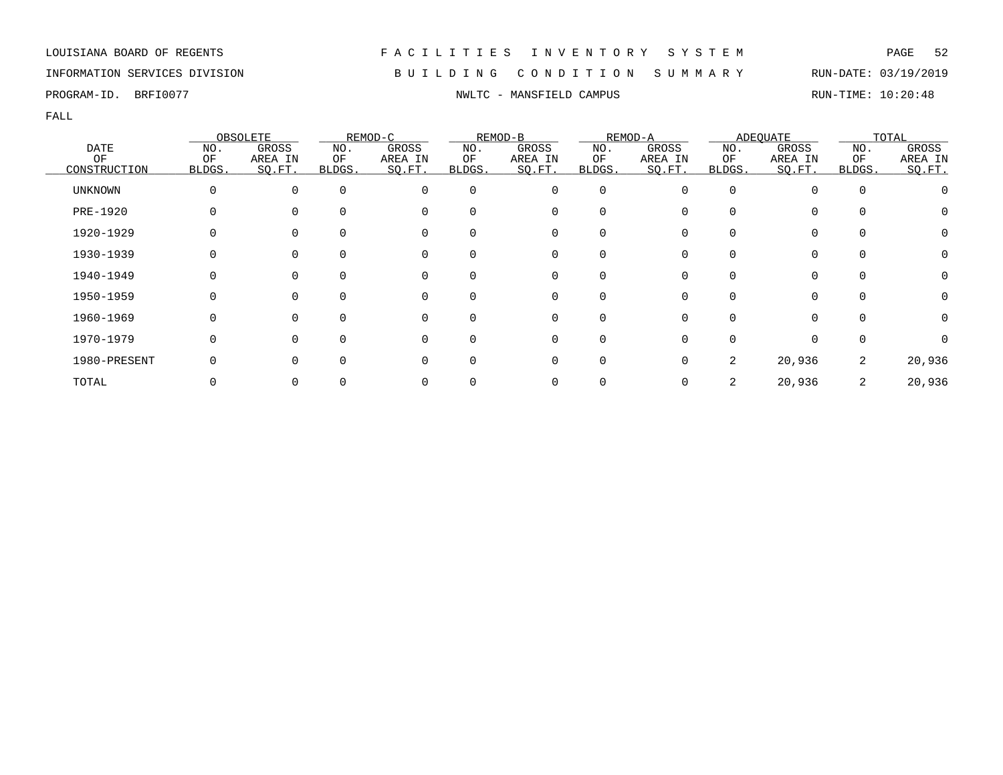## INFORMATION SERVICES DIVISION B U I L D I N G C O N D I T I O N S U M M A R Y RUN-DATE: 03/19/2019

PROGRAM-ID. BRFI0077 **NWLTC - MANSFIELD CAMPUS** RUN-TIME: 10:20:48

|                |              | OBSOLETE    |              | REMOD-C  |              | REMOD-B  |             | REMOD-A |              | <b>ADEQUATE</b> |             | TOTAL        |
|----------------|--------------|-------------|--------------|----------|--------------|----------|-------------|---------|--------------|-----------------|-------------|--------------|
| <b>DATE</b>    | NO.          | GROSS       | NO.          | GROSS    | NO.          | GROSS    | NO.         | GROSS   | NO.          | GROSS           | NO.         | GROSS        |
| ΟF             | ΟF           | AREA IN     | ΟF           | AREA IN  | ΟF           | AREA IN  | ΟF          | AREA IN | ΟF           | AREA IN         | ΟF          | AREA IN      |
| CONSTRUCTION   | <b>BLDGS</b> | SO.FT.      | BLDGS.       | SQ.FT.   | BLDGS.       | SQ.FT.   | BLDGS.      | SO.FT.  | <b>BLDGS</b> | SO.FT.          | BLDGS.      | SO.FT.       |
| <b>UNKNOWN</b> |              | $\mathbf 0$ | $\Omega$     | 0        | $\Omega$     | 0        | $\mathbf 0$ | 0       | $\Omega$     |                 | $\mathbf 0$ |              |
| PRE-1920       |              | $\Omega$    | $\Omega$     | 0        | 0            | 0        | 0           |         |              | 0               | $\Omega$    | O            |
| 1920-1929      |              | $\Omega$    |              | 0        | <sup>0</sup> | 0        | 0           |         |              | 0               | 0           | 0            |
| 1930-1939      |              | 0           |              | 0        | 0            | 0        | 0           |         |              | 0               | 0           |              |
| 1940-1949      |              | $\Omega$    | $\Omega$     | 0        | 0            | 0        | O           |         |              | O               | $\Omega$    | $\mathbf{0}$ |
| 1950-1959      |              | $\Omega$    | <sup>n</sup> | $\Omega$ | 0            | 0        | O           |         |              | 0               | $\Omega$    |              |
| 1960-1969      |              | $\Omega$    | $\cap$       | $\Omega$ | 0            | $\Omega$ | ∩           |         |              | <sup>n</sup>    | $\Omega$    |              |
| 1970-1979      |              | $\Omega$    | $\cap$       | $\Omega$ | U            | $\Omega$ | $\Omega$    |         |              | $\Omega$        | $\Omega$    |              |
| 1980-PRESENT   |              | $\Omega$    |              |          | <sup>0</sup> | 0        | $\Omega$    |         | 2            | 20,936          | 2           | 20,936       |
| TOTAL          |              | 0           |              |          |              |          |             |         | 2            | 20,936          | 2           | 20,936       |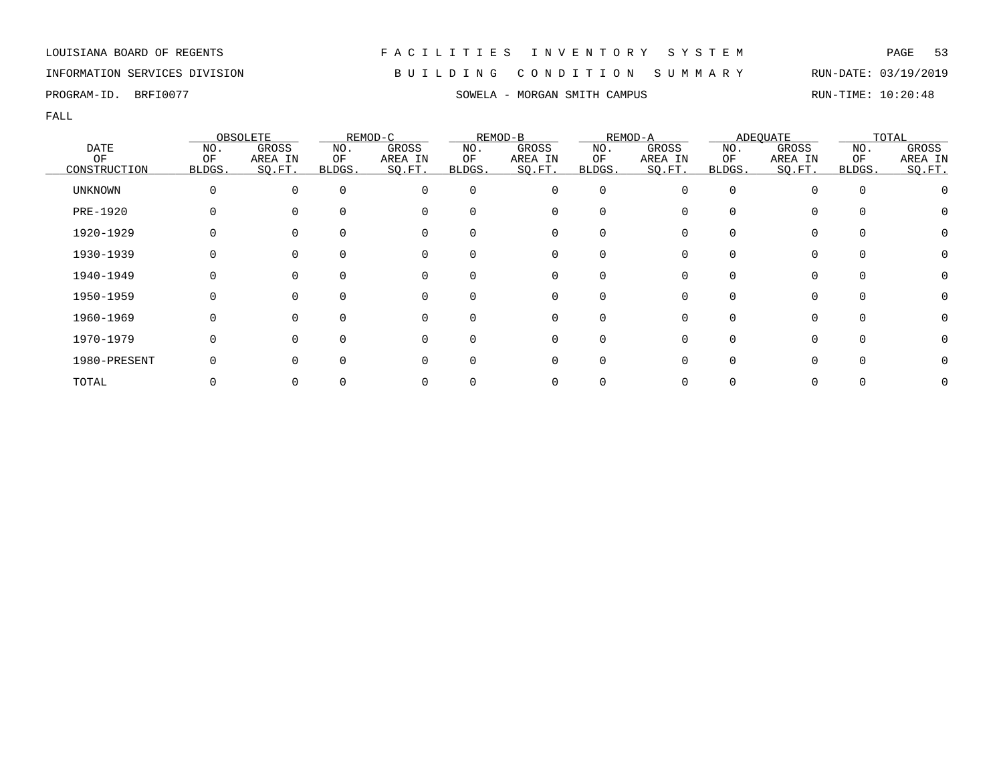## INFORMATION SERVICES DIVISION B U I L D I N G C O N D I T I O N S U M M A R Y RUN-DATE: 03/19/2019

PROGRAM-ID. BRFI0077 SOWELA - MORGAN SMITH CAMPUS RUN-TIME: 10:20:48

|                |              | OBSOLETE     |          | REMOD-C  |              | REMOD-B  |              | REMOD-A |              | ADEQUATE     |              | TOTAL   |
|----------------|--------------|--------------|----------|----------|--------------|----------|--------------|---------|--------------|--------------|--------------|---------|
| <b>DATE</b>    | NO.          | <b>GROSS</b> | NO.      | GROSS    | NO.          | GROSS    | NO.          | GROSS   | NO.          | GROSS        | NO.          | GROSS   |
| OF             | ΟF           | AREA IN      | ОF       | AREA IN  | ΟF           | AREA IN  | ΟF           | AREA IN | ΟF           | AREA IN      | ΟF           | AREA IN |
| CONSTRUCTION   | <b>BLDGS</b> | SO.FT.       | BLDGS.   | SO.FT.   | <b>BLDGS</b> | SQ.FT.   | BLDGS.       | SO.FT.  | <b>BLDGS</b> | SQ.FT.       | <b>BLDGS</b> | SQ.FT.  |
| <b>UNKNOWN</b> | 0            | $\Omega$     | $\Omega$ | $\Omega$ | $\Omega$     | 0        | 0            | 0       | $\Omega$     |              | 0            |         |
| PRE-1920       |              |              |          | 0        | 0            | 0        | O            |         |              |              | $\Omega$     |         |
| 1920-1929      |              |              |          | 0        |              | 0        | ∩            |         |              |              |              |         |
| 1930-1939      |              |              | 0        | 0        | 0            | 0        | 0            |         |              | 0            | 0            |         |
| 1940-1949      |              | $\Omega$     | $\Omega$ | 0        | $\Omega$     | 0        | $\Omega$     |         |              | 0            | $\Omega$     | O       |
| 1950-1959      |              | <sup>n</sup> | $\Omega$ | $\Omega$ | <sup>n</sup> | $\Omega$ | <sup>n</sup> |         |              | <sup>n</sup> | $\Omega$     |         |
| 1960-1969      | O            | $\Omega$     | 0        | $\Omega$ | 0            | $\Omega$ | $\Omega$     |         |              | $\Omega$     | $\Omega$     |         |
| 1970-1979      | 0            | $\Omega$     | ∩        | $\Omega$ | O            | $\Omega$ | O            |         |              |              | $\Omega$     |         |
| 1980-PRESENT   |              |              | $\Omega$ | 0        |              | 0        |              |         |              |              |              |         |
| TOTAL          |              |              |          |          |              |          |              |         |              |              |              |         |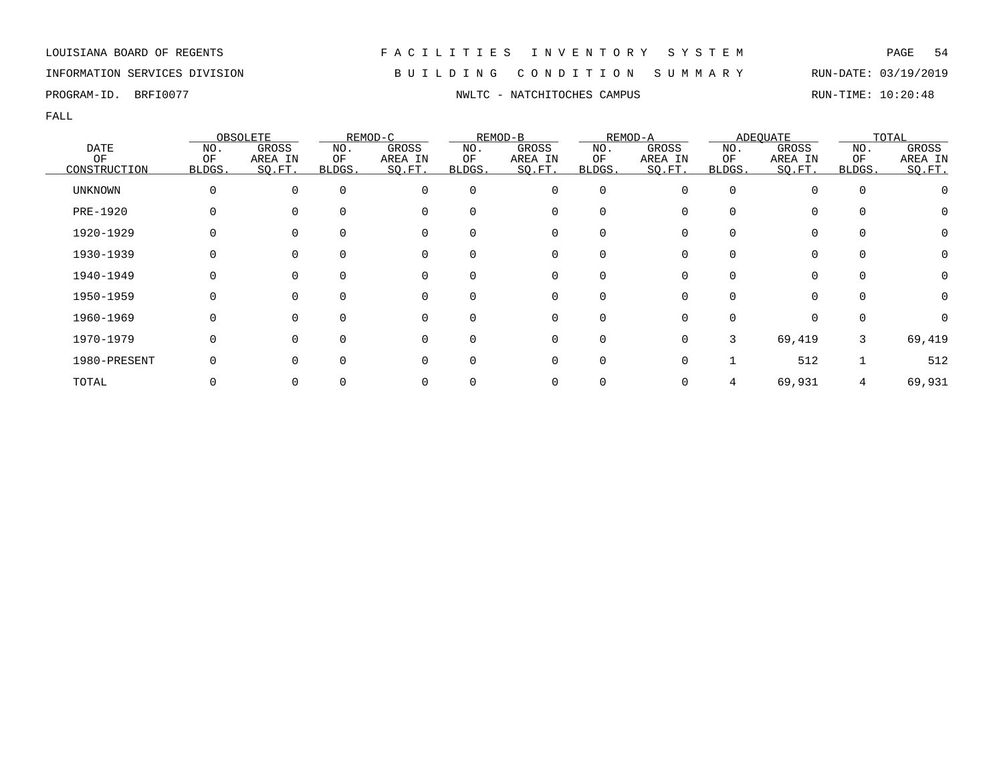## INFORMATION SERVICES DIVISION B U I L D I N G C O N D I T I O N S U M M A R Y RUN-DATE: 03/19/2019

FALL

|                 |              | OBSOLETE |          | REMOD-C  |              | REMOD-B  |                  | REMOD-A |        | ADEOUATE |          | TOTAL            |
|-----------------|--------------|----------|----------|----------|--------------|----------|------------------|---------|--------|----------|----------|------------------|
| <b>DATE</b>     | NO.          | GROSS    | NO.      | GROSS    | NO.          | GROSS    | NO.              | GROSS   | NO.    | GROSS    | NO.      | GROSS            |
| OF              | ΟF           | AREA IN  | ΟF       | AREA IN  | ΟF           | AREA IN  | ΟF               | AREA IN | ΟF     | AREA IN  | ΟF       | AREA IN          |
| CONSTRUCTION    | <b>BLDGS</b> | SQ.FT.   | BLDGS.   | SQ.FT.   | BLDGS.       | SQ.FT.   | BLDGS.           | SQ.FT.  | BLDGS. | SQ.FT.   | BLDGS.   | SQ.FT.           |
| UNKNOWN         |              | 0        | $\Omega$ | 0        | $\Omega$     | 0        | 0                |         |        |          | $\Omega$ |                  |
| <b>PRE-1920</b> |              | $\Omega$ |          | $\Omega$ | 0            | 0        | $\Omega$         |         |        |          |          |                  |
| 1920-1929       |              | $\Omega$ |          | 0        | 0            | 0        | O                |         |        |          |          | $\left( \right)$ |
| 1930-1939       |              | $\Omega$ |          | 0        | 0            | 0        | 0                |         |        | 0        | 0        |                  |
| 1940-1949       |              | $\Omega$ |          | 0        | 0            | 0        | $\left( \right)$ |         |        |          |          |                  |
| 1950-1959       |              | $\Omega$ | $\Omega$ | $\Omega$ | $\Omega$     | 0        | $\Omega$         |         | U      | 0        | $\Omega$ | $\left( \right)$ |
| 1960-1969       |              | $\Omega$ |          | $\Omega$ | <sup>n</sup> | $\Omega$ | <sup>n</sup>     |         |        |          |          |                  |
| 1970-1979       |              | $\Omega$ | ∩        | $\Omega$ | 0            | 0        | $\Omega$         |         | 3      | 69,419   | 3        | 69,419           |
| 1980-PRESENT    |              | $\Omega$ | $\Omega$ | 0        | 0            | 0        | $\Omega$         |         |        | 512      |          | 512              |
| TOTAL           |              |          |          | 0        |              | 0        |                  |         |        | 69,931   |          | 69,931           |

PROGRAM-ID. BRFI0077 **NWLTC - NATCHITOCHES CAMPUS** CAMPUS RUN-TIME: 10:20:48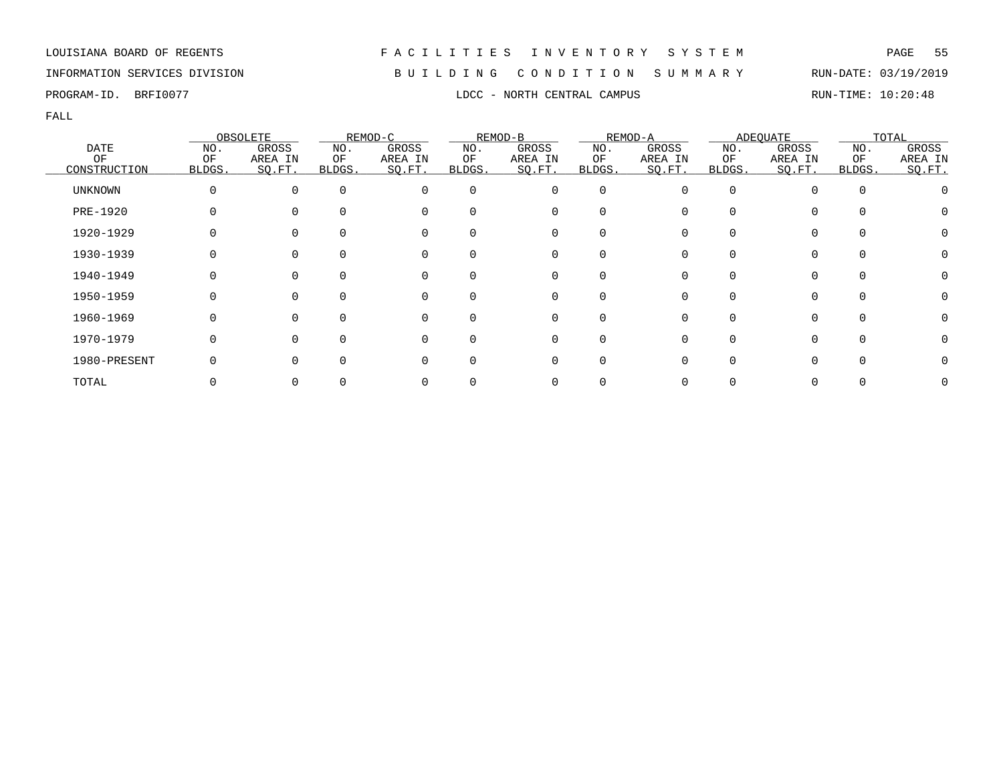## INFORMATION SERVICES DIVISION B U I L D I N G C O N D I T I O N S U M M A R Y RUN-DATE: 03/19/2019

PROGRAM-ID. BRFI0077 **EXAM-ID.** BRFI0077 **RUN-TIME: 10:20:48** 

|                |              | OBSOLETE |          | REMOD-C  |              | REMOD-B  |                  | REMOD-A |        | ADEQUATE |          | TOTAL   |
|----------------|--------------|----------|----------|----------|--------------|----------|------------------|---------|--------|----------|----------|---------|
| <b>DATE</b>    | NO.          | GROSS    | NO.      | GROSS    | NO.          | GROSS    | NO.              | GROSS   | NO.    | GROSS    | NO.      | GROSS   |
| ΟF             | ΟF           | AREA IN  | ΟF       | AREA IN  | ΟF           | AREA IN  | ΟF               | AREA IN | ΟF     | AREA IN  | ΟF       | AREA IN |
| CONSTRUCTION   | <b>BLDGS</b> | SQ.FT.   | BLDGS.   | SO.FT.   | <b>BLDGS</b> | SQ.FT.   | BLDGS.           | SO.FT.  | BLDGS. | SQ.FT.   | BLDGS.   | SQ.FT.  |
| <b>UNKNOWN</b> |              | $\Omega$ | $\Omega$ | $\Omega$ | $\Omega$     | 0        | 0                |         |        |          | $\Omega$ |         |
| PRE-1920       |              | $\Omega$ |          | 0        | 0            | 0        |                  |         |        |          |          |         |
| 1920-1929      |              |          |          | 0        |              | 0        |                  |         |        |          |          |         |
| 1930-1939      |              |          |          | 0        | 0            | 0        |                  |         |        |          | $\Omega$ |         |
| 1940-1949      |              | $\Omega$ | $\Omega$ | 0        | $\Omega$     | 0        | $\left( \right)$ |         |        |          | $\Omega$ |         |
| 1950-1959      |              | $\Omega$ |          | $\Omega$ | <sup>n</sup> | $\Omega$ | U                |         |        |          | $\cap$   |         |
| 1960-1969      |              | $\Omega$ |          | $\Omega$ | 0            | $\Omega$ | U                |         |        |          | $\cap$   |         |
| 1970-1979      |              | $\Omega$ | ∩        | $\Omega$ | O            | 0        |                  |         |        |          |          |         |
| 1980-PRESENT   |              |          |          | 0        |              | 0        |                  |         |        |          |          |         |
| TOTAL          |              |          |          |          |              | 0        |                  |         |        |          |          |         |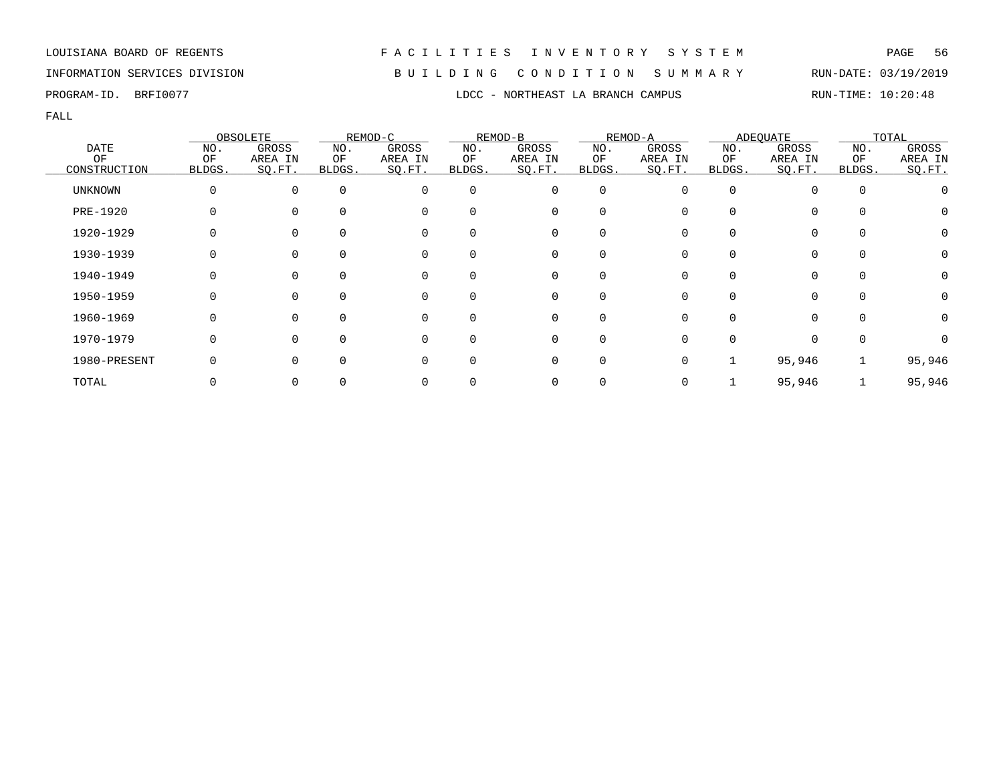INFORMATION SERVICES DIVISION B U I L D I N G C O N D I T I O N S U M M A R Y RUN-DATE: 03/19/2019 PROGRAM-ID. BRFI0077 **EXAMPLE 10:20:48** LDCC - NORTHEAST LA BRANCH CAMPUS RUN-TIME: 10:20:48

|                |        | OBSOLETE     |              | REMOD-C  |          | REMOD-B  |          | REMOD-A  |          | <b>ADEQUATE</b> |              | TOTAL   |
|----------------|--------|--------------|--------------|----------|----------|----------|----------|----------|----------|-----------------|--------------|---------|
| DATE           | NO.    | GROSS        | NO.          | GROSS    | NO.      | GROSS    | NO.      | GROSS    | NO.      | GROSS           | NO.          | GROSS   |
| OF             | OF     | AREA IN      | ΟF           | AREA IN  | ΟF       | AREA IN  | ΟF       | AREA IN  | ΟF       | AREA IN         | ΟF           | AREA IN |
| CONSTRUCTION   | BLDGS. | SQ.FT.       | BLDGS.       | SQ.FT.   | BLDGS.   | SQ.FT.   | BLDGS.   | SQ.FT.   | BLDGS.   | SQ.FT.          | BLDGS.       | SQ.FT.  |
| <b>UNKNOWN</b> | 0      |              | $\Omega$     | 0        | $\Omega$ | 0        | 0        | $\Omega$ | $\Omega$ |                 | $\mathbf 0$  |         |
| PRE-1920       |        |              | $\Omega$     | 0        |          | 0        | $\Omega$ |          |          |                 | 0            |         |
| 1920-1929      |        |              |              | $\Omega$ |          | 0        | O        |          |          |                 | 0            |         |
| 1930-1939      |        |              |              | 0        |          | 0        | 0        |          |          |                 | 0            |         |
| 1940-1949      |        |              | O            | 0        |          | 0        | 0        | 0        |          | 0               | $\Omega$     |         |
| 1950-1959      |        | <sup>0</sup> | $\Omega$     | $\Omega$ | $\Omega$ | $\Omega$ | $\Omega$ | $\Omega$ | 0        | $\Omega$        | $\Omega$     |         |
| 1960-1969      |        |              | U            | $\Omega$ |          | $\Omega$ | $\Omega$ | O.       |          |                 | <sup>n</sup> |         |
| 1970-1979      |        |              | <sup>n</sup> | 0        |          | $\Omega$ | $\Omega$ |          |          |                 | $\Omega$     |         |
| 1980-PRESENT   |        |              |              | 0        |          | $\Omega$ | $\Omega$ | $\Omega$ |          | 95,946          |              | 95,946  |
| TOTAL          |        |              |              |          |          | 0        |          |          |          | 95,946          |              | 95,946  |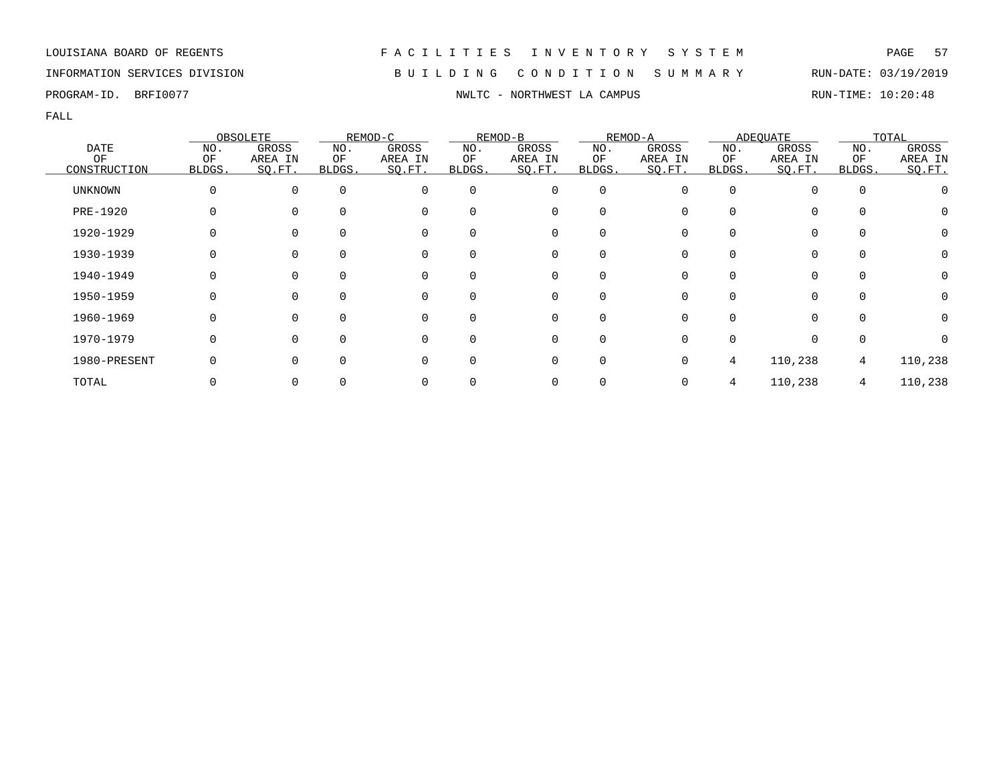## INFORMATION SERVICES DIVISION B U I L D I N G C O N D I T I O N S U M M A R Y RUN-DATE: 03/19/2019

PROGRAM-ID. BRFI0077 **NWLTC - NORTHWEST LA CAMPUS** RUN-TIME: 10:20:48

|                |              | OBSOLETE    |              | REMOD-C  |              | REMOD-B  |                | REMOD-A |              | <b>ADEQUATE</b> |             | TOTAL   |
|----------------|--------------|-------------|--------------|----------|--------------|----------|----------------|---------|--------------|-----------------|-------------|---------|
| <b>DATE</b>    | NO.          | GROSS       | NO.          | GROSS    | NO.          | GROSS    | NO.            | GROSS   | NO.          | GROSS           | NO.         | GROSS   |
| ΟF             | ΟF           | AREA IN     | ΟF           | AREA IN  | ΟF           | AREA IN  | ΟF             | AREA IN | ΟF           | AREA IN         | ΟF          | AREA IN |
| CONSTRUCTION   | <b>BLDGS</b> | SO.FT.      | BLDGS.       | SQ.FT.   | BLDGS.       | SQ.FT.   | BLDGS.         | SO.FT.  | <b>BLDGS</b> | SO.FT.          | BLDGS.      | SO.FT.  |
| <b>UNKNOWN</b> |              | $\mathbf 0$ | $\Omega$     | 0        | $\Omega$     | 0        | $\overline{0}$ | 0       | $\Omega$     |                 | $\mathbf 0$ |         |
| PRE-1920       |              | $\Omega$    | $\Omega$     | 0        | 0            | 0        | 0              |         |              | 0               | $\Omega$    | O       |
| 1920-1929      |              | $\Omega$    |              | 0        | <sup>0</sup> | 0        | 0              |         |              | 0               | 0           | 0       |
| 1930-1939      |              | 0           |              | 0        | 0            | 0        | 0              |         |              | 0               | 0           |         |
| 1940-1949      |              | $\Omega$    | $\Omega$     | 0        | 0            | 0        | O              |         |              | O               | $\Omega$    | 0       |
| 1950-1959      |              | $\Omega$    | <sup>n</sup> | $\Omega$ | 0            | 0        | O              |         |              | 0               | $\Omega$    |         |
| 1960-1969      |              | $\Omega$    | $\cap$       | $\Omega$ | 0            | $\Omega$ | ∩              |         |              | <sup>n</sup>    | $\Omega$    |         |
| 1970-1979      |              | $\Omega$    | $\cap$       | $\Omega$ | U            | $\Omega$ | $\Omega$       |         |              |                 | $\Omega$    |         |
| 1980-PRESENT   |              | $\Omega$    |              | O        | <sup>0</sup> | 0        | $\Omega$       |         | 4            | 110,238         | 4           | 110,238 |
| TOTAL          |              | 0           |              |          |              |          |                |         | 4            | 110,238         | 4           | 110,238 |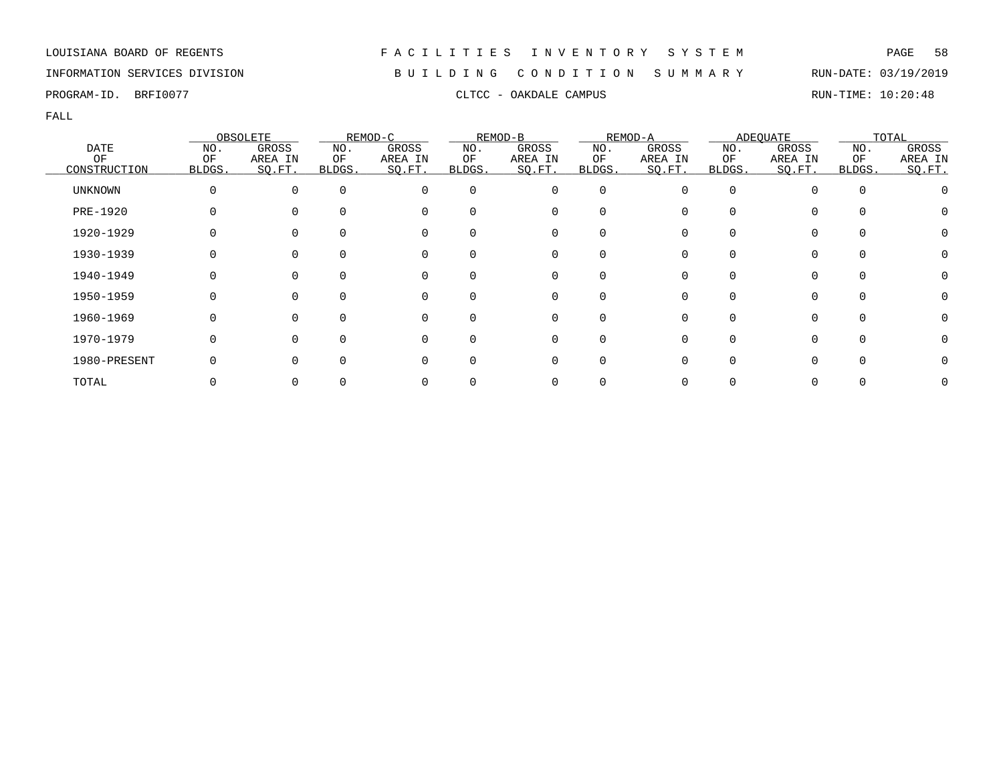## INFORMATION SERVICES DIVISION B U I L D I N G C O N D I T I O N S U M M A R Y RUN-DATE: 03/19/2019

PROGRAM-ID. BRFI0077 CLTCC - OAKDALE CAMPUS CLTCC - OAKDALE CAMPUS RUN-TIME: 10:20:48

|                |        | OBSOLETE     |          | REMOD-C     |              | REMOD-B  |             | REMOD-A |        | <b>ADEQUATE</b> |              | TOTAL   |
|----------------|--------|--------------|----------|-------------|--------------|----------|-------------|---------|--------|-----------------|--------------|---------|
| <b>DATE</b>    | NO.    | GROSS        | NO.      | GROSS       | NO.          | GROSS    | NO.         | GROSS   | NO.    | GROSS           | NO.          | GROSS   |
| OF             | ΟF     | AREA IN      | ΟF       | AREA IN     | ΟF           | AREA IN  | ΟF          | AREA IN | ΟF     | AREA IN         | OF           | AREA IN |
| CONSTRUCTION   | BLDGS. | SQ.FT.       | BLDGS.   | SQ.FT.      | BLDGS.       | SQ.FT.   | BLDGS.      | SQ.FT.  | BLDGS. | SQ.FT.          | BLDGS.       | SO.FT.  |
| <b>UNKNOWN</b> | 0      | $\Omega$     | $\Omega$ | $\Omega$    | $\Omega$     | 0        | $\mathbf 0$ | O       |        | 0               | $\Omega$     |         |
| PRE-1920       |        |              | $\Omega$ | $\mathbf 0$ | <sup>0</sup> | 0        | 0           |         |        | 0               | 0            |         |
| 1920-1929      |        |              | $\Omega$ | 0           |              | 0        | 0           |         |        | 0               |              |         |
| 1930-1939      |        |              | $\Omega$ | 0           | 0            | 0        | 0           |         |        | 0               |              |         |
| 1940-1949      |        | 0            | $\Omega$ | 0           | $\Omega$     | 0        | 0           |         |        | 0               | $\Omega$     |         |
| 1950-1959      | O      | 0            | $\Omega$ | 0           | $\Omega$     | 0        | $\Omega$    | U       |        | 0               | $\Omega$     |         |
| 1960-1969      |        | <sup>n</sup> | $\Omega$ | $\Omega$    | $\Omega$     | $\Omega$ | $\Omega$    |         |        | 0               | <sup>n</sup> |         |
| 1970-1979      | 0      |              | $\Omega$ | $\mathbf 0$ | $\Omega$     | 0        | 0           |         |        | 0               | $\Omega$     |         |
| 1980-PRESENT   |        |              | $\Omega$ | $\Omega$    | <sup>0</sup> | 0        | 0           |         |        | 0               |              |         |
| TOTAL          |        |              |          |             |              | 0        |             |         |        | 0               |              |         |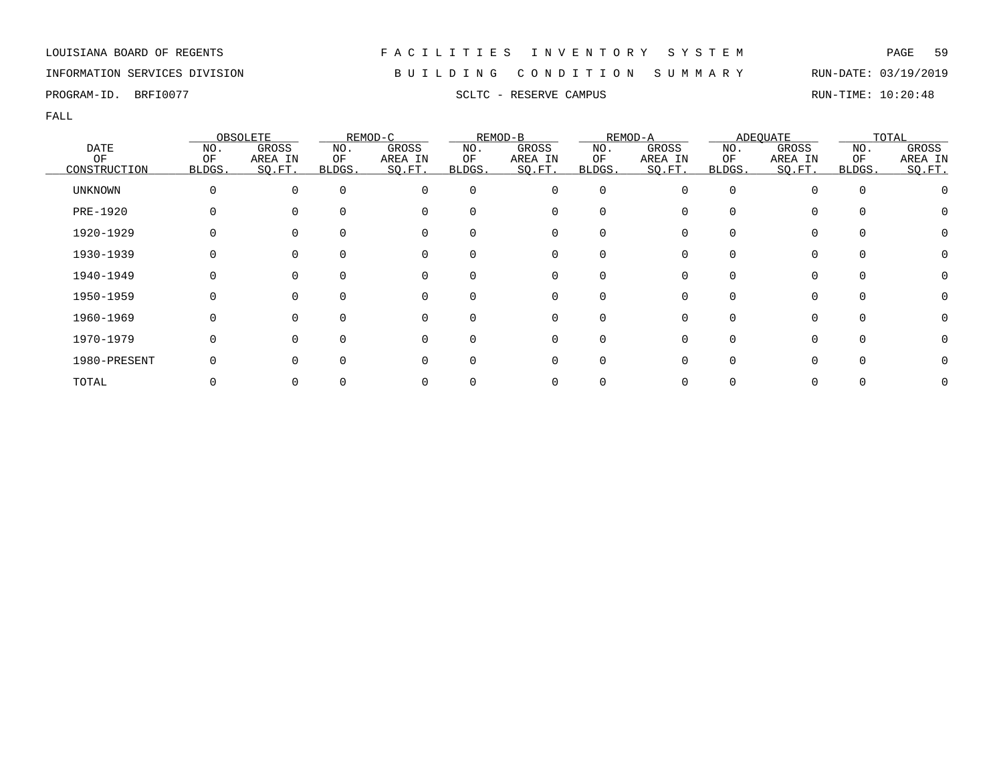## INFORMATION SERVICES DIVISION B U I L D I N G C O N D I T I O N S U M M A R Y RUN-DATE: 03/19/2019

PROGRAM-ID. BRFI0077 SCLTC - RESERVE CAMPUS SCLTC - RESERVE CAMPUS

|                |        | OBSOLETE |          | REMOD-C  |          | REMOD-B  |                  | REMOD-A |        | ADEQUATE     |          | TOTAL   |
|----------------|--------|----------|----------|----------|----------|----------|------------------|---------|--------|--------------|----------|---------|
| <b>DATE</b>    | NO.    | GROSS    | NO.      | GROSS    | NO.      | GROSS    | NO.              | GROSS   | NO.    | GROSS        | NO.      | GROSS   |
| OF             | OF     | AREA IN  | ΟF       | AREA IN  | ΟF       | AREA IN  | ΟF               | AREA IN | ΟF     | AREA IN      | ΟF       | AREA IN |
| CONSTRUCTION   | BLDGS. | SO.FT.   | BLDGS.   | SQ.FT.   | BLDGS.   | SQ.FT.   | BLDGS.           | SQ.FT.  | BLDGS. | SQ.FT.       | BLDGS.   | SO.FT.  |
| <b>UNKNOWN</b> |        | $\Omega$ | $\Omega$ | 0        | $\Omega$ | 0        | 0                |         | O      |              | $\Omega$ |         |
| PRE-1920       |        | $\Omega$ |          | 0        | 0        | 0        | 0                |         |        | 0            |          |         |
| 1920-1929      |        |          |          | 0        | 0        | 0        |                  |         |        |              |          |         |
| 1930-1939      |        |          |          | 0        | 0        | 0        |                  |         |        |              | $\Omega$ |         |
| 1940-1949      |        | $\Omega$ | $\Omega$ | 0        | $\Omega$ | 0        | $\left( \right)$ |         |        |              | $\Omega$ |         |
| 1950-1959      |        | $\Omega$ | $\Omega$ | 0        | $\Omega$ | 0        | $\Omega$         |         | U      | 0            | $\Omega$ |         |
| 1960-1969      |        | $\Omega$ |          | $\Omega$ | 0        | $\Omega$ |                  |         |        |              | $\cap$   |         |
| 1970-1979      |        | $\Omega$ | ∩        | $\Omega$ | 0        | 0        | O                |         |        | <sup>n</sup> | $\Omega$ |         |
| 1980-PRESENT   |        | $\Omega$ | $\Omega$ | O        | 0        | 0        | O                |         |        |              |          |         |
| TOTAL          |        |          |          |          |          | 0        |                  |         |        |              |          |         |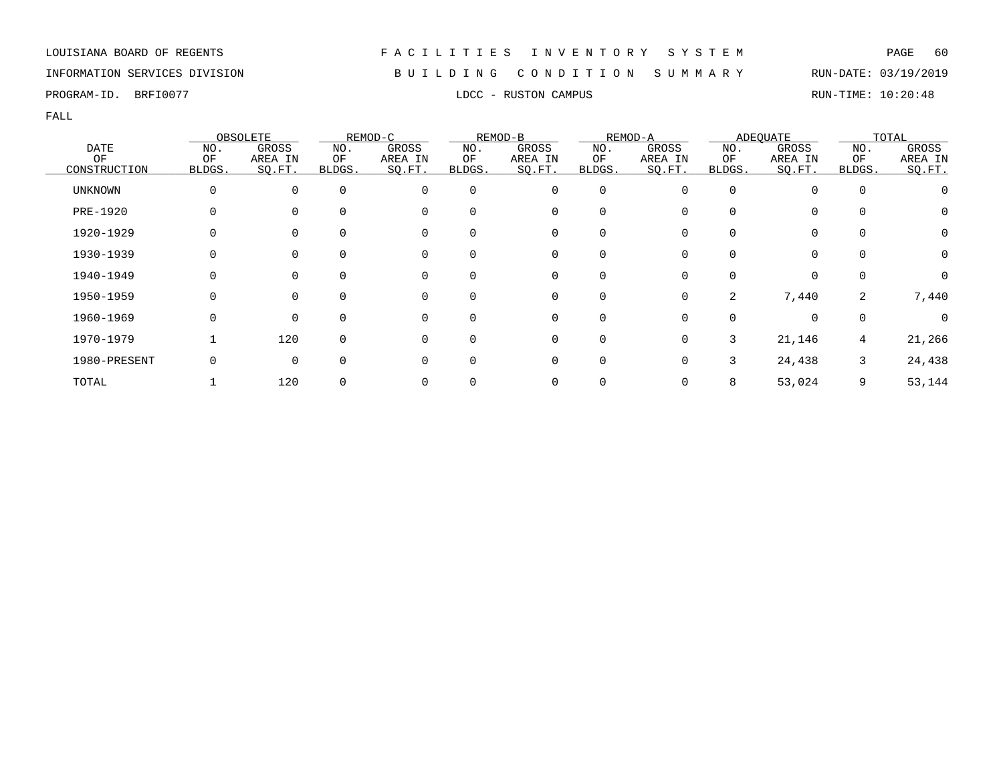## INFORMATION SERVICES DIVISION B U I L D I N G C O N D I T I O N S U M M A R Y RUN-DATE: 03/19/2019

PROGRAM-ID. BRFI0077 **EXAMPUS** LDCC - RUSTON CAMPUS **RUN-TIME: 10:20:48** 

|                   |           | OBSOLETE         |             | REMOD-C          |             | REMOD-B          |             | REMOD-A          |           | <b>ADEOUATE</b>  |             | TOTAL            |
|-------------------|-----------|------------------|-------------|------------------|-------------|------------------|-------------|------------------|-----------|------------------|-------------|------------------|
| <b>DATE</b><br>OF | NO.<br>OF | GROSS<br>AREA IN | NO.<br>ΟF   | GROSS<br>AREA IN | NO.<br>ΟF   | GROSS<br>AREA IN | NO.<br>ΟF   | GROSS<br>AREA IN | NO.<br>ΟF | GROSS<br>AREA IN | NO.<br>OF   | GROSS<br>AREA IN |
| CONSTRUCTION      | BLDGS.    | SO.FT.           | BLDGS.      | SQ.FT.           | BLDGS.      | SQ.FT.           | BLDGS.      | SO.FT.           | BLDGS.    | SQ.FT.           | BLDGS.      | SQ.FT.           |
| UNKNOWN           |           | 0                | $\mathbf 0$ | 0                | $\mathbf 0$ | 0                | 0           |                  | O         |                  | $\mathbf 0$ |                  |
| <b>PRE-1920</b>   |           | $\Omega$         |             | 0                | 0           | 0                | O           |                  |           |                  | $\Omega$    | $\left( \right)$ |
| 1920-1929         |           | 0                |             | 0                | 0           | 0                | 0           |                  |           | 0                | 0           | Ω                |
| 1930-1939         |           | 0                | 0           | 0                | 0           | 0                | 0           |                  |           |                  | 0           | 0                |
| 1940-1949         |           | $\Omega$         | $\Omega$    | 0                | $\Omega$    | 0                | $\Omega$    |                  | O         | $\Omega$         | $\Omega$    | $\left( \right)$ |
| 1950-1959         |           | $\Omega$         |             | $\Omega$         | $\Omega$    | $\mathbf 0$      | $\Omega$    |                  | 2         | 7,440            | 2           | 7,440            |
| 1960-1969         | O         | $\Omega$         | $\Omega$    | $\Omega$         | $\Omega$    | $\mathbf 0$      | $\Omega$    |                  |           | $\Omega$         | $\mathbf 0$ | U                |
| 1970-1979         |           | 120              | $\Omega$    | $\Omega$         | 0           | 0                | $\mathbf 0$ |                  | 3         | 21,146           | 4           | 21,266           |
| 1980-PRESENT      |           | $\Omega$         | $\Omega$    | 0                | 0           | 0                | $\Omega$    |                  | 3         | 24,438           | 3           | 24,438           |
| TOTAL             |           | 120              |             | 0                |             | 0                |             |                  | 8         | 53,024           | 9           | 53,144           |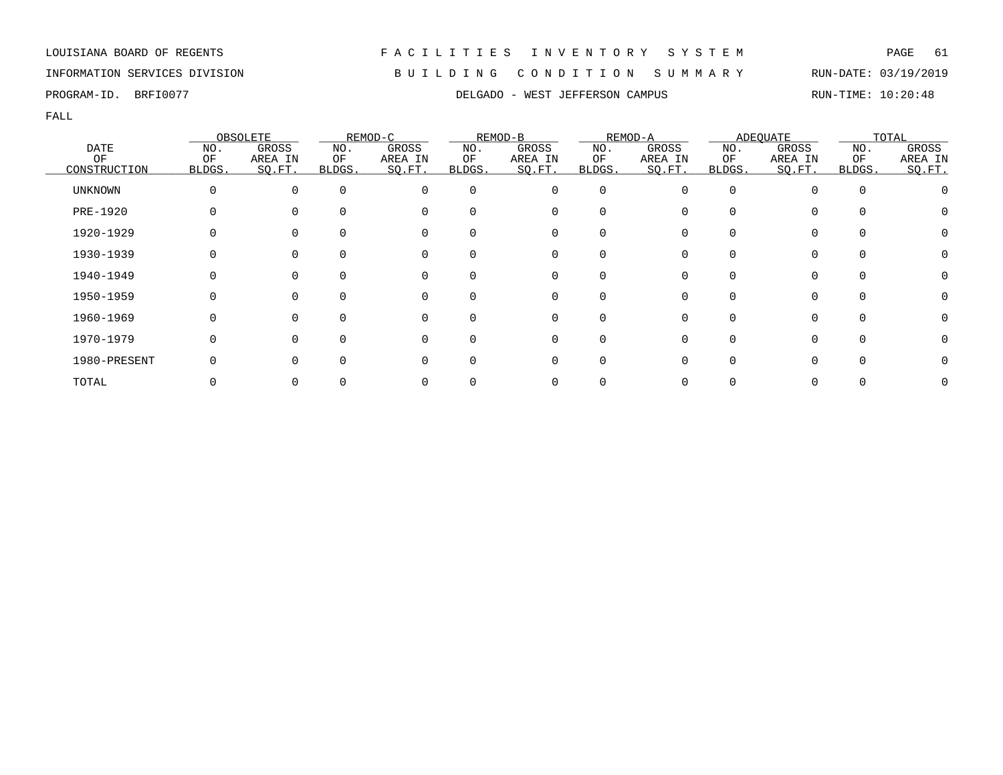LOUISIANA BOARD OF REGENTS F A C I L I T I E S I N V E N T O R Y S Y S T E M PAGE 61 INFORMATION SERVICES DIVISION B U I L D I N G C O N D I T I O N S U M M A R Y RUN-DATE: 03/19/2019

# PROGRAM-ID. BRFI0077 **DELGADO - WEST JEFFERSON CAMPUS** RUN-TIME: 10:20:48

|                 |              | OBSOLETE |          | REMOD-C  |          | REMOD-B     |          | REMOD-A  |              | ADEQUATE |        | TOTAL   |
|-----------------|--------------|----------|----------|----------|----------|-------------|----------|----------|--------------|----------|--------|---------|
| <b>DATE</b>     | NO.          | GROSS    | NO.      | GROSS    | NO.      | GROSS       | NO.      | GROSS    | NO.          | GROSS    | NO.    | GROSS   |
| OF              | OF           | AREA IN  | ОF       | AREA IN  | ΟF       | AREA IN     | ΟF       | AREA IN  | ΟF           | AREA IN  | OF     | AREA IN |
| CONSTRUCTION    | <b>BLDGS</b> | SO.FT.   | BLDGS.   | SQ.FT.   | BLDGS.   | SQ.FT.      | BLDGS.   | SO.FT.   | BLDGS.       | SQ.FT.   | BLDGS. | SQ.FT.  |
| <b>UNKNOWN</b>  | 0            | $\Omega$ | $\Omega$ | 0        | $\Omega$ | 0           | 0        |          | <sup>0</sup> |          |        |         |
| <b>PRE-1920</b> |              |          |          | $\Omega$ |          | 0           | O        |          | U            | 0        |        |         |
| 1920-1929       |              |          |          | 0        |          |             |          |          |              | 0        |        |         |
| 1930-1939       |              |          |          | 0        |          | 0           | 0        |          | 0            | 0        |        |         |
| 1940-1949       | 0            | $\Omega$ |          | 0        | $\Omega$ | 0           | $\Omega$ | $\Omega$ | $\Omega$     | 0        |        | $\cup$  |
| 1950-1959       | 0            | ∩        |          | $\Omega$ |          | $\Omega$    | $\Omega$ |          | U            | $\Omega$ |        |         |
| 1960-1969       | 0            |          |          | $\Omega$ |          | 0           | $\Omega$ |          | U            | $\Omega$ |        |         |
| 1970-1979       | 0            |          |          | $\Omega$ |          | $\mathbf 0$ | $\Omega$ |          | <sup>0</sup> | $\Omega$ |        |         |
| 1980-PRESENT    |              |          |          | $\Omega$ |          |             |          |          |              |          |        | $\cup$  |
| TOTAL           |              |          |          |          |          |             |          |          |              |          |        |         |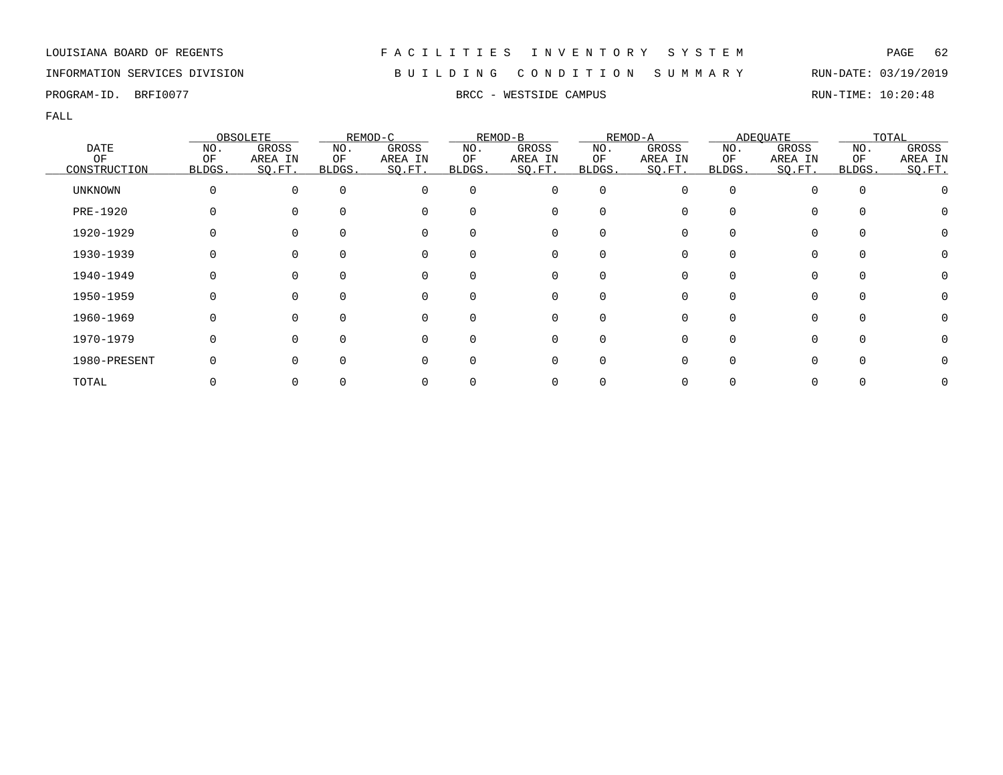## INFORMATION SERVICES DIVISION B U I L D I N G C O N D I T I O N S U M M A R Y RUN-DATE: 03/19/2019

PROGRAM-ID. BRFI0077 **BRFING ALL AND STATE CAMPUS** BRCC - WESTSIDE CAMPUS **RUN-TIME: 10:20:48** 

|                |        | OBSOLETE     |          | REMOD-C     |              | REMOD-B  |             | REMOD-A |        | <b>ADEQUATE</b> |              | TOTAL   |
|----------------|--------|--------------|----------|-------------|--------------|----------|-------------|---------|--------|-----------------|--------------|---------|
| <b>DATE</b>    | NO.    | GROSS        | NO.      | GROSS       | NO.          | GROSS    | NO.         | GROSS   | NO.    | GROSS           | NO.          | GROSS   |
| OF             | ΟF     | AREA IN      | ΟF       | AREA IN     | ΟF           | AREA IN  | ΟF          | AREA IN | ΟF     | AREA IN         | OF           | AREA IN |
| CONSTRUCTION   | BLDGS. | SQ.FT.       | BLDGS.   | SQ.FT.      | BLDGS.       | SQ.FT.   | BLDGS.      | SQ.FT.  | BLDGS. | SQ.FT.          | BLDGS.       | SO.FT.  |
| <b>UNKNOWN</b> | 0      | $\Omega$     | $\Omega$ | $\Omega$    | $\Omega$     | 0        | $\mathbf 0$ | O       |        | 0               | $\Omega$     |         |
| PRE-1920       |        |              | $\Omega$ | $\mathbf 0$ | <sup>0</sup> | 0        | 0           |         |        | 0               | 0            |         |
| 1920-1929      |        |              | $\Omega$ | 0           |              | 0        | 0           |         |        | 0               |              |         |
| 1930-1939      |        |              | $\Omega$ | 0           | 0            | 0        | 0           |         |        | 0               |              |         |
| 1940-1949      |        | 0            | $\Omega$ | 0           | $\Omega$     | 0        | 0           |         |        | 0               | $\Omega$     |         |
| 1950-1959      | O      | 0            | $\Omega$ | 0           | $\Omega$     | 0        | $\Omega$    | U       |        | 0               | $\Omega$     |         |
| 1960-1969      |        | <sup>n</sup> | $\Omega$ | $\Omega$    | $\Omega$     | $\Omega$ | $\Omega$    |         |        | 0               | <sup>n</sup> |         |
| 1970-1979      | 0      |              | $\Omega$ | $\mathbf 0$ | $\Omega$     | 0        | 0           |         |        | 0               | $\Omega$     |         |
| 1980-PRESENT   |        |              | $\Omega$ | $\Omega$    | <sup>0</sup> | 0        | 0           |         |        | 0               |              |         |
| TOTAL          |        |              |          |             |              | 0        |             |         |        | 0               |              |         |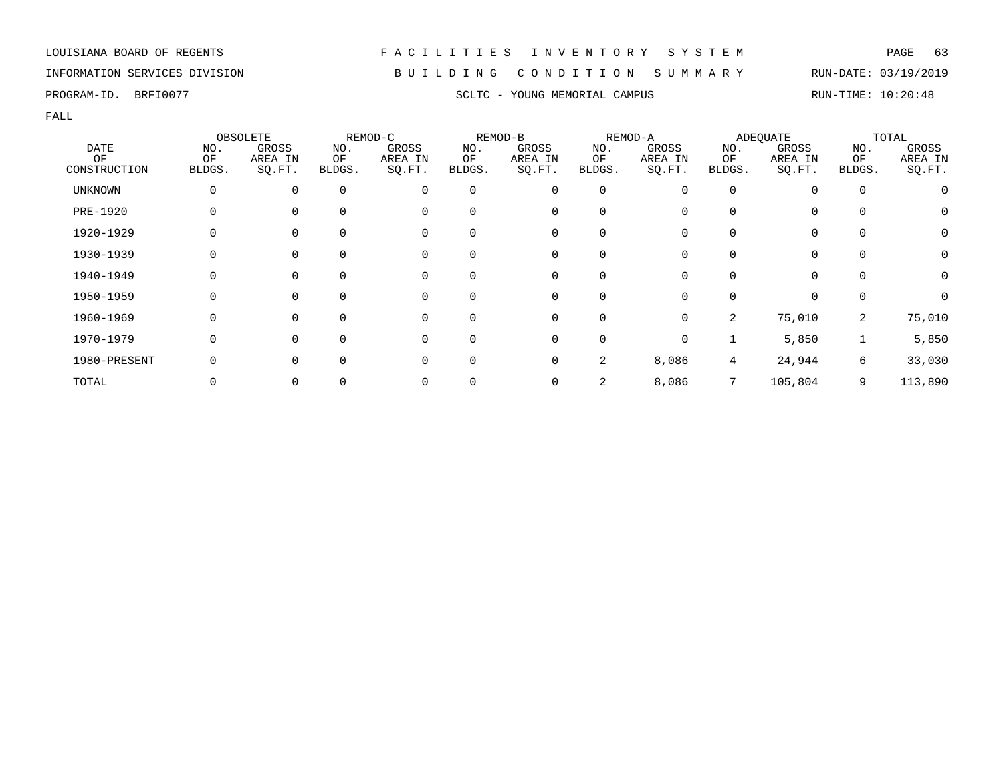## INFORMATION SERVICES DIVISION B U I L D I N G C O N D I T I O N S U M M A R Y RUN-DATE: 03/19/2019

FALL

|              |              | OBSOLETE       |          | REMOD-C  |              | REMOD-B  |             | REMOD-A      |              | ADEQUATE |              | TOTAL        |
|--------------|--------------|----------------|----------|----------|--------------|----------|-------------|--------------|--------------|----------|--------------|--------------|
| <b>DATE</b>  | NO.          | GROSS          | NO.      | GROSS    | NO.          | GROSS    | NO.         | GROSS        | NO.          | GROSS    | NO.          | GROSS        |
| OF           | OF           | AREA IN        | ΟF       | AREA IN  | ΟF           | AREA IN  | ΟF          | AREA IN      | ΟF           | AREA IN  | OF           | AREA IN      |
| CONSTRUCTION | <b>BLDGS</b> | SQ.FT          | BLDGS.   | SQ.FT.   | BLDGS.       | SQ.FT.   | BLDGS.      | SO.FT.       | <b>BLDGS</b> | SQ.FT.   | <b>BLDGS</b> | SQ.FT.       |
| UNKNOWN      |              | $\overline{0}$ | $\Omega$ | 0        | $\Omega$     | 0        | 0           | 0            | $\Omega$     | $\Omega$ | 0            |              |
| PRE-1920     |              | $\Omega$       | $\Omega$ | 0        | 0            | 0        | $\Omega$    |              |              | $\Omega$ | $\Omega$     | 0            |
| 1920-1929    |              | $\Omega$       |          | 0        | <sup>0</sup> | 0        | 0           |              |              | 0        | 0            | 0            |
| 1930-1939    |              | $\mathbf 0$    | $\Omega$ | 0        | 0            | 0        | 0           |              |              | 0        | $\mathbf 0$  | 0            |
| 1940-1949    | O            | $\overline{0}$ | $\Omega$ | 0        | $\Omega$     | 0        | 0           | 0            | $\Omega$     | $\Omega$ | $\mathbf 0$  | $\mathbf 0$  |
| 1950-1959    |              | $\Omega$       | $\Omega$ | $\Omega$ | 0            | $\Omega$ | $\Omega$    | <sup>n</sup> |              | $\Omega$ | $\Omega$     | <sup>0</sup> |
| 1960-1969    | O            | $\Omega$       | $\Omega$ | 0        | $\Omega$     | 0        | $\mathbf 0$ | $\Omega$     | 2            | 75,010   | 2            | 75,010       |
| 1970-1979    |              | $\Omega$       | $\Omega$ | $\Omega$ | $\Omega$     | 0        | $\mathbf 0$ | 0            |              | 5,850    |              | 5,850        |
| 1980-PRESENT |              | $\Omega$       | $\Omega$ | 0        | 0            | 0        | 2           | 8,086        | 4            | 24,944   | 6            | 33,030       |
| TOTAL        |              | $\mathbf 0$    |          |          |              | 0        | 2           | 8,086        |              | 105,804  | 9            | 113,890      |

PROGRAM-ID. BRFI0077 SCLTC - YOUNG MEMORIAL CAMPUS RUN-TIME: 10:20:48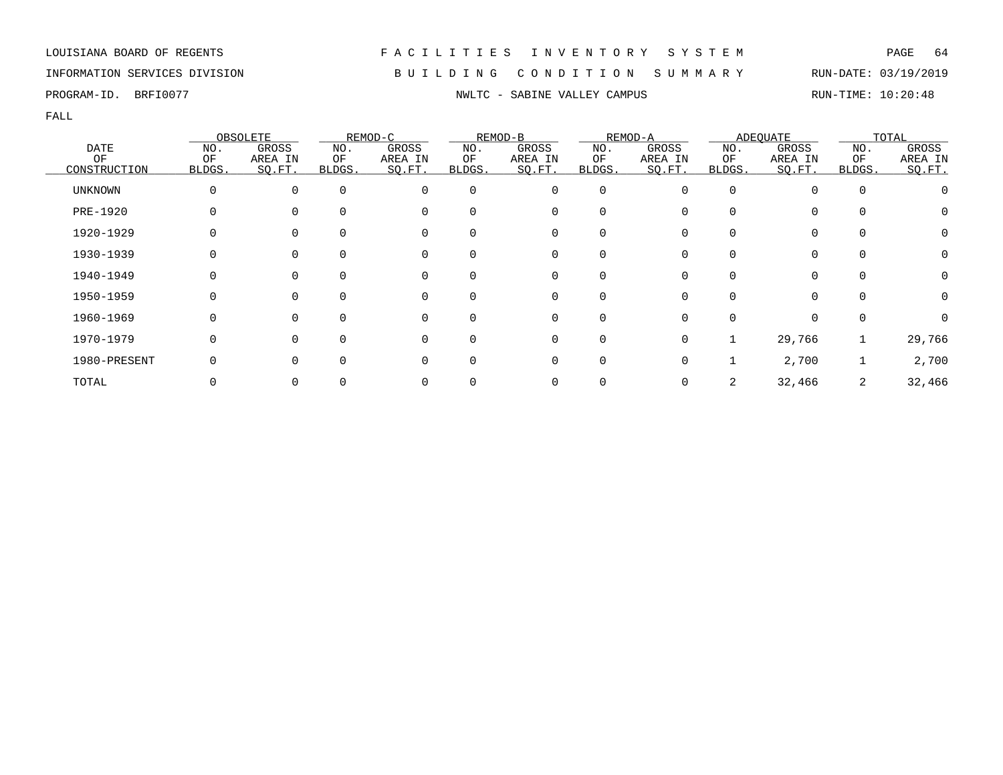## INFORMATION SERVICES DIVISION B U I L D I N G C O N D I T I O N S U M M A R Y RUN-DATE: 03/19/2019

|                |          | OBSOLETE     |              | REMOD-C     |          | REMOD-B  |             | REMOD-A |              | <b>ADEQUATE</b> |          | TOTAL            |
|----------------|----------|--------------|--------------|-------------|----------|----------|-------------|---------|--------------|-----------------|----------|------------------|
| <b>DATE</b>    | NO.      | GROSS        | NO.          | GROSS       | NO.      | GROSS    | NO.         | GROSS   | NO.          | GROSS           | NO.      | GROSS            |
| ΟF             | ΟF       | AREA IN      | ΟF           | AREA IN     | ΟF       | AREA IN  | ΟF          | AREA IN | ΟF           | AREA IN         | ΟF       | AREA IN          |
| CONSTRUCTION   | BLDGS.   | SO.FT.       | <b>BLDGS</b> | SQ.FT.      | BLDGS.   | SO.FT.   | BLDGS.      | SQ.FT.  | BLDGS.       | SQ.FT.          | BLDGS.   | SO.FT.           |
| <b>UNKNOWN</b> | $\Omega$ | $\Omega$     | $\Omega$     | $\Omega$    | $\Omega$ | 0        | $\mathbf 0$ |         | 0            |                 | $\Omega$ |                  |
| PRE-1920       |          |              | $\Omega$     | $\mathbf 0$ | $\Omega$ | 0        | 0           |         | 0            | 0               | $\Omega$ | O                |
| 1920-1929      |          |              | $\Omega$     | $\Omega$    | 0        | 0        |             |         |              | 0               |          | $\left( \right)$ |
| 1930-1939      |          |              |              | 0           | 0        | 0        | 0           |         |              |                 | 0        |                  |
| 1940-1949      |          | $\Omega$     | $\Omega$     | 0           | $\Omega$ | 0        | 0           |         | 0            | $\Omega$        | $\Omega$ |                  |
| 1950-1959      | 0        | $\Omega$     | $\Omega$     | 0           | $\Omega$ | 0        | $\Omega$    | U       | 0            | $\Omega$        | $\Omega$ | $\left( \right)$ |
| 1960-1969      |          | <sup>n</sup> | $\Omega$     | $\Omega$    | $\Omega$ | $\Omega$ |             |         | <sup>n</sup> |                 | ∩        |                  |
| 1970-1979      | $\Omega$ |              | $\Omega$     | $\mathbf 0$ | $\Omega$ | 0        | 0           | O       |              | 29,766          |          | 29,766           |
| 1980-PRESENT   |          |              | $\Omega$     | $\Omega$    | $\Omega$ | 0        | 0           |         |              | 2,700           |          | 2,700            |
| TOTAL          |          |              |              |             |          | 0        |             |         |              | 32,466          | 2        | 32,466           |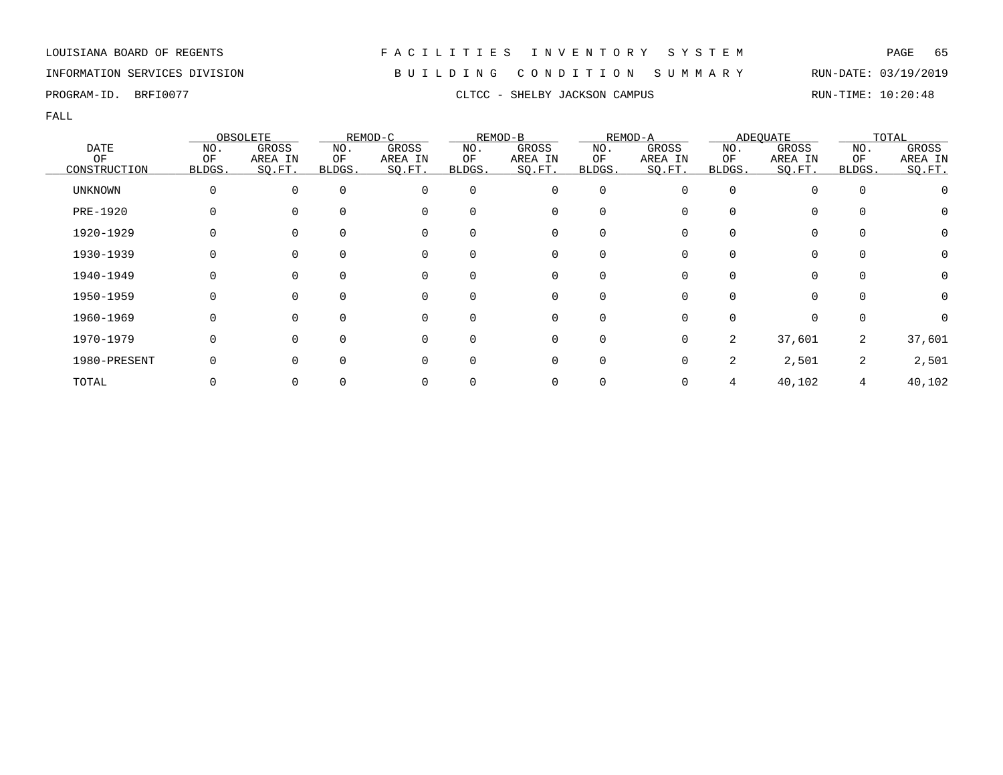## INFORMATION SERVICES DIVISION B U I L D I N G C O N D I T I O N S U M M A R Y RUN-DATE: 03/19/2019

FALL

|                |              | OBSOLETE |             | REMOD-C  |             | REMOD-B     |             | REMOD-A |              | <b>ADEQUATE</b> |             | TOTAL   |
|----------------|--------------|----------|-------------|----------|-------------|-------------|-------------|---------|--------------|-----------------|-------------|---------|
| <b>DATE</b>    | NO.          | GROSS    | NO.         | GROSS    | NO.         | GROSS       | NO.         | GROSS   | NO.          | GROSS           | NO.         | GROSS   |
| OF             | ΟF           | AREA IN  | ОF          | AREA IN  | ΟF          | AREA IN     | ΟF          | AREA IN | ΟF           | AREA IN         | ΟF          | AREA IN |
| CONSTRUCTION   | <b>BLDGS</b> | SQ.FT.   | BLDGS.      | SQ.FT.   | BLDGS.      | SQ.FT.      | BLDGS.      | SO.FT.  | <b>BLDGS</b> | SQ.FT.          | BLDGS.      | SO.FT.  |
| <b>UNKNOWN</b> | 0            | $\Omega$ | $\mathbf 0$ | 0        | $\mathbf 0$ | $\mathbf 0$ | $\mathbf 0$ |         | $\Omega$     |                 | $\mathbf 0$ |         |
| PRE-1920       | 0            |          | $\Omega$    | 0        | 0           | 0           | $\Omega$    |         |              | $\Omega$        | 0           | O       |
| 1920-1929      |              |          |             | 0        | 0           | 0           | $\Omega$    |         |              | $\Omega$        | 0           | 0       |
| 1930-1939      |              | 0        | 0           | 0        | 0           | 0           | $\Omega$    |         |              | 0               | 0           |         |
| 1940-1949      | O            | $\Omega$ | $\Omega$    | 0        | $\Omega$    | 0           | $\Omega$    |         |              | 0               | $\Omega$    | 0       |
| 1950-1959      | O            | $\Omega$ | $\Omega$    | $\Omega$ | $\Omega$    | $\Omega$    | $\Omega$    |         |              | $\Omega$        | $\Omega$    | 0       |
| 1960-1969      | O            | $\Omega$ | 0           | $\Omega$ | 0           | $\Omega$    | $\Omega$    |         |              | $\Omega$        | $\Omega$    |         |
| 1970-1979      | 0            | $\Omega$ | ∩           | $\Omega$ | 0           | 0           | 0           | U       | 2            | 37,601          | 2           | 37,601  |
| 1980-PRESENT   |              |          | 0           | 0        | 0           | 0           | $\Omega$    |         | 2            | 2,501           | 2           | 2,501   |
| TOTAL          |              |          |             | 0        |             | 0           |             |         |              | 40,102          | 4           | 40,102  |

PROGRAM-ID. BRFI0077 CLTCC - SHELBY JACKSON CAMPUS RUN-TIME: 10:20:48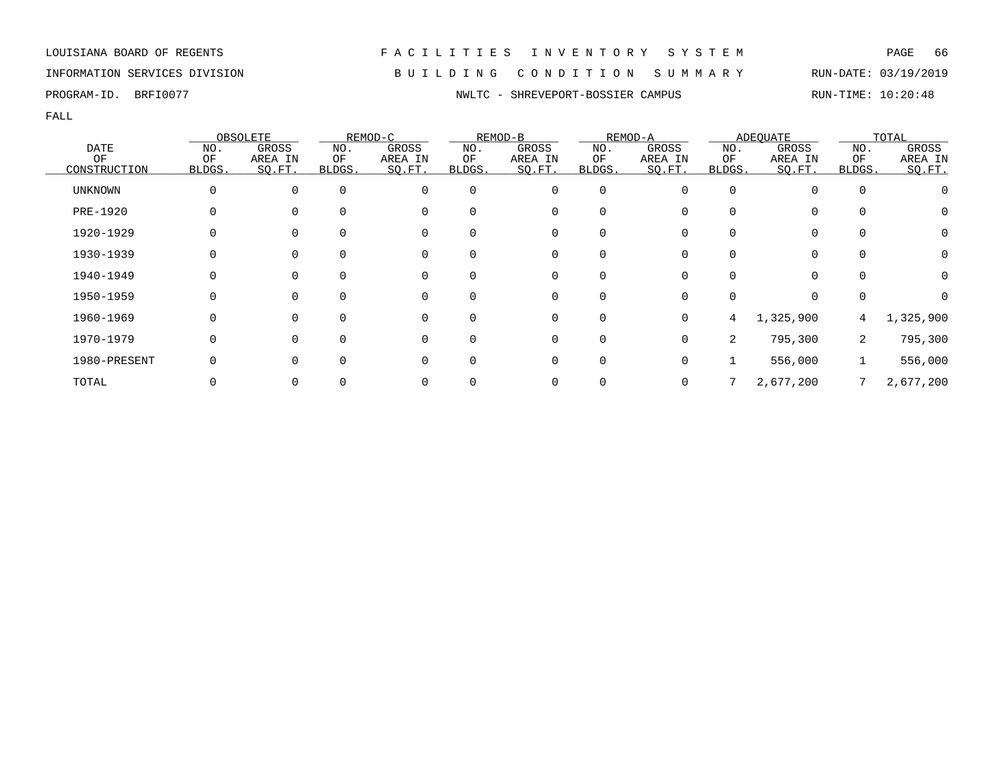## INFORMATION SERVICES DIVISION B U I L D I N G C O N D I T I O N S U M M A R Y RUN-DATE: 03/19/2019

PROGRAM-ID. BRFI0077 **NWLTC - SHREVEPORT-BOSSIER CAMPUS** RUN-TIME: 10:20:48

|                |              | OBSOLETE |          | REMOD-C  |          | REMOD-B     |             | REMOD-A |        | ADEQUATE  |          | TOTAL     |
|----------------|--------------|----------|----------|----------|----------|-------------|-------------|---------|--------|-----------|----------|-----------|
| <b>DATE</b>    | NO.          | GROSS    | NO.      | GROSS    | NO.      | GROSS       | NO.         | GROSS   | NO.    | GROSS     | NO.      | GROSS     |
| OF             | ΟF           | AREA IN  | ОF       | AREA IN  | ΟF       | AREA IN     | ΟF          | AREA IN | ΟF     | AREA IN   | ΟF       | AREA IN   |
| CONSTRUCTION   | <b>BLDGS</b> | SO.FT.   | BLDGS.   | SO.FT.   | BLDGS.   | SQ.FT.      | BLDGS.      | SO.FT.  | BLDGS. | SQ.FT.    | BLDGS.   | SQ.FT.    |
| <b>UNKNOWN</b> | 0            | $\Omega$ | $\Omega$ | 0        | $\Omega$ | 0           | 0           |         |        |           | 0        |           |
| PRE-1920       | 0            |          | $\Omega$ | 0        | 0        | 0           | $\Omega$    |         |        | $\Omega$  | $\Omega$ | 0         |
| 1920-1929      |              | $\Omega$ |          | 0        | 0        | 0           | $\Omega$    |         |        | $\Omega$  | 0        | 0         |
| 1930-1939      |              |          | 0        | 0        | 0        | 0           | 0           |         |        |           | 0        | 0         |
| 1940-1949      | 0            | $\Omega$ | $\Omega$ | 0        | $\Omega$ | 0           | $\Omega$    | O       |        | $\Omega$  | $\Omega$ | 0         |
| 1950-1959      | O            | $\Omega$ | $\Omega$ | $\Omega$ | $\Omega$ | $\mathbf 0$ | $\Omega$    | U       |        | $\Omega$  | 0        |           |
| 1960-1969      | 0            | $\Omega$ | $\Omega$ | $\Omega$ | 0        | 0           | 0           | 0       | 4      | 1,325,900 | 4        | 1,325,900 |
| 1970-1979      | 0            | $\Omega$ | $\Omega$ | 0        | $\Omega$ | 0           | $\mathbf 0$ | U       | 2      | 795,300   | 2        | 795,300   |
| 1980-PRESENT   |              |          |          | 0        | 0        | 0           | $\Omega$    | 0       |        | 556,000   |          | 556,000   |
| TOTAL          |              |          |          | 0        |          | 0           | 0           |         |        | 2,677,200 |          | 2,677,200 |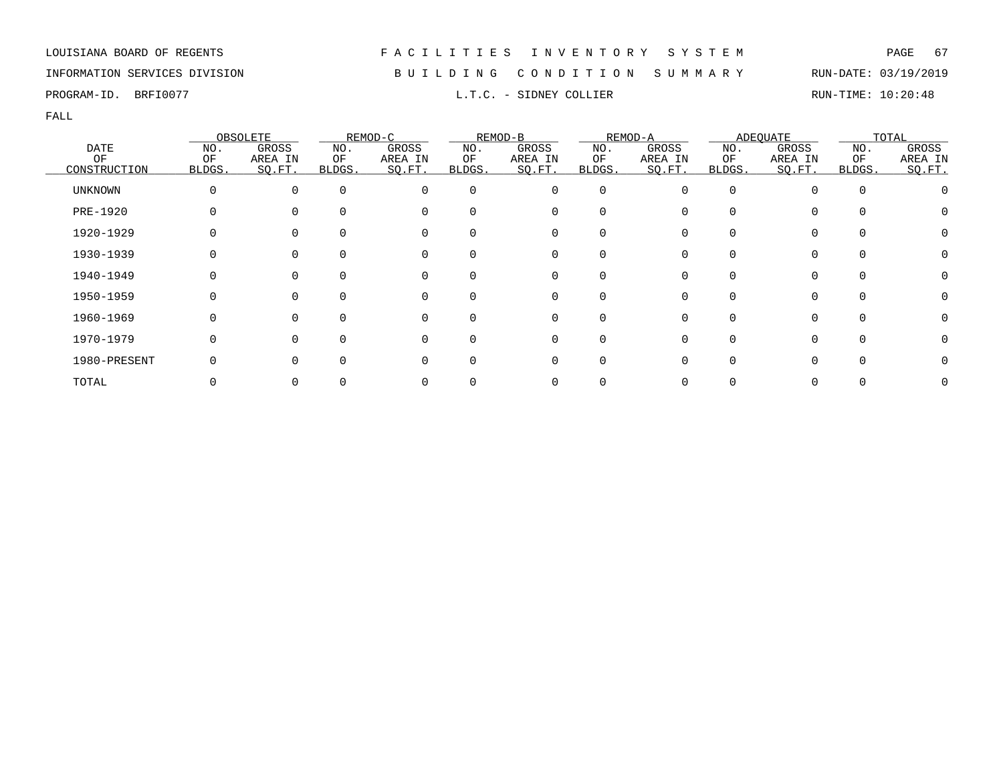## INFORMATION SERVICES DIVISION B U I L D I N G C O N D I T I O N S U M M A R Y RUN-DATE: 03/19/2019

PROGRAM-ID. BRFI0077 **EXAM-ID.** BRFI0077 **RUN-TIME:** 10:20:48

|                |        | OBSOLETE |             | REMOD-C  |          | REMOD-B     |        | REMOD-A |              | <b>ADEQUATE</b> |             | TOTAL   |
|----------------|--------|----------|-------------|----------|----------|-------------|--------|---------|--------------|-----------------|-------------|---------|
| <b>DATE</b>    | NO.    | GROSS    | NO.         | GROSS    | NO.      | GROSS       | NO.    | GROSS   | NO.          | GROSS           | NO.         | GROSS   |
| OF             | ΟF     | AREA IN  | ΟF          | AREA IN  | ΟF       | AREA IN     | ΟF     | AREA IN | ΟF           | AREA IN         | ΟF          | AREA IN |
| CONSTRUCTION   | BLDGS. | SO.FT.   | BLDGS.      | SQ.FT.   | BLDGS.   | SQ.FT.      | BLDGS. | SQ.FT.  | BLDGS.       | SQ.FT.          | BLDGS.      | SO.FT.  |
| <b>UNKNOWN</b> | 0      | $\Omega$ | $\mathbf 0$ | $\Omega$ | 0        | 0           | 0      |         | <sup>0</sup> |                 | $\mathbf 0$ |         |
| PRE-1920       | U      |          | $\Omega$    | 0        |          | 0           |        |         | <sup>0</sup> |                 |             |         |
| 1920-1929      |        |          | $\Omega$    | 0        |          | 0           |        |         |              |                 |             |         |
| 1930-1939      |        |          | 0           | 0        | 0        | 0           |        |         |              |                 | $\Omega$    |         |
| 1940-1949      |        |          | $\Omega$    | 0        | $\Omega$ | 0           |        |         | <sup>n</sup> |                 | $\Omega$    |         |
| 1950-1959      | O      | $\Omega$ | $\Omega$    | $\Omega$ |          | 0           |        |         | U            |                 | $\cap$      |         |
| 1960-1969      | U      | $\Omega$ | $\Omega$    | $\Omega$ |          | $\mathbf 0$ |        |         | ∩            |                 | $\cap$      |         |
| 1970-1979      |        |          | $\Omega$    | $\Omega$ |          | 0           |        |         |              |                 | $\cap$      |         |
| 1980-PRESENT   |        |          | $\Omega$    | $\Omega$ |          | 0           |        |         |              |                 |             |         |
| TOTAL          |        |          |             |          |          | 0           |        |         |              |                 |             |         |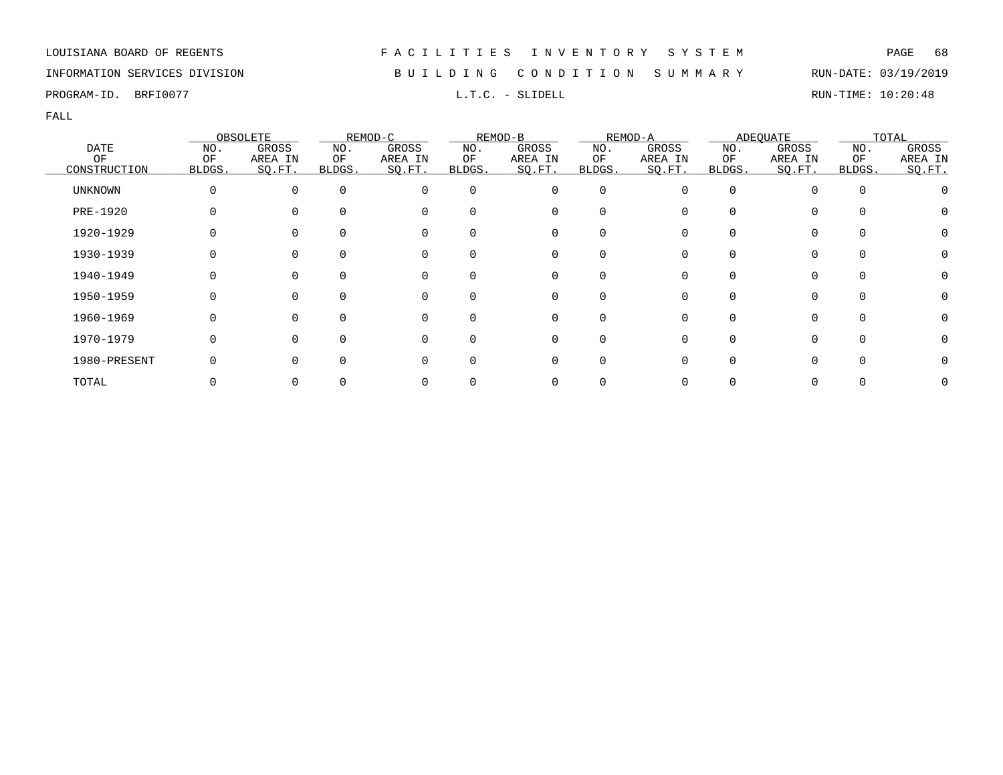## INFORMATION SERVICES DIVISION B U I L D I N G C O N D I T I O N S U M M A R Y RUN-DATE: 03/19/2019

PROGRAM-ID. BRFI0077 **EXAM-ID.** BRFI0077 **RUN-TIME:** 10:20:48

|                |          | OBSOLETE |          | REMOD-C  |          | REMOD-B  |             | REMOD-A |        | <b>ADEQUATE</b> |          | TOTAL   |
|----------------|----------|----------|----------|----------|----------|----------|-------------|---------|--------|-----------------|----------|---------|
| <b>DATE</b>    | NO.      | GROSS    | NO.      | GROSS    | NO.      | GROSS    | NO.         | GROSS   | NO.    | GROSS           | NO.      | GROSS   |
| ΟF             | ΟF       | AREA IN  | ΟF       | AREA IN  | ΟF       | AREA IN  | ΟF          | AREA IN | ΟF     | AREA IN         | OF       | AREA IN |
| CONSTRUCTION   | BLDGS.   | SO.FT.   | BLDGS.   | SQ.FT.   | BLDGS.   | SQ.FT.   | BLDGS.      | SQ.FT.  | BLDGS. | SQ.FT.          | BLDGS.   | SO.FT.  |
| <b>UNKNOWN</b> | $\Omega$ | $\Omega$ | $\Omega$ | $\Omega$ | $\Omega$ | 0        | $\mathbf 0$ | O       |        |                 | $\Omega$ |         |
| PRE-1920       |          |          | $\Omega$ | $\Omega$ | $\Omega$ | 0        | 0           |         |        | 0               |          |         |
| 1920-1929      |          |          |          | $\Omega$ |          | 0        | $\Omega$    |         |        | 0               |          |         |
| 1930-1939      |          |          |          |          | 0        | 0        | 0           |         |        | 0               |          |         |
| 1940-1949      |          |          | $\Omega$ | 0        | $\Omega$ | 0        | 0           |         |        | 0               |          |         |
| 1950-1959      | O        |          | $\Omega$ | $\Omega$ | $\Omega$ | 0        | $\Omega$    | ∩       |        | $\Omega$        | $\Omega$ |         |
| 1960-1969      |          |          | $\Omega$ | ∩        | $\Omega$ | $\Omega$ | $\Omega$    |         |        | 0               |          |         |
| 1970-1979      |          |          | $\Omega$ | $\Omega$ | $\Omega$ | 0        | $\mathbf 0$ |         |        | 0               | $\Omega$ |         |
| 1980-PRESENT   |          |          | $\Omega$ |          | $\Omega$ | 0        | $\mathbf 0$ |         |        | 0               |          |         |
| TOTAL          |          |          |          |          |          | 0        | 0           |         |        |                 |          |         |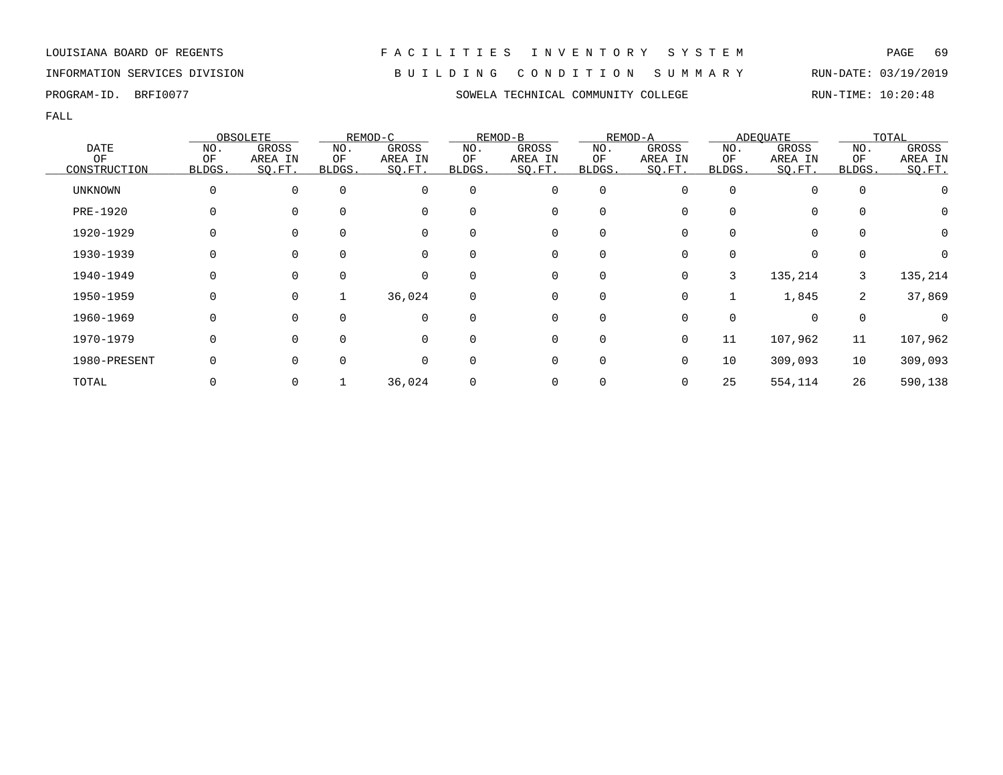INFORMATION SERVICES DIVISION B U I L D I N G C O N D I T I O N S U M M A R Y RUN-DATE: 03/19/2019

PROGRAM-ID. BRFI0077 SOWELA TECHNICAL COMMUNITY COLLEGE RUN-TIME: 10:20:48

|                |        | OBSOLETE |          | REMOD-C  |             | REMOD-B     |             | REMOD-A  |        | ADEQUATE |          | TOTAL    |
|----------------|--------|----------|----------|----------|-------------|-------------|-------------|----------|--------|----------|----------|----------|
| <b>DATE</b>    | NO.    | GROSS    | NO.      | GROSS    | NO.         | GROSS       | NO.         | GROSS    | NO.    | GROSS    | NO.      | GROSS    |
| ΟF             | ΟF     | AREA IN  | ОF       | AREA IN  | ΟF          | AREA IN     | ΟF          | AREA IN  | ΟF     | AREA IN  | ΟF       | AREA IN  |
| CONSTRUCTION   | BLDGS. | SO.FT.   | BLDGS.   | SQ.FT.   | BLDGS.      | SQ.FT.      | BLDGS.      | SO.FT.   | BLDGS. | SQ.FT.   | BLDGS.   | SO.FT.   |
| <b>UNKNOWN</b> |        |          | $\Omega$ | $\Omega$ | $\Omega$    | 0           | $\mathbf 0$ | O        |        | 0        | $\Omega$ |          |
| PRE-1920       |        |          |          | $\Omega$ | $\Omega$    | $\mathbf 0$ | 0           |          |        | 0        |          | $\Omega$ |
| 1920-1929      |        |          |          |          |             | 0           | 0           |          |        | 0        |          | 0        |
| 1930-1939      |        |          |          |          | 0           | 0           | 0           |          |        | 0        |          |          |
| 1940-1949      |        |          | $\Omega$ | $\Omega$ | $\Omega$    | 0           | 0           | 0        | 3      | 135,214  | 3        | 135,214  |
| 1950-1959      |        | $\Omega$ |          | 36,024   | $\mathbf 0$ | $\mathbf 0$ | $\mathbf 0$ | $\Omega$ |        | 1,845    | 2        | 37,869   |
| 1960-1969      |        |          |          | $\Omega$ | $\Omega$    | 0           | 0           |          |        | $\Omega$ | $\Omega$ |          |
| 1970-1979      |        |          |          |          | $\Omega$    | 0           | 0           | 0        | 11     | 107,962  | 11       | 107,962  |
| 1980-PRESENT   |        |          |          | $\Omega$ | $\Omega$    | 0           | 0           | 0        | 10     | 309,093  | 10       | 309,093  |
| TOTAL          |        |          |          | 36,024   |             | 0           | 0           | 0        | 25     | 554,114  | 26       | 590,138  |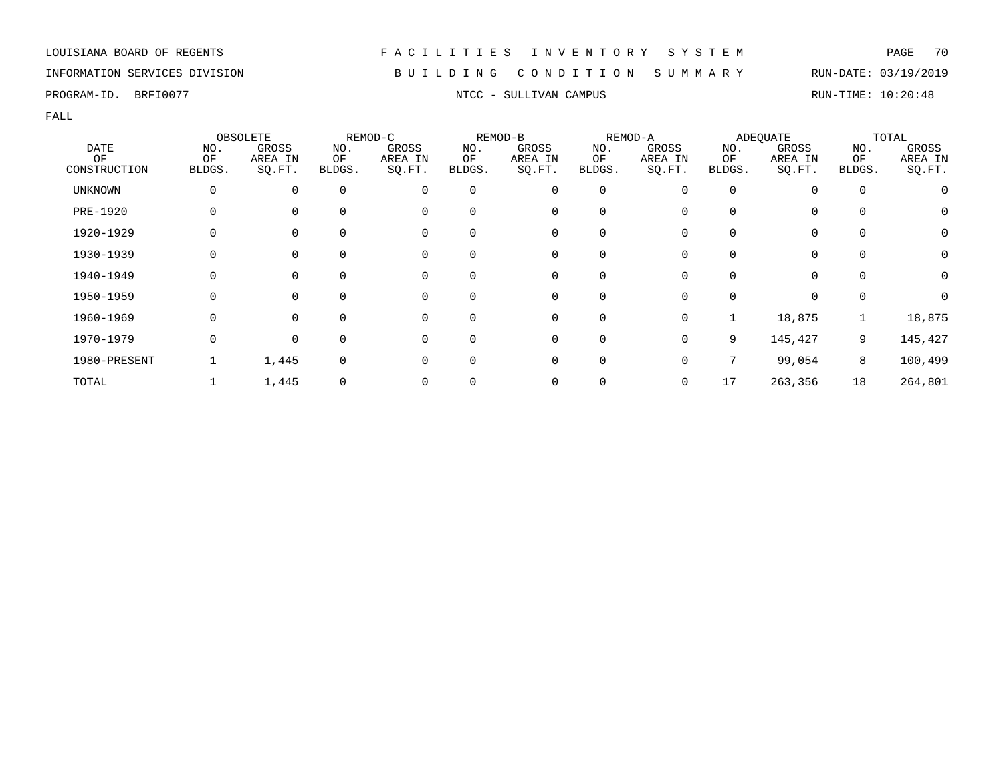## INFORMATION SERVICES DIVISION B U I L D I N G C O N D I T I O N S U M M A R Y RUN-DATE: 03/19/2019

PROGRAM-ID. BRFI0077 **NTCC - SULLIVAN CAMPUS** RUN-TIME: 10:20:48

|                 |        | OBSOLETE    |             | REMOD-C  |              | REMOD-B     |             | REMOD-A |          | <b>ADEOUATE</b> |             | TOTAL   |
|-----------------|--------|-------------|-------------|----------|--------------|-------------|-------------|---------|----------|-----------------|-------------|---------|
| <b>DATE</b>     | NO.    | GROSS       | NO.         | GROSS    | NO.          | GROSS       | NO.         | GROSS   | NO.      | GROSS           | NO.         | GROSS   |
| OF              | OF     | AREA IN     | ΟF          | AREA IN  | ΟF           | AREA IN     | OF          | AREA IN | ΟF       | AREA IN         | OF          | AREA IN |
| CONSTRUCTION    | BLDGS. | SQ.FT.      | BLDGS.      | SQ.FT.   | BLDGS.       | SQ.FT.      | BLDGS.      | SQ.FT.  | BLDGS.   | SQ.FT.          | BLDGS.      | SQ.FT.  |
| <b>UNKNOWN</b>  | 0      | $\mathbf 0$ | $\mathbf 0$ | 0        | $\Omega$     | $\mathbf 0$ | $\mathbf 0$ |         | $\Omega$ | 0               | $\mathbf 0$ |         |
| <b>PRE-1920</b> | 0      | 0           | $\Omega$    | 0        | 0            | 0           | 0           |         |          | 0               | 0           | O       |
| 1920-1929       | 0      | 0           | 0           | 0        | 0            | 0           | 0           |         |          | 0               | $\mathbf 0$ | Ω       |
| 1930-1939       |        | 0           | $\Omega$    | 0        | $\Omega$     | 0           | 0           |         |          | 0               | $\Omega$    | O       |
| 1940-1949       | 0      | 0           | $\Omega$    | 0        | $\Omega$     | 0           | 0           | U       | $\Omega$ | $\Omega$        | $\Omega$    | 0       |
| 1950-1959       | 0      | $\Omega$    | $\Omega$    | 0        | $\Omega$     | 0           | $\Omega$    |         | ∩        | $\Omega$        | $\mathbf 0$ |         |
| 1960-1969       | 0      | $\Omega$    | $\Omega$    | $\Omega$ | $\Omega$     | 0           | $\mathbf 0$ | U       |          | 18,875          |             | 18,875  |
| 1970-1979       | 0      | $\mathbf 0$ | $\mathbf 0$ | 0        | $\Omega$     | 0           | 0           | 0       | 9        | 145,427         | 9           | 145,427 |
| 1980-PRESENT    |        | 1,445       | $\Omega$    | 0        | <sup>0</sup> | 0           | 0           |         |          | 99,054          | 8           | 100,499 |
| TOTAL           |        | 1,445       |             |          |              | 0           | 0           | 0       | 17       | 263,356         | 18          | 264,801 |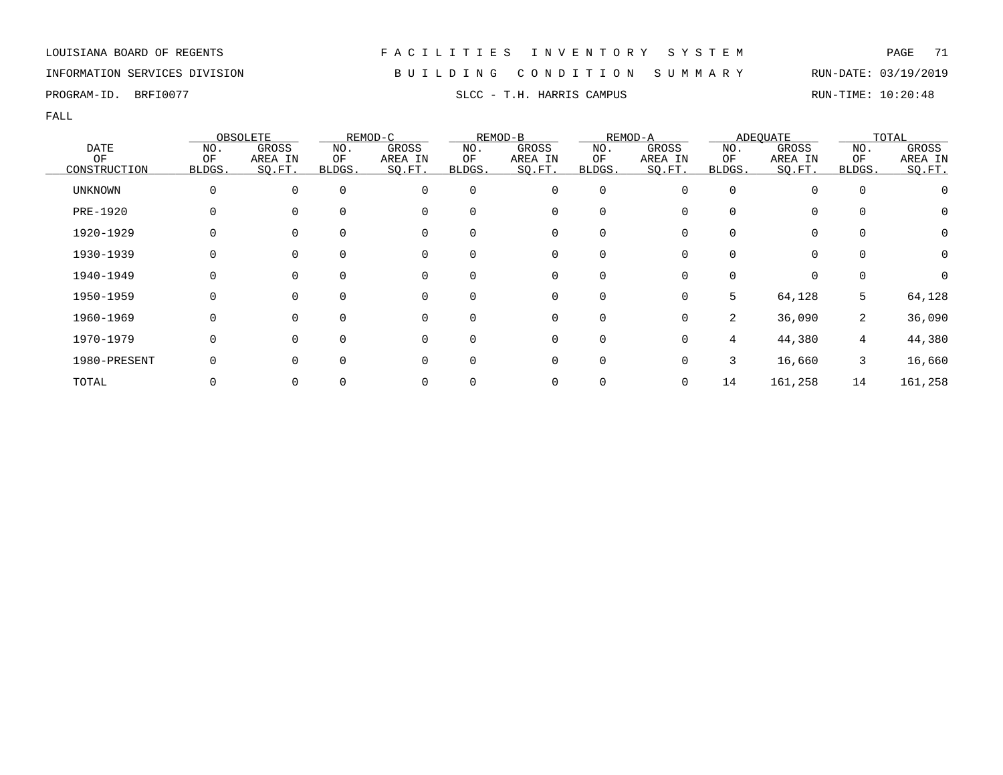## INFORMATION SERVICES DIVISION B U I L D I N G C O N D I T I O N S U M M A R Y RUN-DATE: 03/19/2019

PROGRAM-ID. BRFI0077 SLCC - T.H. HARRIS CAMPUS SLCC - T.H. HARRIS COMPUS

|                 |        | OBSOLETE    |          | REMOD-C  |          | REMOD-B |             | REMOD-A |          | ADEQUATE |             | TOTAL            |
|-----------------|--------|-------------|----------|----------|----------|---------|-------------|---------|----------|----------|-------------|------------------|
| DATE            | NO.    | GROSS       | NO.      | GROSS    | NO.      | GROSS   | NO.         | GROSS   | NO.      | GROSS    | NO.         | GROSS            |
| OF              | OF     | AREA IN     | ΟF       | AREA IN  | ΟF       | AREA IN | ΟF          | AREA IN | ΟF       | AREA IN  | ΟF          | AREA IN          |
| CONSTRUCTION    | BLDGS. | SO.FT.      | BLDGS.   | SQ.FT.   | BLDGS.   | SO.FT.  | BLDGS.      | SO.FT.  | BLDGS.   | SQ.FT.   | BLDGS.      | SO.FT.           |
| <b>UNKNOWN</b>  |        | $\mathbf 0$ | $\Omega$ | 0        | $\Omega$ | 0       | $\mathbf 0$ |         | $\Omega$ |          | $\mathbf 0$ |                  |
| <b>PRE-1920</b> |        | $\Omega$    |          | 0        | 0        | 0       | $\Omega$    |         | O        | 0        | 0           | O                |
| 1920-1929       |        | 0           |          | 0        | 0        | 0       | 0           |         |          | 0        | 0           | Ω                |
| 1930-1939       |        | $\Omega$    | $\Omega$ | 0        | 0        | 0       | $\Omega$    |         |          |          | $\Omega$    | O                |
| 1940-1949       |        | $\Omega$    | $\Omega$ | 0        | $\Omega$ | 0       | $\Omega$    |         | O        | 0        | $\Omega$    | $\left( \right)$ |
| 1950-1959       | O      | $\Omega$    | $\Omega$ | 0        | $\Omega$ | 0       | $\Omega$    | 0       | 5        | 64,128   | 5           | 64,128           |
| 1960-1969       |        | $\Omega$    | $\Omega$ | $\Omega$ | 0        | 0       | $\Omega$    |         | 2        | 36,090   | 2           | 36,090           |
| 1970-1979       |        | $\Omega$    | $\Omega$ | 0        | 0        | 0       | 0           |         | 4        | 44,380   | 4           | 44,380           |
| 1980-PRESENT    |        | $\Omega$    |          | 0        | 0        | 0       | $\Omega$    |         | 3        | 16,660   | 3           | 16,660           |
| TOTAL           |        | 0           |          | 0        |          | 0       | 0           | 0       | 14       | 161,258  | 14          | 161,258          |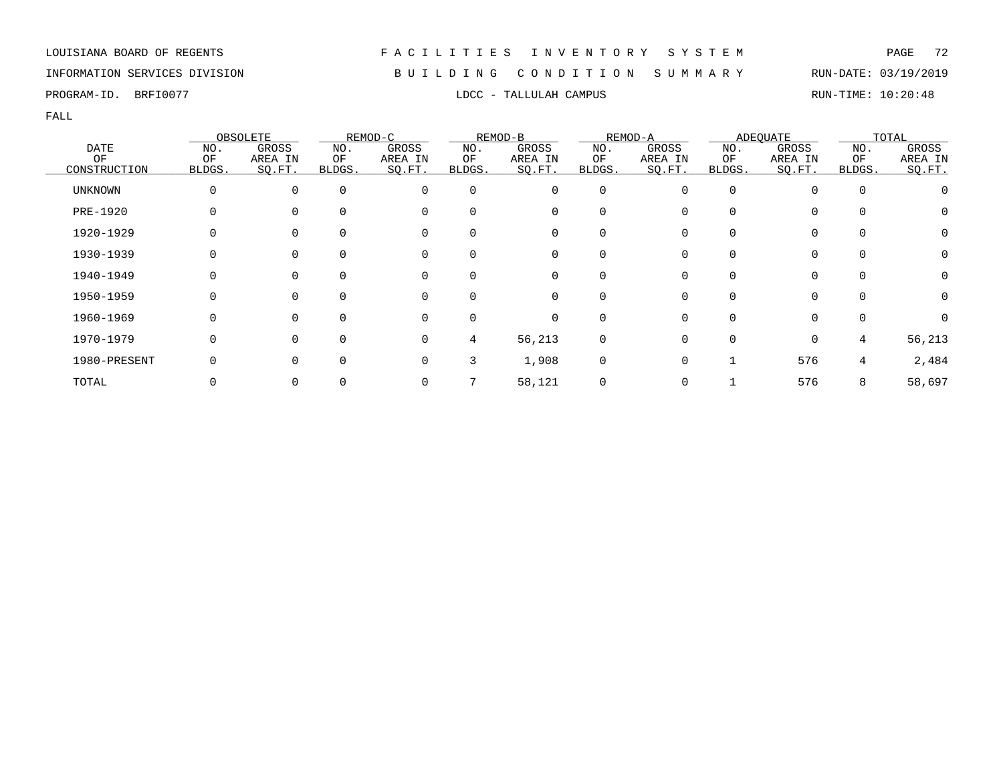## INFORMATION SERVICES DIVISION B U I L D I N G C O N D I T I O N S U M M A R Y RUN-DATE: 03/19/2019

PROGRAM-ID. BRFI0077 **EXAMPUS** LDCC - TALLULAH CAMPUS RUN-TIME: 10:20:48

|                |        | OBSOLETE    |          | REMOD-C  |          | REMOD-B     |             | REMOD-A |          | ADEQUATE |             | TOTAL            |
|----------------|--------|-------------|----------|----------|----------|-------------|-------------|---------|----------|----------|-------------|------------------|
| <b>DATE</b>    | NO.    | GROSS       | NO.      | GROSS    | NO.      | GROSS       | NO.         | GROSS   | NO.      | GROSS    | NO.         | GROSS            |
| ΟF             | ΟF     | AREA IN     | ΟF       | AREA IN  | ΟF       | AREA IN     | ΟF          | AREA IN | ΟF       | AREA IN  | ΟF          | AREA IN          |
| CONSTRUCTION   | BLDGS. | SO.FT.      | BLDGS.   | SQ.FT.   | BLDGS.   | SQ.FT.      | BLDGS.      | SQ.FT.  | BLDGS.   | SQ.FT.   | BLDGS.      | SO.FT.           |
| <b>UNKNOWN</b> |        | $\mathbf 0$ | $\Omega$ | 0        | $\Omega$ | 0           | $\mathbf 0$ |         | $\Omega$ |          | $\mathbf 0$ |                  |
| PRE-1920       |        | $\Omega$    | $\Omega$ | 0        | 0        | 0           | $\Omega$    |         | O        | 0        | $\Omega$    | $\cup$           |
| 1920-1929      |        | $\Omega$    |          | 0        | 0        | 0           | $\Omega$    |         |          |          | $\Omega$    | $\left( \right)$ |
| 1930-1939      |        | 0           |          | 0        | 0        | 0           | 0           |         |          |          | 0           |                  |
| 1940-1949      | O      | 0           | $\Omega$ | 0        | $\Omega$ | 0           | $\Omega$    |         | O        | $\Omega$ | $\Omega$    | O                |
| 1950-1959      |        | $\Omega$    |          | $\Omega$ | $\Omega$ | $\Omega$    | $\Omega$    |         |          | 0        | $\cap$      | $\left( \right)$ |
| 1960-1969      |        | $\Omega$    | $\Omega$ | $\Omega$ | $\Omega$ | $\mathbf 0$ | $\Omega$    |         | U        | $\Omega$ | $\Omega$    |                  |
| 1970-1979      |        | $\Omega$    | $\Omega$ | 0        | 4        | 56,213      | 0           |         |          | $\Omega$ | 4           | 56,213           |
| 1980-PRESENT   |        | $\Omega$    | $\Omega$ | 0        | 3        | 1,908       | 0           |         |          | 576      | 4           | 2,484            |
| TOTAL          |        | 0           |          | 0        |          | 58,121      | 0           |         |          | 576      | 8           | 58,697           |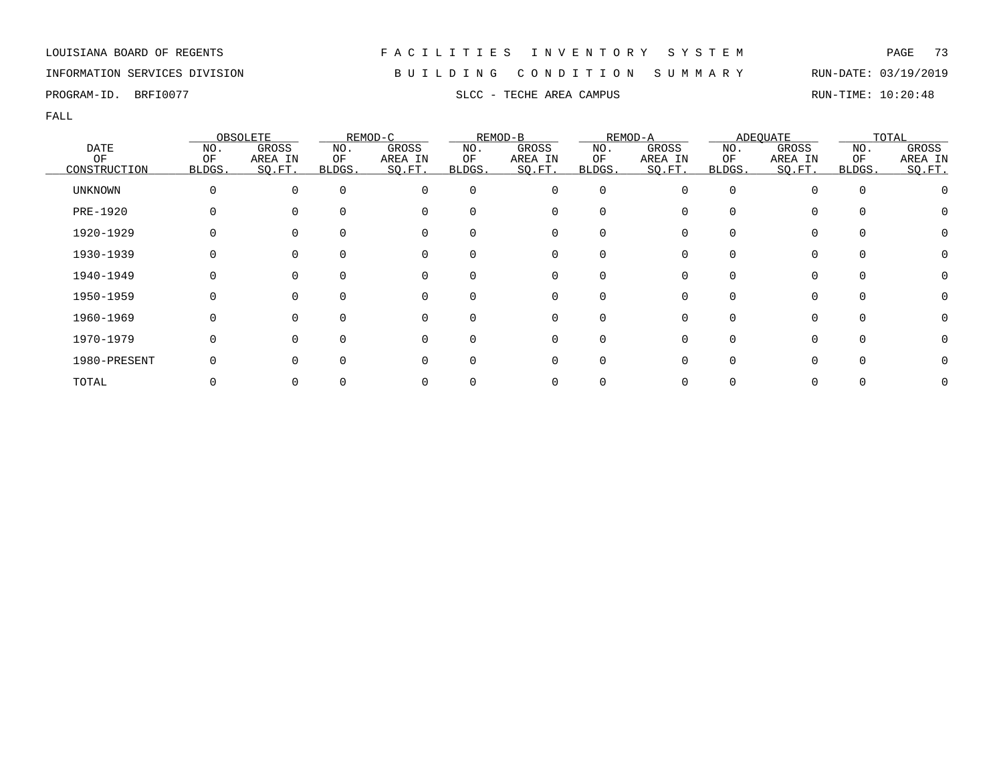LOUISIANA BOARD OF REGENTS F A C I L I T I E S I N V E N T O R Y S Y S T E M PAGE 73

## INFORMATION SERVICES DIVISION B U I L D I N G C O N D I T I O N S U M M A R Y RUN-DATE: 03/19/2019

PROGRAM-ID. BRFI0077 SLCC - TECHE AREA CAMPUS SLCC - TECHE AREA CAMPUS RUN-TIME: 10:20:48

FALL

|              |        | OBSOLETE     |              | REMOD-C  |              | REMOD-B  |          | REMOD-A  |        | <b>ADEQUATE</b> |          | TOTAL   |  |
|--------------|--------|--------------|--------------|----------|--------------|----------|----------|----------|--------|-----------------|----------|---------|--|
| <b>DATE</b>  | NO.    | GROSS        | NO.          | GROSS    | NO.          | GROSS    | NO.      | GROSS    | NO.    | GROSS           | NO.      | GROSS   |  |
| OF           | ΟF     | AREA IN      | ΟF           | AREA IN  | ΟF           | AREA IN  | ΟF       | AREA IN  | ΟF     | AREA IN         | ΟF       | AREA IN |  |
| CONSTRUCTION | BLDGS. | SQ.FT.       | <b>BLDGS</b> | SQ.FT.   | <b>BLDGS</b> | SQ.FT.   | BLDGS.   | SQ.FT.   | BLDGS. | SQ.FT.          | BLDGS.   | SO.FT.  |  |
| UNKNOWN      | 0      | $\Omega$     | 0            | 0        | 0            | 0        | 0        | $\Omega$ |        | 0               | $\Omega$ |         |  |
| PRE-1920     |        |              | $\Omega$     | $\Omega$ | <sup>0</sup> | 0        | 0        |          |        | 0               |          |         |  |
| 1920-1929    |        |              | $\Omega$     | 0        | <sup>0</sup> | 0        | 0        |          |        | 0               |          |         |  |
| 1930-1939    |        |              | 0            | 0        | 0            | 0        | 0        |          |        | 0               | 0        |         |  |
| 1940-1949    |        |              | $\Omega$     | 0        | $\Omega$     | 0        | $\Omega$ |          |        | 0               |          |         |  |
| 1950-1959    | O      | <sup>n</sup> | $\Omega$     | $\Omega$ | $\Omega$     | $\Omega$ | $\Omega$ | U        |        | $\Omega$        | $\Omega$ |         |  |
| 1960-1969    |        | <sup>n</sup> | $\Omega$     | $\Omega$ | $\Omega$     | $\Omega$ | $\Omega$ |          |        | 0               |          |         |  |
| 1970-1979    | 0      |              | $\Omega$     | $\Omega$ | $\Omega$     | 0        | $\Omega$ |          |        | 0               |          |         |  |
| 1980-PRESENT |        |              | $\Omega$     | $\Omega$ | 0            | 0        | 0        |          |        | 0               |          |         |  |
| TOTAL        |        |              |              |          |              | 0        |          |          |        | 0               |          |         |  |